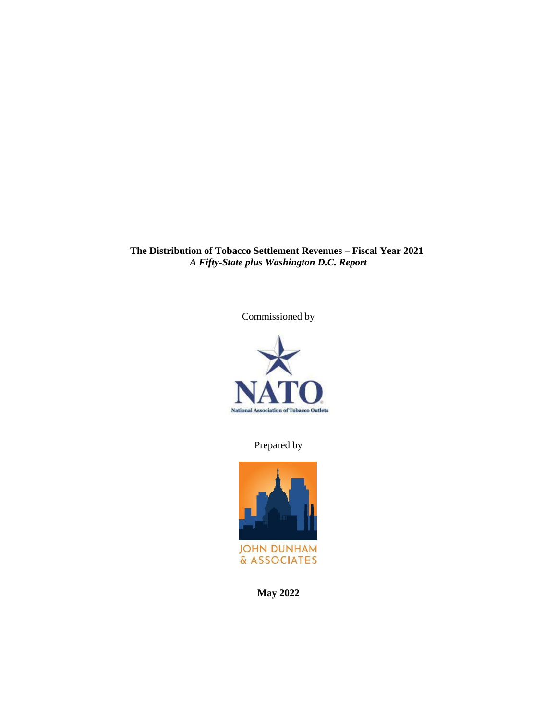**The Distribution of Tobacco Settlement Revenues – Fiscal Year 2021** *A Fifty-State plus Washington D.C. Report*

Commissioned by



Prepared by



**May 2022**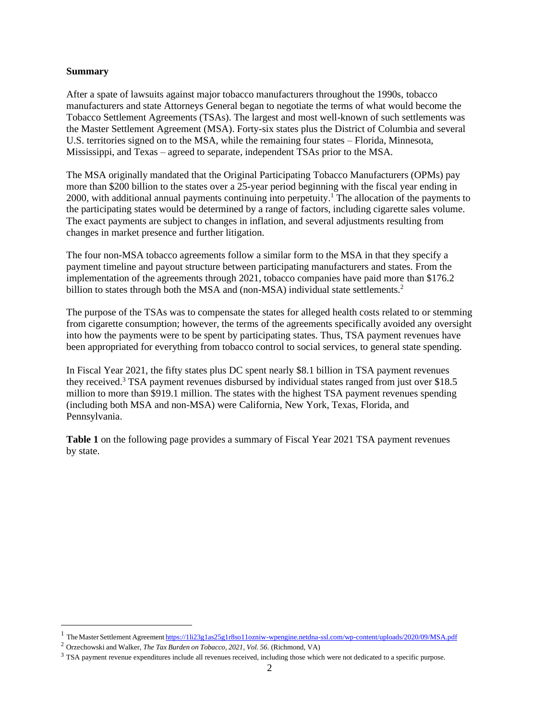#### **Summary**

After a spate of lawsuits against major tobacco manufacturers throughout the 1990s, tobacco manufacturers and state Attorneys General began to negotiate the terms of what would become the Tobacco Settlement Agreements (TSAs). The largest and most well-known of such settlements was the Master Settlement Agreement (MSA). Forty-six states plus the District of Columbia and several U.S. territories signed on to the MSA, while the remaining four states – Florida, Minnesota, Mississippi, and Texas – agreed to separate, independent TSAs prior to the MSA.

The MSA originally mandated that the Original Participating Tobacco Manufacturers (OPMs) pay more than \$200 billion to the states over a 25-year period beginning with the fiscal year ending in 2000, with additional annual payments continuing into perpetuity.<sup>1</sup> The allocation of the payments to the participating states would be determined by a range of factors, including cigarette sales volume. The exact payments are subject to changes in inflation, and several adjustments resulting from changes in market presence and further litigation.

The four non-MSA tobacco agreements follow a similar form to the MSA in that they specify a payment timeline and payout structure between participating manufacturers and states. From the implementation of the agreements through 2021, tobacco companies have paid more than \$176.2 billion to states through both the MSA and (non-MSA) individual state settlements.<sup>2</sup>

The purpose of the TSAs was to compensate the states for alleged health costs related to or stemming from cigarette consumption; however, the terms of the agreements specifically avoided any oversight into how the payments were to be spent by participating states. Thus, TSA payment revenues have been appropriated for everything from tobacco control to social services, to general state spending.

In Fiscal Year 2021, the fifty states plus DC spent nearly \$8.1 billion in TSA payment revenues they received.<sup>3</sup> TSA payment revenues disbursed by individual states ranged from just over \$18.5 million to more than \$919.1 million. The states with the highest TSA payment revenues spending (including both MSA and non-MSA) were California, New York, Texas, Florida, and Pennsylvania.

**Table 1** on the following page provides a summary of Fiscal Year 2021 TSA payment revenues by state.

<sup>&</sup>lt;sup>1</sup> The Master Settlement Agreement <https://1li23g1as25g1r8so11ozniw-wpengine.netdna-ssl.com/wp-content/uploads/2020/09/MSA.pdf>

<sup>2</sup> Orzechowski and Walker, *The Tax Burden on Tobacco, 2021, Vol. 56.* (Richmond, VA)

<sup>&</sup>lt;sup>3</sup> TSA payment revenue expenditures include all revenues received, including those which were not dedicated to a specific purpose.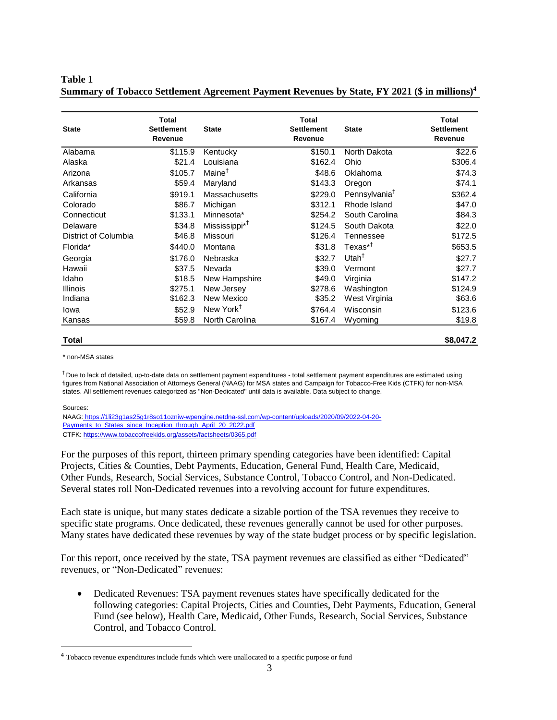**Table 1 Summary of Tobacco Settlement Agreement Payment Revenues by State, FY 2021 (\$ in millions)<sup>4</sup>**

| State                                                                                                                                                                                                                                                                                                                                                                                                                                                                                                                                                                                                                                                                                                                                                                                                                                                                                 | <b>Total</b><br><b>Settlement</b><br>Revenue | <b>State</b>                                                                                                                                                                                                                                                                        | <b>Total</b><br><b>Settlement</b><br>Revenue | <b>State</b>              | <b>Total</b><br><b>Settlement</b><br>Revenue |
|---------------------------------------------------------------------------------------------------------------------------------------------------------------------------------------------------------------------------------------------------------------------------------------------------------------------------------------------------------------------------------------------------------------------------------------------------------------------------------------------------------------------------------------------------------------------------------------------------------------------------------------------------------------------------------------------------------------------------------------------------------------------------------------------------------------------------------------------------------------------------------------|----------------------------------------------|-------------------------------------------------------------------------------------------------------------------------------------------------------------------------------------------------------------------------------------------------------------------------------------|----------------------------------------------|---------------------------|----------------------------------------------|
| Alabama                                                                                                                                                                                                                                                                                                                                                                                                                                                                                                                                                                                                                                                                                                                                                                                                                                                                               | $\overline{$}115.9$                          | Kentucky                                                                                                                                                                                                                                                                            | \$150.1                                      | North Dakota              | \$22.6                                       |
| Alaska                                                                                                                                                                                                                                                                                                                                                                                                                                                                                                                                                                                                                                                                                                                                                                                                                                                                                | \$21.4                                       | Louisiana                                                                                                                                                                                                                                                                           | \$162.4                                      | Ohio                      | \$306.4                                      |
| Arizona                                                                                                                                                                                                                                                                                                                                                                                                                                                                                                                                                                                                                                                                                                                                                                                                                                                                               | \$105.7                                      | Maine <sup>†</sup>                                                                                                                                                                                                                                                                  | \$48.6                                       | Oklahoma                  | \$74.3                                       |
| Arkansas                                                                                                                                                                                                                                                                                                                                                                                                                                                                                                                                                                                                                                                                                                                                                                                                                                                                              | \$59.4                                       | Maryland                                                                                                                                                                                                                                                                            | \$143.3                                      | Oregon                    | \$74.1                                       |
| California                                                                                                                                                                                                                                                                                                                                                                                                                                                                                                                                                                                                                                                                                                                                                                                                                                                                            | \$919.1                                      | Massachusetts                                                                                                                                                                                                                                                                       | \$229.0                                      | Pennsylvania <sup>†</sup> | \$362.4                                      |
| Colorado                                                                                                                                                                                                                                                                                                                                                                                                                                                                                                                                                                                                                                                                                                                                                                                                                                                                              | \$86.7                                       | Michigan                                                                                                                                                                                                                                                                            | \$312.1                                      | Rhode Island              | \$47.0                                       |
| Connecticut                                                                                                                                                                                                                                                                                                                                                                                                                                                                                                                                                                                                                                                                                                                                                                                                                                                                           | \$133.1                                      | Minnesota*                                                                                                                                                                                                                                                                          | \$254.2                                      | South Carolina            | \$84.3                                       |
| Delaware                                                                                                                                                                                                                                                                                                                                                                                                                                                                                                                                                                                                                                                                                                                                                                                                                                                                              | \$34.8                                       | Mississippi <sup>*†</sup>                                                                                                                                                                                                                                                           | \$124.5                                      | South Dakota              | \$22.0                                       |
| District of Columbia                                                                                                                                                                                                                                                                                                                                                                                                                                                                                                                                                                                                                                                                                                                                                                                                                                                                  | \$46.8                                       | Missouri                                                                                                                                                                                                                                                                            | \$126.4                                      | Tennessee                 | \$172.5                                      |
| Florida*                                                                                                                                                                                                                                                                                                                                                                                                                                                                                                                                                                                                                                                                                                                                                                                                                                                                              | \$440.0                                      | Montana                                                                                                                                                                                                                                                                             | \$31.8                                       | $T$ exas $*$ <sup>†</sup> | \$653.5                                      |
| Georgia                                                                                                                                                                                                                                                                                                                                                                                                                                                                                                                                                                                                                                                                                                                                                                                                                                                                               | \$176.0                                      | Nebraska                                                                                                                                                                                                                                                                            | \$32.7                                       | Utah $†$                  | \$27.7                                       |
| Hawaii                                                                                                                                                                                                                                                                                                                                                                                                                                                                                                                                                                                                                                                                                                                                                                                                                                                                                | \$37.5                                       | Nevada                                                                                                                                                                                                                                                                              | \$39.0                                       | Vermont                   | \$27.7                                       |
| Idaho                                                                                                                                                                                                                                                                                                                                                                                                                                                                                                                                                                                                                                                                                                                                                                                                                                                                                 | \$18.5                                       | New Hampshire                                                                                                                                                                                                                                                                       | \$49.0                                       | Virginia                  | \$147.2                                      |
| Illinois                                                                                                                                                                                                                                                                                                                                                                                                                                                                                                                                                                                                                                                                                                                                                                                                                                                                              | \$275.1                                      | New Jersey                                                                                                                                                                                                                                                                          | \$278.6                                      | Washington                | \$124.9                                      |
| Indiana                                                                                                                                                                                                                                                                                                                                                                                                                                                                                                                                                                                                                                                                                                                                                                                                                                                                               | \$162.3                                      | New Mexico                                                                                                                                                                                                                                                                          | \$35.2                                       | West Virginia             | \$63.6                                       |
| lowa                                                                                                                                                                                                                                                                                                                                                                                                                                                                                                                                                                                                                                                                                                                                                                                                                                                                                  | \$52.9                                       | New York <sup>+</sup>                                                                                                                                                                                                                                                               | \$764.4                                      | Wisconsin                 | \$123.6                                      |
| Kansas                                                                                                                                                                                                                                                                                                                                                                                                                                                                                                                                                                                                                                                                                                                                                                                                                                                                                | \$59.8                                       | North Carolina                                                                                                                                                                                                                                                                      | \$167.4                                      | Wyoming                   | \$19.8                                       |
| * non-MSA states<br>T Due to lack of detailed, up-to-date data on settlement payment expenditures - total settlement payment expenditures are estimated using<br>figures from National Association of Attorneys General (NAAG) for MSA states and Campaign for Tobacco-Free Kids (CTFK) for non-MSA<br>states. All settlement revenues categorized as "Non-Dedicated" until data is available. Data subject to change.<br>Sources:<br>NAAG: https://1li23g1as25g1r8so11ozniw-wpengine.netdna-ssl.com/wp-content/uploads/2020/09/2022-04-20-<br>Payments_to_States_since_Inception_through_April_20_2022.pdf<br>CTFK: https://www.tobaccofreekids.org/assets/factsheets/0365.pdf<br>For the purposes of this report, thirteen primary spending categories have been identified: Capital<br>Projects, Cities & Counties, Debt Payments, Education, General Fund, Health Care, Medicaid, |                                              |                                                                                                                                                                                                                                                                                     |                                              |                           |                                              |
| Other Funds, Research, Social Services, Substance Control, Tobacco Control, and Non-Dedicated.<br>Several states roll Non-Dedicated revenues into a revolving account for future expenditures.                                                                                                                                                                                                                                                                                                                                                                                                                                                                                                                                                                                                                                                                                        |                                              |                                                                                                                                                                                                                                                                                     |                                              |                           |                                              |
| Each state is unique, but many states dedicate a sizable portion of the TSA revenues they receive to<br>specific state programs. Once dedicated, these revenues generally cannot be used for other purposes.<br>Many states have dedicated these revenues by way of the state budget process or by specific legislation.                                                                                                                                                                                                                                                                                                                                                                                                                                                                                                                                                              |                                              |                                                                                                                                                                                                                                                                                     |                                              |                           |                                              |
| For this report, once received by the state, TSA payment revenues are classified as either "Dedicated"<br>revenues, or "Non-Dedicated" revenues:                                                                                                                                                                                                                                                                                                                                                                                                                                                                                                                                                                                                                                                                                                                                      |                                              |                                                                                                                                                                                                                                                                                     |                                              |                           |                                              |
| ٠                                                                                                                                                                                                                                                                                                                                                                                                                                                                                                                                                                                                                                                                                                                                                                                                                                                                                     | Control, and Tobacco Control.                | Dedicated Revenues: TSA payment revenues states have specifically dedicated for the<br>following categories: Capital Projects, Cities and Counties, Debt Payments, Education, General<br>Fund (see below), Health Care, Medicaid, Other Funds, Research, Social Services, Substance |                                              |                           |                                              |
| <sup>4</sup> Tobacco revenue expenditures include funds which were unallocated to a specific purpose or fund                                                                                                                                                                                                                                                                                                                                                                                                                                                                                                                                                                                                                                                                                                                                                                          |                                              |                                                                                                                                                                                                                                                                                     |                                              |                           |                                              |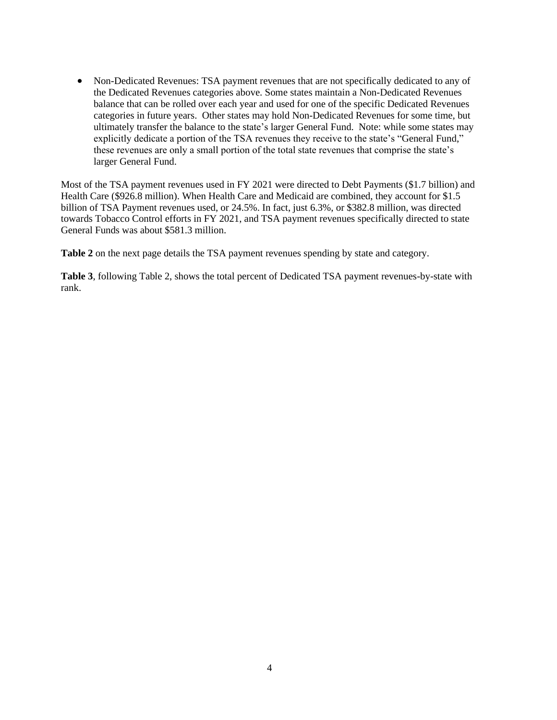• Non-Dedicated Revenues: TSA payment revenues that are not specifically dedicated to any of the Dedicated Revenues categories above. Some states maintain a Non-Dedicated Revenues balance that can be rolled over each year and used for one of the specific Dedicated Revenues categories in future years. Other states may hold Non-Dedicated Revenues for some time, but ultimately transfer the balance to the state's larger General Fund. Note: while some states may explicitly dedicate a portion of the TSA revenues they receive to the state's "General Fund," these revenues are only a small portion of the total state revenues that comprise the state's larger General Fund.

Most of the TSA payment revenues used in FY 2021 were directed to Debt Payments (\$1.7 billion) and Health Care (\$926.8 million). When Health Care and Medicaid are combined, they account for \$1.5 billion of TSA Payment revenues used, or 24.5%. In fact, just 6.3%, or \$382.8 million, was directed towards Tobacco Control efforts in FY 2021, and TSA payment revenues specifically directed to state General Funds was about \$581.3 million.

**Table 2** on the next page details the TSA payment revenues spending by state and category.

**Table 3**, following Table 2, shows the total percent of Dedicated TSA payment revenues-by-state with rank.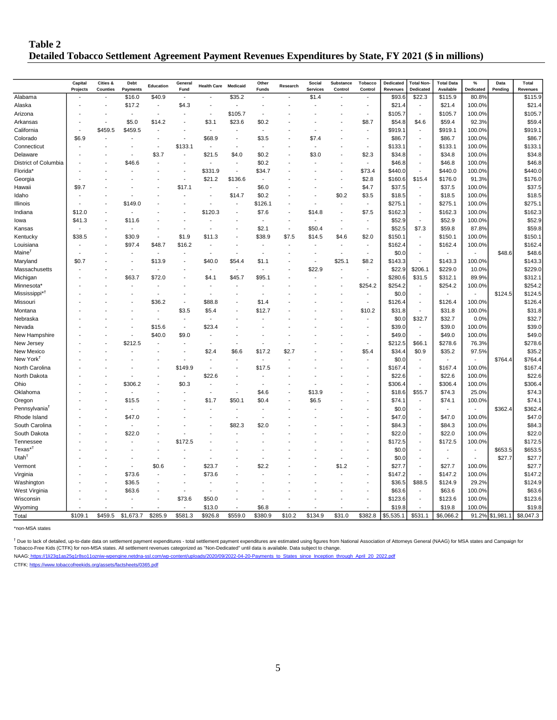#### **Table 2 Detailed Tobacco Settlement Agreement Payment Revenues Expenditures by State, FY 2021 (\$ in millions)**

|                           | Capital  | Cities &        | Debt                     | Education | Genera                   | <b>Health Care</b>       | Medicaid                 | Other                    | Research | Social          | Substance                | Tobacco                  | Dedicated           | <b>Total Non-</b>        | <b>Total Data</b>   | $\%$      | Data            | Total               |
|---------------------------|----------|-----------------|--------------------------|-----------|--------------------------|--------------------------|--------------------------|--------------------------|----------|-----------------|--------------------------|--------------------------|---------------------|--------------------------|---------------------|-----------|-----------------|---------------------|
|                           | Projects | <b>Counties</b> | <b>Payments</b>          |           | Fund                     |                          |                          | <b>Funds</b>             |          | <b>Services</b> | Control                  | Control                  | Revenues            | Dedicated                | Available           | Dedicated | Pending         | Revenues            |
| Alabama                   |          |                 | \$16.0                   | \$40.9    | $\overline{a}$           |                          | \$35.2                   | $\overline{a}$           |          | \$1.4           |                          | $\overline{a}$           | \$93.6              | \$22.3                   | \$115.9             | 80.8%     |                 | \$115.9             |
| Alaska                    |          |                 | \$17.2                   | Ĭ.        | \$4.3                    |                          |                          |                          |          |                 |                          | $\overline{a}$           | \$21.4              |                          | \$21.4              | 100.0%    |                 | \$21.4              |
| Arizona                   |          |                 | $\overline{\phantom{a}}$ | ÷,        |                          |                          | \$105.7                  | $\overline{\phantom{a}}$ |          |                 |                          | $\overline{\phantom{a}}$ | \$105.7             | $\blacksquare$           | \$105.7             | 100.0%    |                 | \$105.7             |
| Arkansas                  |          |                 | \$5.0                    | \$14.2    |                          | \$3.1                    | \$23.6                   | \$0.2                    |          |                 |                          | \$8.7                    | \$54.8              | \$4.6                    | \$59.4              | 92.3%     |                 | \$59.4              |
| California                |          | \$459.5         | \$459.5                  |           |                          | $\overline{\phantom{a}}$ |                          | $\overline{\phantom{a}}$ |          |                 |                          | $\overline{\phantom{a}}$ | \$919.1             | $\overline{\phantom{a}}$ | \$919.1             | 100.0%    |                 | \$919.1             |
| Colorado                  | \$6.9    |                 |                          |           | $\overline{a}$           | \$68.9                   |                          | \$3.5                    |          | \$7.4           |                          | $\overline{\phantom{a}}$ | \$86.7              | $\overline{\phantom{a}}$ | \$86.7              | 100.0%    |                 | \$86.7              |
| Connecticut               |          |                 |                          | ÷,        | \$133.1                  |                          |                          | ÷,                       |          |                 |                          | $\overline{a}$           | \$133.1             | $\overline{a}$           | \$133.1             | 100.0%    |                 | \$133.1             |
| Delaware                  |          |                 |                          | \$3.7     |                          | \$21.5                   | \$4.0                    | \$0.2                    |          | \$3.0           |                          | \$2.3                    | \$34.8              | $\overline{\phantom{a}}$ | \$34.8              | 100.0%    |                 | \$34.8              |
| District of Columbia      |          |                 | \$46.6                   |           |                          |                          |                          | \$0.2                    |          |                 |                          | $\overline{\phantom{a}}$ | \$46.8              | $\overline{a}$           | \$46.8              | 100.0%    |                 | \$46.8              |
| Florida*                  |          |                 |                          |           | $\overline{a}$           | \$331.9                  |                          | \$34.7                   |          |                 |                          | \$73.4                   | \$440.0             |                          | \$440.0             | 100.0%    |                 | \$440.0             |
| Georgia                   |          |                 |                          |           | ÷,                       | \$21.2                   | \$136.6                  | Ĭ.                       |          |                 |                          | \$2.8                    | \$160.6             | \$15.4                   | \$176.0             | 91.3%     |                 | \$176.0             |
| Hawaii                    | \$9.7    |                 |                          |           | \$17.1                   |                          | $\overline{\phantom{a}}$ | \$6.0                    |          |                 |                          | \$4.7                    | \$37.5              | $\overline{a}$           | \$37.5              | 100.0%    |                 | \$37.5              |
| Idaho                     |          |                 |                          |           |                          |                          | \$14.7                   | \$0.2                    |          |                 | \$0.2                    | \$3.5                    | \$18.5              |                          | \$18.5              | 100.0%    |                 | \$18.5              |
| Illinois                  |          |                 | \$149.0                  |           |                          |                          |                          | \$126.1                  |          |                 | $\overline{a}$           | $\overline{a}$           | \$275.1             | $\overline{\phantom{a}}$ | \$275.1             | 100.0%    |                 | \$275.1             |
| Indiana                   | \$12.0   |                 |                          |           |                          | \$120.3                  |                          | \$7.6                    |          | \$14.8          |                          | \$7.5                    | \$162.3             |                          | \$162.3             | 100.0%    |                 | \$162.3             |
| lowa                      | \$41.3   |                 | \$11.6                   |           |                          |                          |                          | ÷,                       |          |                 |                          | ÷                        | \$52.9              | $\blacksquare$           | \$52.9              | 100.0%    |                 | \$52.9              |
| Kansas                    |          |                 |                          |           |                          |                          |                          | \$2.1                    |          | \$50.4          |                          | ÷,                       | \$52.5              | \$7.3                    | \$59.8              | 87.8%     |                 | \$59.8              |
| Kentucky                  | \$38.5   |                 | \$30.9                   | ÷.        | \$1.9                    | \$11.3                   |                          | \$38.9                   | \$7.5    | \$14.5          | \$4.6                    | \$2.0                    | \$150.1             | $\overline{\phantom{a}}$ | \$150.1             | 100.0%    |                 | \$150.1             |
| Louisiana                 |          |                 | \$97.4                   | \$48.7    | \$16.2                   |                          |                          |                          |          |                 | $\overline{\phantom{a}}$ | $\overline{\phantom{a}}$ | \$162.4             |                          | \$162.4             | 100.0%    |                 | \$162.4             |
| Maine <sup>1</sup>        |          |                 |                          |           |                          |                          |                          |                          |          |                 | $\overline{\phantom{a}}$ | $\overline{a}$           | \$0.0               | $\overline{a}$           |                     |           | \$48.6          | \$48.6              |
| Maryland                  | \$0.7    |                 |                          | \$13.9    |                          | \$40.0                   | \$54.4                   | \$1.1                    |          |                 | \$25.1                   | \$8.2                    | \$143.3             |                          | \$143.3             | 100.0%    |                 | \$143.3             |
| Massachusetts             |          |                 |                          |           |                          |                          |                          | ÷.                       |          | \$22.9          |                          | $\overline{a}$           | \$22.9              | \$206.1                  | \$229.0             | 10.0%     |                 | \$229.0             |
| Michigan                  |          |                 | \$63.7                   | \$72.0    |                          | \$4.1                    | \$45.7                   | \$95.1                   |          |                 |                          |                          | \$280.6             | \$31.5                   | \$312.1             | 89.9%     |                 | \$312.1             |
| Minnesota <sup>®</sup>    |          |                 |                          |           |                          |                          |                          |                          |          |                 |                          | \$254.2                  | \$254.2             |                          | \$254.2             | 100.0%    |                 | \$254.2             |
| Mississippi* <sup>T</sup> |          |                 |                          | ÷,        |                          |                          |                          |                          |          |                 |                          | $\overline{\phantom{a}}$ | \$0.0               | $\overline{a}$           |                     |           | \$124.5         | \$124.5             |
| Missouri                  |          |                 |                          | \$36.2    |                          | \$88.8                   |                          | \$1.4                    |          |                 |                          | Ĭ.                       | \$126.4             | $\overline{\phantom{a}}$ | \$126.4             | 100.0%    |                 | \$126.4             |
| Montana                   |          |                 |                          |           | \$3.5                    | \$5.4                    |                          | \$12.7                   |          |                 |                          | \$10.2                   | \$31.8              |                          | \$31.8              | 100.0%    |                 | \$31.8              |
| Nebraska                  |          |                 |                          |           | $\overline{\phantom{a}}$ |                          |                          |                          |          |                 |                          | ÷                        | \$0.0               | \$32.7                   | \$32.7              | 0.0%      |                 | \$32.7              |
| Nevada                    |          |                 |                          | \$15.6    | $\overline{\phantom{a}}$ | \$23.4                   |                          |                          |          |                 |                          | $\overline{\phantom{a}}$ | \$39.0              | $\overline{\phantom{a}}$ | \$39.0              | 100.0%    |                 | \$39.0              |
| New Hampshire             |          |                 |                          | \$40.0    | \$9.0                    |                          |                          |                          |          |                 |                          | ÷                        | \$49.0              |                          | \$49.0              | 100.0%    |                 | \$49.0              |
| New Jersey                |          |                 | \$212.5                  |           | $\overline{a}$           |                          |                          |                          |          |                 |                          | $\overline{\phantom{a}}$ | \$212.5             | \$66.1                   | \$278.6             | 76.3%     |                 | \$278.6             |
| New Mexico                |          |                 |                          |           | $\overline{a}$           | \$2.4                    | \$6.6                    | \$17.2                   | \$2.7    |                 |                          | \$5.4                    | \$34.4              | \$0.9                    | \$35.2              | 97.5%     |                 | \$35.2              |
| New York <sup>+</sup>     |          |                 |                          |           |                          |                          |                          |                          |          |                 |                          | $\overline{\phantom{a}}$ | \$0.0               |                          |                     |           | \$764.4         | \$764.4             |
| North Carolina            |          |                 |                          |           | \$149.9                  |                          |                          | \$17.5                   |          |                 |                          | ÷,                       | \$167.4             | $\sim$                   | \$167.4             | 100.0%    |                 | \$167.4             |
| North Dakota              |          |                 |                          |           | ÷,                       | \$22.6                   |                          |                          |          |                 |                          | ÷,                       | \$22.6              |                          | \$22.6              | 100.0%    |                 | \$22.6              |
| Ohio                      |          |                 | \$306.2                  |           | \$0.3                    |                          |                          |                          |          |                 |                          | ÷,                       | \$306.4             |                          | \$306.4             | 100.0%    |                 | \$306.4             |
| Oklahoma                  |          |                 |                          |           |                          |                          |                          | \$4.6                    |          | \$13.9          |                          | $\overline{a}$           | \$18.6              | \$55.7                   | \$74.3              | 25.0%     |                 | \$74.3              |
| Oregon                    |          |                 | \$15.5                   |           |                          | \$1.7                    | \$50.1                   | \$0.4                    |          | \$6.5           |                          | $\overline{a}$           | \$74.1              | $\sim$                   | \$74.1              | 100.0%    |                 | \$74.1              |
| Pennsylvania <sup>1</sup> |          |                 |                          |           |                          |                          |                          |                          |          |                 |                          | $\overline{a}$           | \$0.0               | $\overline{a}$           | $\blacksquare$      |           | \$362.4         | \$362.4             |
| Rhode Island              |          |                 | \$47.0                   |           |                          |                          | $\overline{\phantom{a}}$ |                          |          |                 |                          |                          | \$47.0              | $\overline{\phantom{a}}$ | \$47.0              | 100.0%    |                 | \$47.0              |
| South Carolina            |          |                 |                          |           |                          |                          | \$82.3                   | \$2.0                    |          |                 |                          | $\overline{a}$           | \$84.3              | $\overline{a}$           | \$84.3              | 100.0%    |                 | \$84.3              |
| South Dakota              |          |                 | \$22.0                   |           |                          |                          |                          |                          |          |                 |                          | $\overline{a}$           | \$22.0              | $\blacksquare$           | \$22.0              | 100.0%    |                 | \$22.0              |
| Tennessee                 |          |                 |                          |           | \$172.5                  |                          |                          |                          |          |                 |                          |                          | \$172.5             | $\overline{a}$           | \$172.5             | 100.0%    |                 | \$172.5             |
| Texas <sup>*1</sup>       |          |                 |                          |           |                          |                          |                          |                          |          |                 |                          | $\overline{a}$           | \$0.0               |                          |                     |           | \$653.5         | \$653.5             |
| Utah $†$                  |          |                 |                          |           |                          |                          |                          |                          |          |                 |                          | $\overline{\phantom{a}}$ | \$0.0               |                          |                     |           | \$27.7          | \$27.7              |
| Vermont                   |          |                 |                          | \$0.6     |                          | \$23.7                   |                          | \$2.2                    |          |                 | \$1.2                    | $\overline{a}$           | \$27.7              |                          | \$27.7              | 100.0%    |                 | \$27.7              |
| Virginia                  |          |                 | \$73.6                   |           |                          | \$73.6                   |                          |                          |          |                 |                          | $\overline{a}$           | \$147.2             |                          | \$147.2             | 100.0%    |                 | \$147.2             |
| Washington                |          |                 | \$36.5                   |           | $\overline{a}$           |                          |                          |                          |          |                 |                          | ÷.                       | \$36.5              | \$88.5                   | \$124.9             | 29.2%     |                 | \$124.9             |
| West Virginia             |          |                 | \$63.6                   |           | ÷,                       |                          |                          |                          |          |                 |                          | $\overline{\phantom{a}}$ | \$63.6              |                          | \$63.6              | 100.0%    |                 | \$63.6              |
|                           |          |                 |                          | L,        | \$73.6                   | \$50.0                   |                          |                          |          |                 |                          | $\overline{a}$           | \$123.6             |                          | \$123.6             | 100.0%    |                 | \$123.6             |
| Wisconsin                 |          |                 |                          |           |                          |                          |                          | \$6.8                    |          |                 |                          |                          |                     |                          |                     |           |                 |                     |
| Wyoming                   | \$109.1  | \$459.5         | \$1,673.7                | \$285.9   | \$581.3                  | \$13.0<br>\$926.8        | \$559.0                  | \$380.9                  | \$10.2   | \$134.9         | \$31.0                   | \$382.8                  | \$19.8<br>\$5,535.1 |                          | \$19.8<br>\$6,066.2 | 100.0%    | 91.2% \$1,981.1 | \$19.8<br>\$8,047.3 |
| Total                     |          |                 |                          |           |                          |                          |                          |                          |          |                 |                          |                          |                     | \$531.1                  |                     |           |                 |                     |

\*non-MSA states

<sup>†</sup> Due to lack of detailed, up-to-date data on settlement payment expenditures - total settlement payment expenditures are estimated using figures from National Association of Attorneys General (NAAG) for MSA states and C

NAAG: https://1li23g1as25g1r8so11ozniw-wpengine.netdna-ssl.com/wp-content/uploads/2020/09/2022-04-20-Payments\_to\_States\_since\_Inception\_through\_April\_20\_2022.pdf

CTFK: https://www.tobaccofreekids.org/assets/factsheets/0365.pdf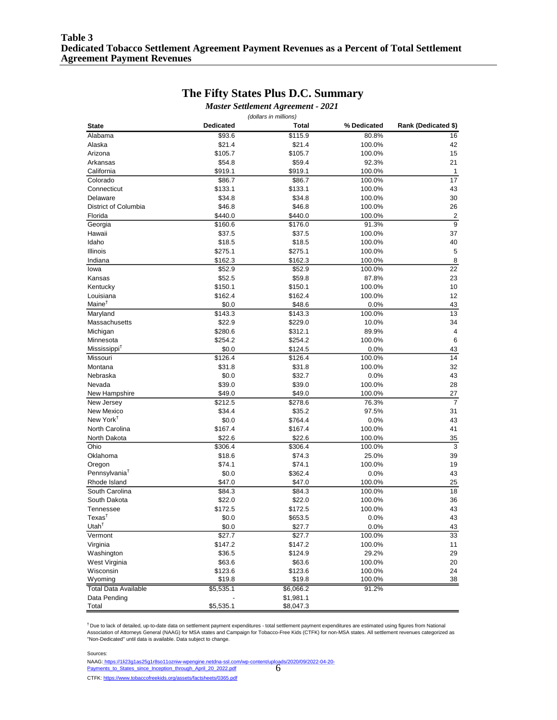### **The Fifty States Plus D.C. Summary**

*Master Settlement Agreement - 2021*

|                                            |                  | (dollars in millions) |                |                      |
|--------------------------------------------|------------------|-----------------------|----------------|----------------------|
| <b>State</b>                               | <b>Dedicated</b> | Total                 | % Dedicated    | Rank (Dedicated \$)  |
| Alabama                                    | \$93.6           | \$115.9               | 80.8%          | 16                   |
| Alaska                                     | \$21.4           | \$21.4                | 100.0%         | 42                   |
| Arizona                                    | \$105.7          | \$105.7               | 100.0%         | 15                   |
| Arkansas                                   | \$54.8           | \$59.4                | 92.3%          | 21                   |
| California                                 | \$919.1          | \$919.1               | 100.0%         | $\mathbf{1}$         |
| Colorado                                   | \$86.7           | \$86.7                | 100.0%         | 17                   |
| Connecticut                                | \$133.1          | \$133.1               | 100.0%         | 43                   |
| Delaware                                   | \$34.8           | \$34.8                | 100.0%         | 30                   |
| District of Columbia                       | \$46.8           | \$46.8                | 100.0%         | 26                   |
| Florida                                    | \$440.0          | \$440.0               | 100.0%         | $\overline{c}$       |
| Georgia                                    | \$160.6          | \$176.0               | 91.3%          | 9                    |
| Hawaii                                     | \$37.5           | \$37.5                | 100.0%         | 37                   |
| Idaho                                      | \$18.5           | \$18.5                | 100.0%         | 40                   |
| Illinois                                   | \$275.1          | \$275.1               | 100.0%         | 5                    |
| Indiana                                    | \$162.3          | \$162.3               | 100.0%         | 8                    |
| lowa                                       | \$52.9           | \$52.9                | 100.0%         | 22                   |
| Kansas                                     | \$52.5           | \$59.8                | 87.8%          | 23                   |
| Kentucky                                   | \$150.1          | \$150.1               | 100.0%         | 10                   |
| Louisiana                                  | \$162.4          | \$162.4               | 100.0%         | 12                   |
| $Maine^{\dagger}$                          | \$0.0            | \$48.6                | 0.0%           | 43                   |
| Maryland                                   | \$143.3          | \$143.3               | 100.0%         | 13                   |
| Massachusetts                              | \$22.9           | \$229.0               | 10.0%          | 34                   |
|                                            | \$280.6          | \$312.1               | 89.9%          | $\overline{4}$       |
| Michigan<br>Minnesota                      | \$254.2          |                       |                | 6                    |
| Mississippi <sup>†</sup>                   |                  | \$254.2               | 100.0%         |                      |
|                                            | \$0.0            | \$124.5               | 0.0%<br>100.0% | 43<br>14             |
| Missouri                                   | \$126.4          | \$126.4               | 100.0%         | 32                   |
| Montana                                    | \$31.8           | \$31.8                |                |                      |
| Nebraska                                   | \$0.0            | \$32.7                | 0.0%           | 43                   |
| Nevada                                     | \$39.0           | \$39.0                | 100.0%         | 28                   |
| New Hampshire                              | \$49.0           | \$49.0                | 100.0%         | 27<br>$\overline{7}$ |
| New Jersey                                 | \$212.5          | \$278.6               | 76.3%          |                      |
| <b>New Mexico</b><br>New York <sup>†</sup> | \$34.4           | \$35.2                | 97.5%          | 31                   |
|                                            | \$0.0            | \$764.4               | 0.0%           | 43                   |
| North Carolina                             | \$167.4          | \$167.4               | 100.0%         | 41                   |
| North Dakota                               | \$22.6           | \$22.6                | 100.0%         | 35                   |
| Ohio                                       | \$306.4          | \$306.4               | 100.0%         | 3                    |
| Oklahoma                                   | \$18.6           | \$74.3                | 25.0%          | 39                   |
| Oregon                                     | \$74.1           | \$74.1                | 100.0%         | 19                   |
| Pennsylvania <sup>T</sup>                  | \$0.0            | \$362.4               | 0.0%           | 43                   |
| Rhode Island                               | \$47.0           | \$47.0                | 100.0%         | 25                   |
| South Carolina                             | \$84.3           | \$84.3                | 100.0%         | 18                   |
| South Dakota                               | \$22.0           | \$22.0                | 100.0%         | 36                   |
| Tennessee                                  | \$172.5          | \$172.5               | 100.0%         | 43                   |
| $T$ exas <sup>†</sup>                      | \$0.0            | \$653.5               | 0.0%           | 43                   |
| Utah <sup><math>†</math></sup>             | \$0.0            | \$27.7                | 0.0%           | 43                   |
| Vermont                                    | \$27.7           | \$27.7                | 100.0%         | $\overline{33}$      |
| Virginia                                   | \$147.2          | \$147.2               | 100.0%         | 11                   |
| Washington                                 | \$36.5           | \$124.9               | 29.2%          | 29                   |
| West Virginia                              | \$63.6           | \$63.6                | 100.0%         | 20                   |
| Wisconsin                                  | \$123.6          | \$123.6               | 100.0%         | 24                   |
| Wyoming                                    | \$19.8           | \$19.8                | 100.0%         | 38                   |
| <b>Total Data Available</b>                | \$5,535.1        | \$6,066.2             | 91.2%          |                      |
| Data Pending                               |                  | \$1,981.1             |                |                      |
| Total                                      | \$5,535.1        | \$8,047.3             |                |                      |

<sup>†</sup> Due to lack of detailed, up-to-date data on settlement payment expenditures - total settlement payment expenditures are estimated using figures from National<br>Association of Attorneys General (NAAG) for MSA states and

6 Sources: CTFK: https://www.tobaccofreekids.org/assets/factsheets/0365.pdf NAAG: https://1li23g1as25g1r8so11ozniw-wpengine.netdna-ssl.com/wp-content/uploads/2020/09/2022-04-20- Payments to States since Inception through April 20 2022.pdf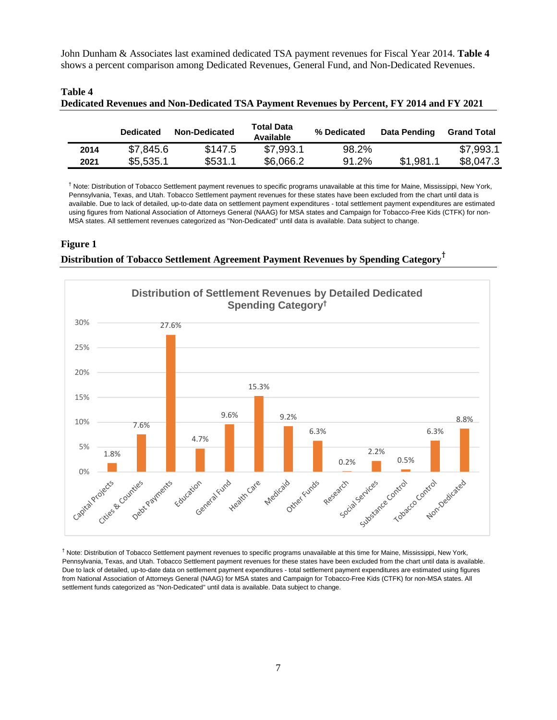John Dunham & Associates last examined dedicated TSA payment revenues for Fiscal Year 2014. **Table 4** shows a percent comparison among Dedicated Revenues, General Fund, and Non-Dedicated Revenues.

|      | <b>Dedicated</b> | <b>Non-Dedicated</b> | <b>Total Data</b><br>Available | % Dedicated | Data Pending | <b>Grand Total</b> |
|------|------------------|----------------------|--------------------------------|-------------|--------------|--------------------|
| 2014 | \$7,845.6        | \$147.5              | \$7,993.1                      | 98.2%       |              | \$7.993.1          |
| 2021 | \$5,535.1        | \$531.1              | \$6,066.2                      | 91.2%       | \$1,981.1    | \$8,047.3          |

#### **Table 4 Dedicated Revenues and Non-Dedicated TSA Payment Revenues by Percent, FY 2014 and FY 2021**

† Note: Distribution of Tobacco Settlement payment revenues to specific programs unavailable at this time for Maine, Mississippi, New York, Pennsylvania, Texas, and Utah. Tobacco Settlement payment revenues for these states have been excluded from the chart until data is available. Due to lack of detailed, up-to-date data on settlement payment expenditures - total settlement payment expenditures are estimated using figures from National Association of Attorneys General (NAAG) for MSA states and Campaign for Tobacco-Free Kids (CTFK) for non-MSA states. All settlement revenues categorized as ''Non-Dedicated'' until data is available. Data subject to change.

#### **Figure 1**

#### **Distribution of Tobacco Settlement Agreement Payment Revenues by Spending Category†**



† Note: Distribution of Tobacco Settlement payment revenues to specific programs unavailable at this time for Maine, Mississippi, New York, Pennsylvania, Texas, and Utah. Tobacco Settlement payment revenues for these states have been excluded from the chart until data is available. Due to lack of detailed, up-to-date data on settlement payment expenditures - total settlement payment expenditures are estimated using figures from National Association of Attorneys General (NAAG) for MSA states and Campaign for Tobacco-Free Kids (CTFK) for non-MSA states. All settlement funds categorized as ''Non-Dedicated'' until data is available. Data subject to change.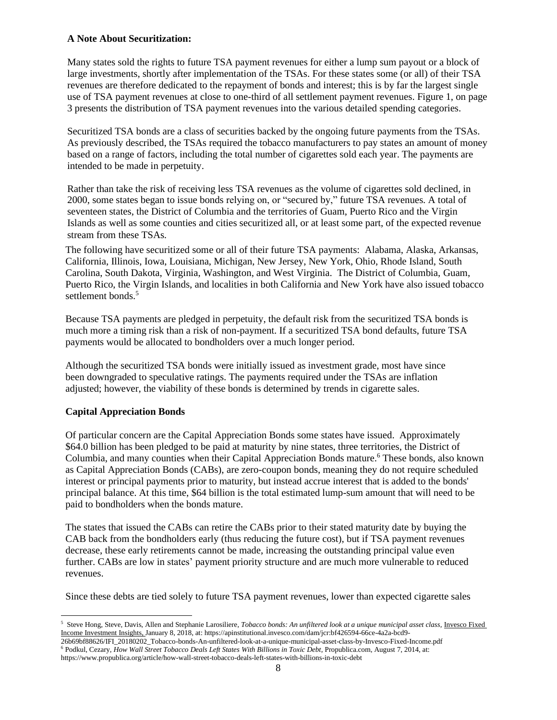#### **A Note About Securitization:**

Many states sold the rights to future TSA payment revenues for either a lump sum payout or a block of large investments, shortly after implementation of the TSAs. For these states some (or all) of their TSA revenues are therefore dedicated to the repayment of bonds and interest; this is by far the largest single use of TSA payment revenues at close to one-third of all settlement payment revenues. Figure 1, on page 3 presents the distribution of TSA payment revenues into the various detailed spending categories.

Securitized TSA bonds are a class of securities backed by the ongoing future payments from the TSAs. As previously described, the TSAs required the tobacco manufacturers to pay states an amount of money based on a range of factors, including the total number of cigarettes sold each year. The payments are intended to be made in perpetuity.

Rather than take the risk of receiving less TSA revenues as the volume of cigarettes sold declined, in 2000, some states began to issue bonds relying on, or "secured by," future TSA revenues. A total of seventeen states, the District of Columbia and the territories of Guam, Puerto Rico and the Virgin Islands as well as some counties and cities securitized all, or at least some part, of the expected revenue stream from these TSAs.

The following have securitized some or all of their future TSA payments: Alabama, Alaska, Arkansas, California, Illinois, Iowa, Louisiana, Michigan, New Jersey, New York, Ohio, Rhode Island, South Carolina, South Dakota, Virginia, Washington, and West Virginia. The District of Columbia, Guam, Puerto Rico, the Virgin Islands, and localities in both California and New York have also issued tobacco settlement bonds.<sup>5</sup>

Because TSA payments are pledged in perpetuity, the default risk from the securitized TSA bonds is much more a timing risk than a risk of non-payment. If a securitized TSA bond defaults, future TSA payments would be allocated to bondholders over a much longer period.

Although the securitized TSA bonds were initially issued as investment grade, most have since been downgraded to speculative ratings. The payments required under the TSAs are inflation adjusted; however, the viability of these bonds is determined by trends in cigarette sales.

#### **Capital Appreciation Bonds**

Of particular concern are the Capital Appreciation Bonds some states have issued. Approximately \$64.0 billion has been pledged to be paid at maturity by nine states, three territories, the District of Columbia, and many counties when their Capital Appreciation Bonds mature.<sup>6</sup> These bonds, also known as Capital Appreciation Bonds (CABs), are zero-coupon bonds, meaning they do not require scheduled interest or principal payments prior to maturity, but instead accrue interest that is added to the bonds' principal balance. At this time, \$64 billion is the total estimated lump-sum amount that will need to be paid to bondholders when the bonds mature.

The states that issued the CABs can retire the CABs prior to their stated maturity date by buying the CAB back from the bondholders early (thus reducing the future cost), but if TSA payment revenues decrease, these early retirements cannot be made, increasing the outstanding principal value even further. CABs are low in states' payment priority structure and are much more vulnerable to reduced revenues.

Since these debts are tied solely to future TSA payment revenues, lower than expected cigarette sales

<sup>5</sup> Steve Hong, Steve, Davis, Allen and Stephanie Larosiliere, *Tobacco bonds: An unfiltered look at a unique municipal asset class*, *Invesco Fixed* Income Investment Insights, January 8, 2018, at: https://apinstitutional.invesco.com/dam/jcr:bf426594-66ce-4a2a-bcd9-

<sup>26</sup>b69bf88626/IFI\_20180202\_Tobacco-bonds-An-unfiltered-look-at-a-unique-municipal-asset-class-by-Invesco-Fixed-Income.pdf <sup>6</sup> Podkul, Cezary, *How Wall Street Tobacco Deals Left States With Billions in Toxic Debt*, Propublica.com, August 7, 2014, at:

https://www.propublica.org/article/how-wall-street-tobacco-deals-left-states-with-billions-in-toxic-debt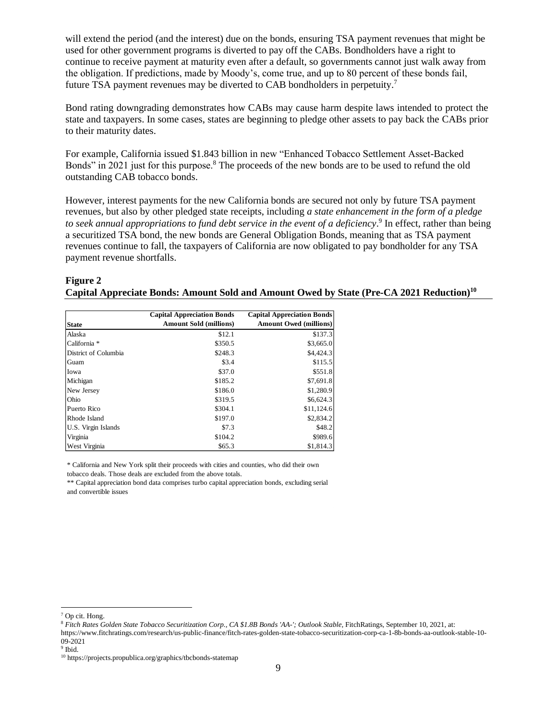will extend the period (and the interest) due on the bonds, ensuring TSA payment revenues that might be used for other government programs is diverted to pay off the CABs. Bondholders have a right to continue to receive payment at maturity even after a default, so governments cannot just walk away from the obligation. If predictions, made by Moody's, come true, and up to 80 percent of these bonds fail, future TSA payment revenues may be diverted to CAB bondholders in perpetuity.<sup>7</sup>

Bond rating downgrading demonstrates how CABs may cause harm despite laws intended to protect the state and taxpayers. In some cases, states are beginning to pledge other assets to pay back the CABs prior to their maturity dates.

For example, California issued \$1.843 billion in new "Enhanced Tobacco Settlement Asset-Backed Bonds" in 2021 just for this purpose.<sup>8</sup> The proceeds of the new bonds are to be used to refund the old outstanding CAB tobacco bonds.

However, interest payments for the new California bonds are secured not only by future TSA payment revenues, but also by other pledged state receipts, including *a state enhancement in the form of a pledge to seek annual appropriations to fund debt service in the event of a deficiency*. 9 In effect, rather than being a securitized TSA bond, the new bonds are General Obligation Bonds, meaning that as TSA payment revenues continue to fall, the taxpayers of California are now obligated to pay bondholder for any TSA payment revenue shortfalls.

#### **Figure 2 Capital Appreciate Bonds: Amount Sold and Amount Owed by State (Pre-CA 2021 Reduction)<sup>10</sup>**

|                                                             | <b>Capital Appreciation Bonds</b>                                                                                                                                                                        | <b>Capital Appreciation Bonds</b> |
|-------------------------------------------------------------|----------------------------------------------------------------------------------------------------------------------------------------------------------------------------------------------------------|-----------------------------------|
| <b>State</b>                                                | <b>Amount Sold (millions)</b>                                                                                                                                                                            | <b>Amount Owed (millions)</b>     |
| Alaska                                                      | \$12.1                                                                                                                                                                                                   | \$137.3                           |
| California *                                                | \$350.5                                                                                                                                                                                                  | \$3,665.0                         |
| District of Columbia                                        | \$248.3                                                                                                                                                                                                  | \$4,424.3                         |
| Guam                                                        | \$3.4                                                                                                                                                                                                    | \$115.5                           |
| Iowa                                                        | \$37.0                                                                                                                                                                                                   | \$551.8                           |
| Michigan                                                    | \$185.2                                                                                                                                                                                                  | \$7,691.8                         |
| New Jersey                                                  | \$186.0                                                                                                                                                                                                  | \$1,280.9                         |
| Ohio                                                        | \$319.5                                                                                                                                                                                                  | \$6,624.3                         |
| Puerto Rico                                                 | \$304.1                                                                                                                                                                                                  | \$11,124.6                        |
| Rhode Island                                                | \$197.0                                                                                                                                                                                                  | \$2,834.2                         |
| U.S. Virgin Islands                                         | \$7.3                                                                                                                                                                                                    | \$48.2                            |
| Virginia                                                    | \$104.2                                                                                                                                                                                                  | \$989.6                           |
| West Virginia                                               | \$65.3                                                                                                                                                                                                   | \$1,814.3                         |
|                                                             |                                                                                                                                                                                                          |                                   |
|                                                             |                                                                                                                                                                                                          |                                   |
|                                                             |                                                                                                                                                                                                          |                                   |
|                                                             |                                                                                                                                                                                                          |                                   |
|                                                             |                                                                                                                                                                                                          |                                   |
|                                                             |                                                                                                                                                                                                          |                                   |
| <sup>7</sup> Op cit. Hong.<br>09-2021<br><sup>9</sup> Ibid. | <sup>8</sup> Fitch Rates Golden State Tobacco Securitization Corp., CA \$1.8B Bonds 'AA-'; Outlook Stal<br>https://www.fitchratings.com/research/us-public-finance/fitch-rates-golden-state-tobacco-secu |                                   |
|                                                             | <sup>10</sup> https://projects.propublica.org/graphics/tbcbonds-statemap                                                                                                                                 |                                   |

<sup>7</sup> Op cit. Hong.

<sup>&</sup>lt;sup>8</sup> Fitch Rates Golden State Tobacco Securitization Corp., CA \$1.8B Bonds 'AA-'; Outlook Stable, FitchRatings, September 10, 2021, at:

https://www.fitchratings.com/research/us-public-finance/fitch-rates-golden-state-tobacco-securitization-corp-ca-1-8b-bonds-aa-outlook-stable-10- 09-2021

<sup>&</sup>lt;sup>9</sup> Ibid.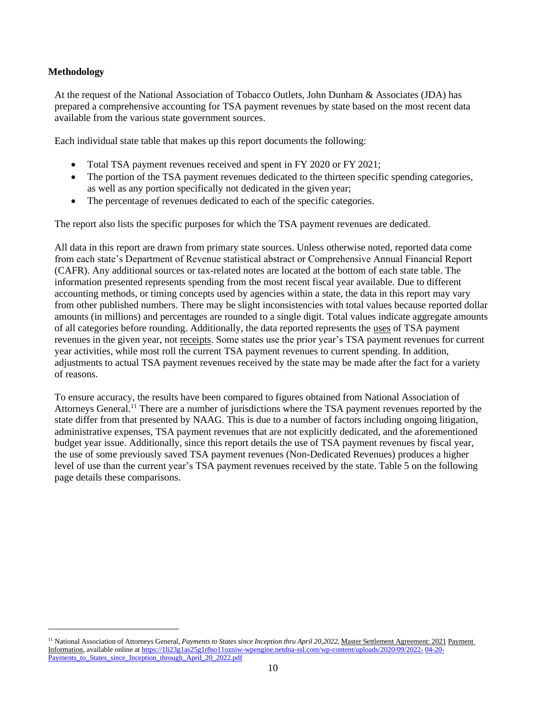#### **Methodology**

At the request of the National Association of Tobacco Outlets, John Dunham & Associates (JDA) has prepared a comprehensive accounting for TSA payment revenues by state based on the most recent data available from the various state government sources.

Each individual state table that makes up this report documents the following:

- Total TSA payment revenues received and spent in FY 2020 or FY 2021;
- The portion of the TSA payment revenues dedicated to the thirteen specific spending categories, as well as any portion specifically not dedicated in the given year;
- The percentage of revenues dedicated to each of the specific categories.

The report also lists the specific purposes for which the TSA payment revenues are dedicated.

All data in this report are drawn from primary state sources. Unless otherwise noted, reported data come from each state's Department of Revenue statistical abstract or Comprehensive Annual Financial Report (CAFR). Any additional sources or tax-related notes are located at the bottom of each state table. The information presented represents spending from the most recent fiscal year available. Due to different accounting methods, or timing concepts used by agencies within a state, the data in this report may vary from other published numbers. There may be slight inconsistencies with total values because reported dollar amounts (in millions) and percentages are rounded to a single digit. Total values indicate aggregate amounts of all categories before rounding. Additionally, the data reported represents the uses of TSA payment revenues in the given year, not receipts. Some states use the prior year's TSA payment revenues for current year activities, while most roll the current TSA payment revenues to current spending. In addition, adjustments to actual TSA payment revenues received by the state may be made after the fact for a variety of reasons.

To ensure accuracy, the results have been compared to figures obtained from National Association of Attorneys General.<sup>11</sup> There are a number of jurisdictions where the TSA payment revenues reported by the state differ from that presented by NAAG. This is due to a number of factors including ongoing litigation, administrative expenses, TSA payment revenues that are not explicitly dedicated, and the aforementioned budget year issue. Additionally, since this report details the use of TSA payment revenues by fiscal year, the use of some previously saved TSA payment revenues (Non-Dedicated Revenues) produces a higher level of use than the current year's TSA payment revenues received by the state. Table 5 on the following page details these comparisons.

<sup>11</sup> National Association of Attorneys General, *Payments to States since Inception thru April 20,2022*, Master Settlement Agreement: 2021 Payment Information, available online at [https://1li23g1as25g1r8so11ozniw-wpengine.netdna-ssl.com/wp-content/uploads/2020/09/2022-](https://1li23g1as25g1r8so11ozniw-wpengine.netdna-ssl.com/wp-content/uploads/2020/09/2022-04-20-Payments_to_States_since_Inception_through_April_20_2022.pdf) [04-20-](https://1li23g1as25g1r8so11ozniw-wpengine.netdna-ssl.com/wp-content/uploads/2020/09/2022-04-20-Payments_to_States_since_Inception_through_April_20_2022.pdf) [Payments\\_to\\_States\\_since\\_Inception\\_through\\_April\\_20\\_2022.pdf](https://1li23g1as25g1r8so11ozniw-wpengine.netdna-ssl.com/wp-content/uploads/2020/09/2022-04-20-Payments_to_States_since_Inception_through_April_20_2022.pdf)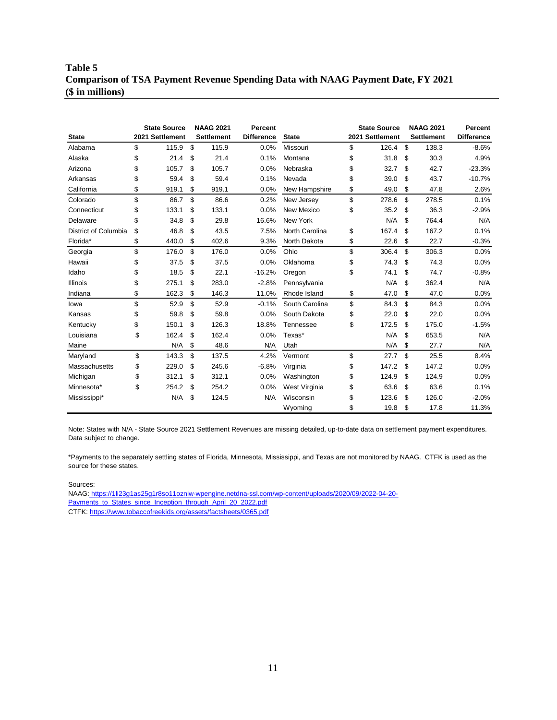### **Table 5 Comparison of TSA Payment Revenue Spending Data with NAAG Payment Date, FY 2021 (\$ in millions)**

| <b>State</b>         | <b>State Source</b><br>2021 Settlement | <b>NAAG 2021</b><br><b>Settlement</b> | Percent<br><b>Difference</b> | <b>State</b>   | <b>State Source</b><br>2021 Settlement | <b>NAAG 2021</b><br><b>Settlement</b> | Percent<br><b>Difference</b> |
|----------------------|----------------------------------------|---------------------------------------|------------------------------|----------------|----------------------------------------|---------------------------------------|------------------------------|
| Alabama              | \$<br>115.9                            | \$<br>115.9                           | 0.0%                         | Missouri       | \$<br>126.4                            | \$<br>138.3                           | $-8.6%$                      |
| Alaska               | \$<br>21.4                             | \$<br>21.4                            | 0.1%                         | Montana        | \$<br>31.8                             | \$<br>30.3                            | 4.9%                         |
| Arizona              | \$<br>105.7                            | \$<br>105.7                           | 0.0%                         | Nebraska       | \$<br>32.7                             | \$<br>42.7                            | $-23.3%$                     |
| Arkansas             | \$<br>59.4                             | \$<br>59.4                            | 0.1%                         | Nevada         | \$<br>39.0                             | \$<br>43.7                            | $-10.7%$                     |
| California           | \$<br>919.1                            | \$<br>919.1                           | 0.0%                         | New Hampshire  | \$<br>49.0                             | \$<br>47.8                            | 2.6%                         |
| Colorado             | \$<br>86.7                             | \$<br>86.6                            | 0.2%                         | New Jersey     | \$<br>278.6                            | \$<br>278.5                           | 0.1%                         |
| Connecticut          | \$<br>133.1                            | \$<br>133.1                           | 0.0%                         | New Mexico     | \$<br>35.2                             | \$<br>36.3                            | $-2.9%$                      |
| Delaware             | \$<br>34.8                             | \$<br>29.8                            | 16.6%                        | New York       | N/A                                    | \$<br>764.4                           | N/A                          |
| District of Columbia | \$<br>46.8                             | \$<br>43.5                            | 7.5%                         | North Carolina | \$<br>167.4                            | \$<br>167.2                           | 0.1%                         |
| Florida*             | \$<br>440.0                            | \$<br>402.6                           | 9.3%                         | North Dakota   | \$<br>22.6                             | \$<br>22.7                            | $-0.3%$                      |
| Georgia              | \$<br>176.0                            | \$<br>176.0                           | 0.0%                         | Ohio           | \$<br>306.4                            | \$<br>306.3                           | 0.0%                         |
| Hawaii               | \$<br>37.5                             | \$<br>37.5                            | 0.0%                         | Oklahoma       | \$<br>74.3                             | \$<br>74.3                            | 0.0%                         |
| Idaho                | \$<br>18.5                             | \$<br>22.1                            | $-16.2%$                     | Oregon         | \$<br>74.1                             | \$<br>74.7                            | $-0.8%$                      |
| <b>Illinois</b>      | \$<br>275.1                            | \$<br>283.0                           | $-2.8%$                      | Pennsylvania   | N/A                                    | \$<br>362.4                           | N/A                          |
| Indiana              | \$<br>162.3                            | \$<br>146.3                           | 11.0%                        | Rhode Island   | \$<br>47.0                             | \$<br>47.0                            | 0.0%                         |
| lowa                 | \$<br>52.9                             | \$<br>52.9                            | $-0.1%$                      | South Carolina | \$<br>84.3                             | \$<br>84.3                            | 0.0%                         |
| Kansas               | \$<br>59.8                             | \$<br>59.8                            | 0.0%                         | South Dakota   | \$<br>22.0                             | \$<br>22.0                            | 0.0%                         |
| Kentucky             | \$<br>150.1                            | \$<br>126.3                           | 18.8%                        | Tennessee      | \$<br>172.5                            | \$<br>175.0                           | $-1.5%$                      |
| Louisiana            | \$<br>162.4                            | \$<br>162.4                           | 0.0%                         | Texas*         | N/A                                    | \$<br>653.5                           | N/A                          |
| Maine                | N/A                                    | \$<br>48.6                            | N/A                          | Utah           | N/A                                    | \$<br>27.7                            | N/A                          |
| Maryland             | \$<br>143.3                            | \$<br>137.5                           | 4.2%                         | Vermont        | \$<br>27.7                             | \$<br>25.5                            | 8.4%                         |
| Massachusetts        | \$<br>229.0                            | \$<br>245.6                           | $-6.8%$                      | Virginia       | \$<br>147.2                            | \$<br>147.2                           | 0.0%                         |
| Michigan             | \$<br>312.1                            | \$<br>312.1                           | 0.0%                         | Washington     | \$<br>124.9                            | \$<br>124.9                           | 0.0%                         |
| Minnesota*           | \$<br>254.2                            | \$<br>254.2                           | 0.0%                         | West Virginia  | \$<br>63.6                             | \$<br>63.6                            | 0.1%                         |
| Mississippi*         | N/A                                    | \$<br>124.5                           | N/A                          | Wisconsin      | \$<br>123.6                            | \$<br>126.0                           | $-2.0%$                      |
|                      |                                        |                                       |                              | Wyoming        | \$<br>19.8                             | \$<br>17.8                            | 11.3%                        |

Note: States with N/A - State Source 2021 Settlement Revenues are missing detailed, up-to-date data on settlement payment expenditures. Data subject to change.

\*Payments to the separately settling states of Florida, Minnesota, Mississippi, and Texas are not monitored by NAAG. CTFK is used as the source for these states.

Sources:

CTFK: https://www.tobaccofreekids.org/assets/factsheets/0365.pdf NAAG: https://1li23g1as25g1r8so11ozniw-wpengine.netdna-ssl.com/wp-content/uploads/2020/09/2022-04-20- Payments\_to\_States\_since\_Inception\_through\_April\_20\_2022.pdf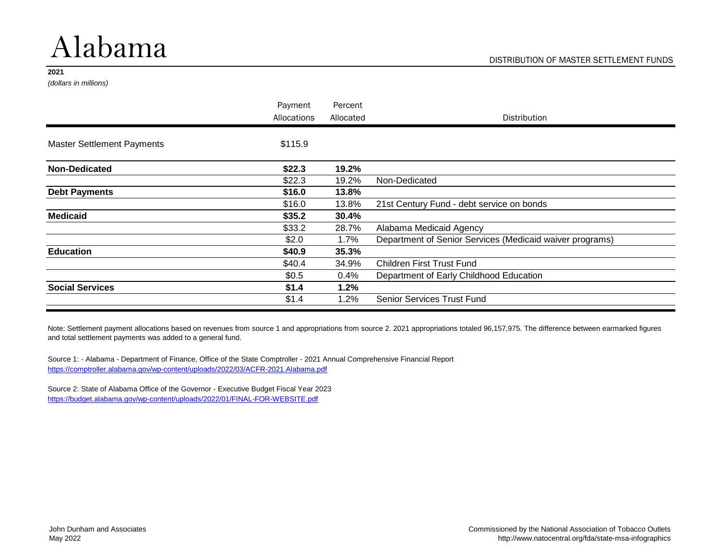# Alabama

#### **2021**

*(dollars in millions)*

| Payment     | Percent   |                                                          |
|-------------|-----------|----------------------------------------------------------|
| Allocations | Allocated | Distribution                                             |
| \$115.9     |           |                                                          |
| \$22.3      | 19.2%     |                                                          |
| \$22.3      | 19.2%     | Non-Dedicated                                            |
| \$16.0      | 13.8%     |                                                          |
| \$16.0      | 13.8%     | 21st Century Fund - debt service on bonds                |
| \$35.2      | 30.4%     |                                                          |
| \$33.2      | 28.7%     | Alabama Medicaid Agency                                  |
| \$2.0       | 1.7%      | Department of Senior Services (Medicaid waiver programs) |
| \$40.9      | 35.3%     |                                                          |
| \$40.4      | 34.9%     | <b>Children First Trust Fund</b>                         |
| \$0.5       | 0.4%      | Department of Early Childhood Education                  |
| \$1.4       | 1.2%      |                                                          |
| \$1.4       | 1.2%      | <b>Senior Services Trust Fund</b>                        |
|             |           |                                                          |

Note: Settlement payment allocations based on revenues from source 1 and appropriations from source 2. 2021 appropriations totaled 96,157,975. The difference between earmarked figures and total settlement payments was added to a general fund.

Source 1: - Alabama - Department of Finance, Office of the State Comptroller - 2021 Annual Comprehensive Financial Report <https://comptroller.alabama.gov/wp-content/uploads/2022/03/ACFR-2021.Alabama.pdf>

Source 2: State of Alabama Office of the Governor - Executive Budget Fiscal Year 2023 <https://budget.alabama.gov/wp-content/uploads/2022/01/FINAL-FOR-WEBSITE.pdf>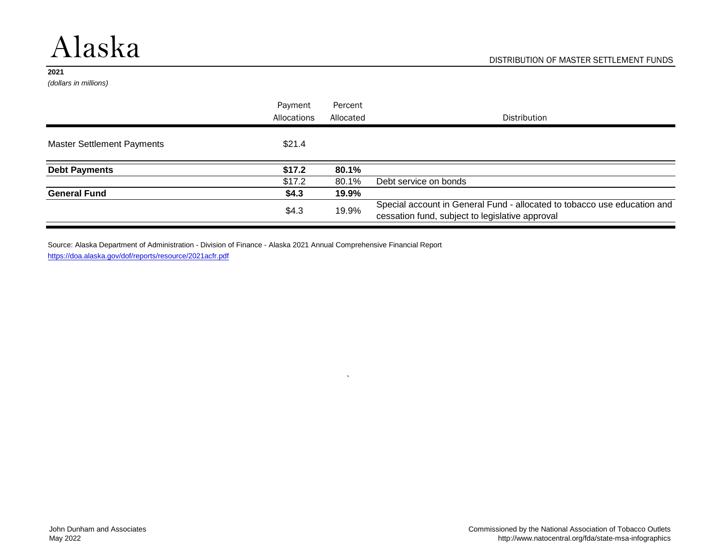# Alaska

#### **2021**

*(dollars in millions)*

|                                   | Payment<br>Allocations | Percent<br>Allocated | Distribution                                                                                                                |
|-----------------------------------|------------------------|----------------------|-----------------------------------------------------------------------------------------------------------------------------|
| <b>Master Settlement Payments</b> | \$21.4                 |                      |                                                                                                                             |
| <b>Debt Payments</b>              | \$17.2                 | 80.1%                |                                                                                                                             |
|                                   | \$17.2                 | 80.1%                | Debt service on bonds                                                                                                       |
| <b>General Fund</b>               | \$4.3                  | 19.9%                |                                                                                                                             |
|                                   | \$4.3                  | 19.9%                | Special account in General Fund - allocated to tobacco use education and<br>cessation fund, subject to legislative approval |

`

Source: Alaska Department of Administration - Division of Finance - Alaska 2021 Annual Comprehensive Financial Report <https://doa.alaska.gov/dof/reports/resource/2021acfr.pdf>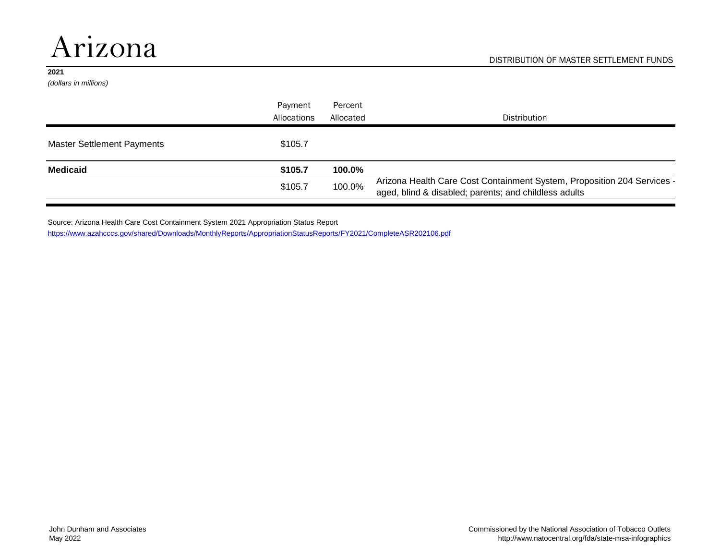# Arizona

#### **2021**

*(dollars in millions)*

|                                   | Payment     | Percent   |                                                                                                                                  |
|-----------------------------------|-------------|-----------|----------------------------------------------------------------------------------------------------------------------------------|
|                                   | Allocations | Allocated | <b>Distribution</b>                                                                                                              |
| <b>Master Settlement Payments</b> | \$105.7     |           |                                                                                                                                  |
| <b>Medicaid</b>                   | \$105.7     | 100.0%    |                                                                                                                                  |
|                                   | \$105.7     | 100.0%    | Arizona Health Care Cost Containment System, Proposition 204 Services -<br>aged, blind & disabled; parents; and childless adults |

Source: Arizona Health Care Cost Containment System 2021 Appropriation Status Report <https://www.azahcccs.gov/shared/Downloads/MonthlyReports/AppropriationStatusReports/FY2021/CompleteASR202106.pdf>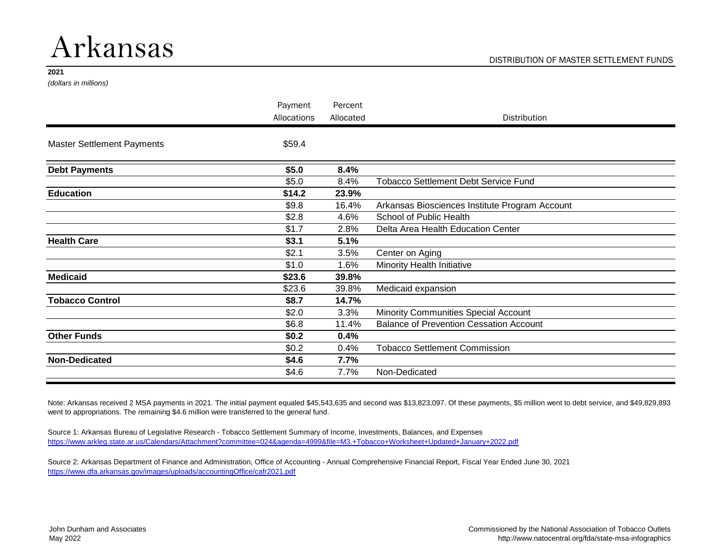### Arkansas

#### **2021**

*(dollars in millions)*

| Payment     | Percent   |                                                |
|-------------|-----------|------------------------------------------------|
| Allocations | Allocated | <b>Distribution</b>                            |
| \$59.4      |           |                                                |
| \$5.0       | 8.4%      |                                                |
| \$5.0       | 8.4%      | <b>Tobacco Settlement Debt Service Fund</b>    |
| \$14.2      | 23.9%     |                                                |
| \$9.8       | 16.4%     | Arkansas Biosciences Institute Program Account |
| \$2.8       | 4.6%      | School of Public Health                        |
| \$1.7       | 2.8%      | Delta Area Health Education Center             |
| \$3.1       | 5.1%      |                                                |
| \$2.1       | 3.5%      | Center on Aging                                |
| \$1.0       | 1.6%      | Minority Health Initiative                     |
| \$23.6      | 39.8%     |                                                |
| \$23.6      | 39.8%     | Medicaid expansion                             |
| \$8.7       | 14.7%     |                                                |
| \$2.0       | 3.3%      | Minority Communities Special Account           |
| \$6.8       | 11.4%     | <b>Balance of Prevention Cessation Account</b> |
| \$0.2\$     | 0.4%      |                                                |
| \$0.2\$     | 0.4%      | <b>Tobacco Settlement Commission</b>           |
| \$4.6       | 7.7%      |                                                |
| \$4.6       | 7.7%      | Non-Dedicated                                  |
|             |           |                                                |

Note: Arkansas received 2 MSA payments in 2021. The initial payment equaled \$45,543,635 and second was \$13,823,097. Of these payments, \$5 million went to debt service, and \$49,829,893 went to appropriations. The remaining \$4.6 million were transferred to the general fund.

Source 1: Arkansas Bureau of Legislative Research - Tobacco Settlement Summary of Income, Investments, Balances, and Expenses <https://www.arkleg.state.ar.us/Calendars/Attachment?committee=024&agenda=4999&file=M3.+Tobacco+Worksheet+Updated+January+2022.pdf>

Source 2: Arkansas Department of Finance and Administration, Office of Accounting - Annual Comprehensive Financial Report, Fiscal Year Ended June 30, 2021 <https://www.dfa.arkansas.gov/images/uploads/accountingOffice/cafr2021.pdf>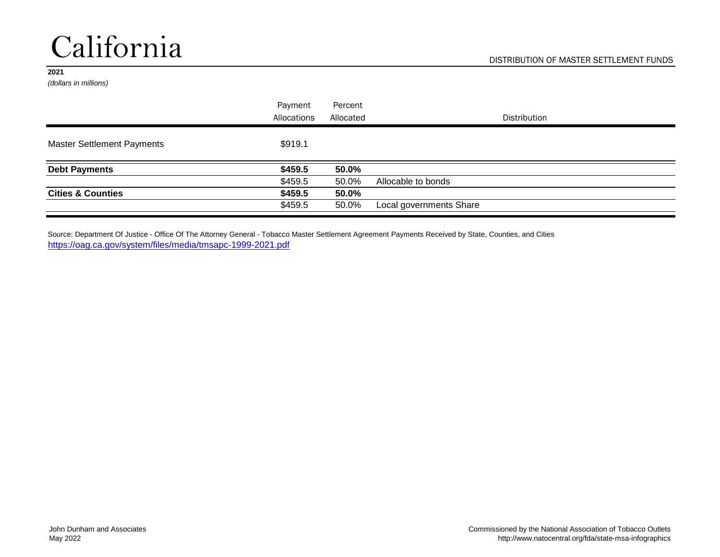# California

#### **2021**

*(dollars in millions)*

|                                   | Payment     | Percent   |                         |
|-----------------------------------|-------------|-----------|-------------------------|
|                                   | Allocations | Allocated | <b>Distribution</b>     |
| <b>Master Settlement Payments</b> | \$919.1     |           |                         |
| <b>Debt Payments</b>              | \$459.5     | 50.0%     |                         |
|                                   | \$459.5     | 50.0%     | Allocable to bonds      |
| <b>Cities &amp; Counties</b>      | \$459.5     | 50.0%     |                         |
|                                   | \$459.5     | 50.0%     | Local governments Share |

Source: Department Of Justice - Office Of The Attorney General - Tobacco Master Settlement Agreement Payments Received by State, Counties, and Cities <https://oag.ca.gov/system/files/media/tmsapc-1999-2021.pdf>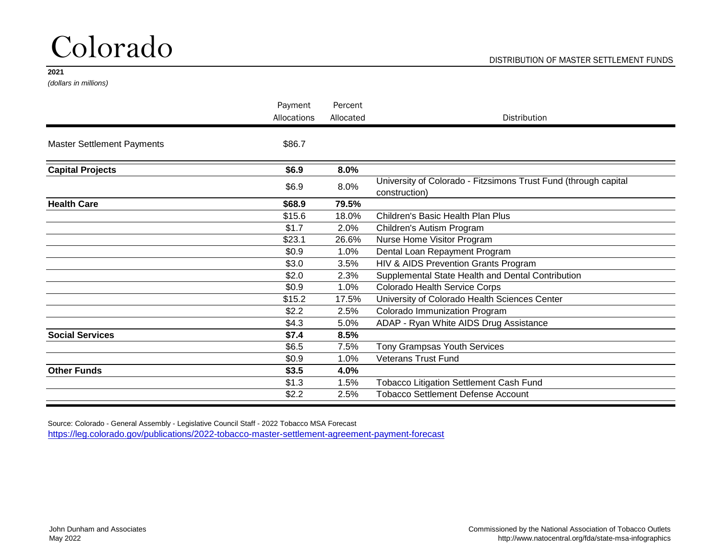# Colorado

#### **2021**

*(dollars in millions)*

|                                   | Payment     | Percent   |                                                                                  |
|-----------------------------------|-------------|-----------|----------------------------------------------------------------------------------|
|                                   | Allocations | Allocated | <b>Distribution</b>                                                              |
| <b>Master Settlement Payments</b> | \$86.7      |           |                                                                                  |
| <b>Capital Projects</b>           | \$6.9       | 8.0%      |                                                                                  |
|                                   | \$6.9       | 8.0%      | University of Colorado - Fitzsimons Trust Fund (through capital<br>construction) |
| <b>Health Care</b>                | \$68.9      | 79.5%     |                                                                                  |
|                                   | \$15.6      | 18.0%     | <b>Children's Basic Health Plan Plus</b>                                         |
|                                   | \$1.7       | 2.0%      | Children's Autism Program                                                        |
|                                   | \$23.1      | 26.6%     | Nurse Home Visitor Program                                                       |
|                                   | \$0.9       | 1.0%      | Dental Loan Repayment Program                                                    |
|                                   | \$3.0       | 3.5%      | HIV & AIDS Prevention Grants Program                                             |
|                                   | \$2.0       | 2.3%      | Supplemental State Health and Dental Contribution                                |
|                                   | \$0.9       | 1.0%      | Colorado Health Service Corps                                                    |
|                                   | \$15.2      | 17.5%     | University of Colorado Health Sciences Center                                    |
|                                   | \$2.2       | 2.5%      | Colorado Immunization Program                                                    |
|                                   | \$4.3       | 5.0%      | ADAP - Ryan White AIDS Drug Assistance                                           |
| <b>Social Services</b>            | \$7.4       | 8.5%      |                                                                                  |
|                                   | \$6.5       | 7.5%      | Tony Grampsas Youth Services                                                     |
|                                   | \$0.9       | 1.0%      | <b>Veterans Trust Fund</b>                                                       |
| <b>Other Funds</b>                | \$3.5       | 4.0%      |                                                                                  |
|                                   | \$1.3       | 1.5%      | <b>Tobacco Litigation Settlement Cash Fund</b>                                   |
|                                   | \$2.2       | 2.5%      | <b>Tobacco Settlement Defense Account</b>                                        |

Source: Colorado - General Assembly - Legislative Council Staff - 2022 Tobacco MSA Forecast <https://leg.colorado.gov/publications/2022-tobacco-master-settlement-agreement-payment-forecast>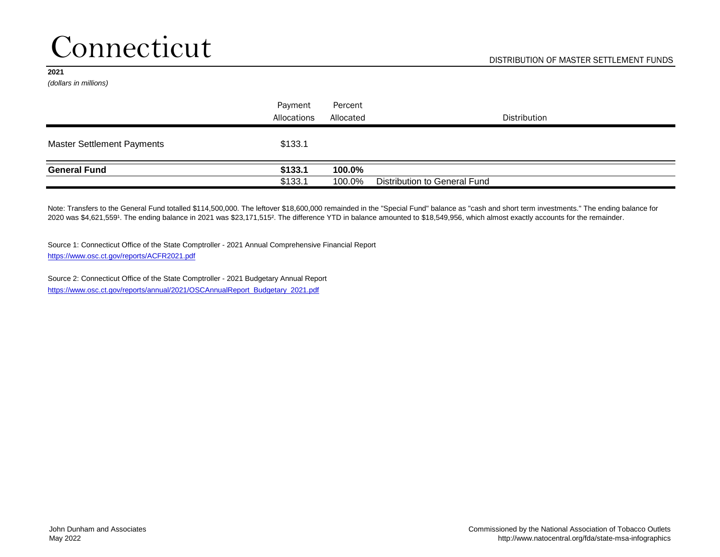### Connecticut

#### **2021**

*(dollars in millions)*

|                                   | Payment     | Percent   |                              |
|-----------------------------------|-------------|-----------|------------------------------|
|                                   | Allocations | Allocated | Distribution                 |
| <b>Master Settlement Payments</b> | \$133.1     |           |                              |
| <b>General Fund</b>               | \$133.1     | 100.0%    |                              |
|                                   | \$133.1     | 100.0%    | Distribution to General Fund |

Note: Transfers to the General Fund totalled \$114,500,000. The leftover \$18,600,000 remainded in the "Special Fund" balance as "cash and short term investments." The ending balance for 2020 was \$4,621,5591. The ending balance in 2021 was \$23,171,515<sup>2</sup>. The difference YTD in balance amounted to \$18,549,956, which almost exactly accounts for the remainder.

Source 1: Connecticut Office of the State Comptroller - 2021 Annual Comprehensive Financial Report <https://www.osc.ct.gov/reports/ACFR2021.pdf>

Source 2: Connecticut Office of the State Comptroller - 2021 Budgetary Annual Report [https://www.osc.ct.gov/reports/annual/2021/OSCAnnualReport\\_Budgetary\\_2021.pdf](https://www.osc.ct.gov/reports/annual/2021/OSCAnnualReport_Budgetary_2021.pdf)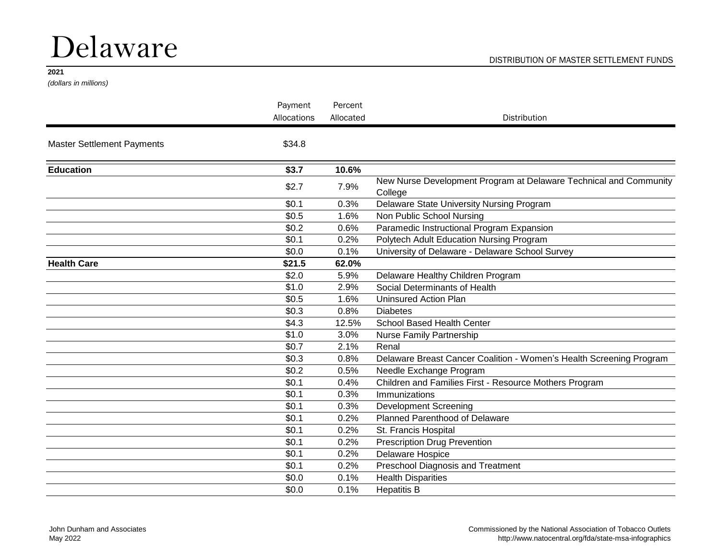# Delaware

#### **2021**

*(dollars in millions)*

|                                        | Payment     | Percent   |                                                                              |
|----------------------------------------|-------------|-----------|------------------------------------------------------------------------------|
|                                        | Allocations | Allocated | <b>Distribution</b>                                                          |
| <b>Master Settlement Payments</b>      | \$34.8      |           |                                                                              |
| <b>Education</b><br><b>Health Care</b> | \$3.7       | 10.6%     |                                                                              |
|                                        | \$2.7       | 7.9%      | New Nurse Development Program at Delaware Technical and Community<br>College |
|                                        | \$0.1       | 0.3%      | Delaware State University Nursing Program                                    |
|                                        | \$0.5       | 1.6%      | Non Public School Nursing                                                    |
|                                        | \$0.2       | 0.6%      | Paramedic Instructional Program Expansion                                    |
|                                        | \$0.1       | 0.2%      | Polytech Adult Education Nursing Program                                     |
|                                        | \$0.0       | 0.1%      | University of Delaware - Delaware School Survey                              |
|                                        | \$21.5      | 62.0%     |                                                                              |
|                                        | \$2.0       | 5.9%      | Delaware Healthy Children Program                                            |
|                                        | \$1.0       | 2.9%      | Social Determinants of Health                                                |
|                                        | \$0.5       | 1.6%      | <b>Uninsured Action Plan</b>                                                 |
|                                        | \$0.3       | 0.8%      | <b>Diabetes</b>                                                              |
|                                        | \$4.3       | 12.5%     | School Based Health Center                                                   |
|                                        | \$1.0       | 3.0%      | Nurse Family Partnership                                                     |
|                                        | \$0.7       | 2.1%      | Renal                                                                        |
|                                        | \$0.3       | 0.8%      | Delaware Breast Cancer Coalition - Women's Health Screening Program          |
|                                        | \$0.2       | 0.5%      | Needle Exchange Program                                                      |
|                                        | \$0.1       | 0.4%      | Children and Families First - Resource Mothers Program                       |
|                                        | \$0.1       | 0.3%      | Immunizations                                                                |
|                                        | \$0.1       | 0.3%      | <b>Development Screening</b>                                                 |
|                                        | \$0.1       | 0.2%      | Planned Parenthood of Delaware                                               |
|                                        | \$0.1       | 0.2%      | St. Francis Hospital                                                         |
|                                        | \$0.1       | 0.2%      | <b>Prescription Drug Prevention</b>                                          |
|                                        | \$0.1       | 0.2%      | Delaware Hospice                                                             |
|                                        | \$0.1       | 0.2%      | Preschool Diagnosis and Treatment                                            |
|                                        | \$0.0       | 0.1%      | <b>Health Disparities</b>                                                    |
|                                        | \$0.0       | 0.1%      | <b>Hepatitis B</b>                                                           |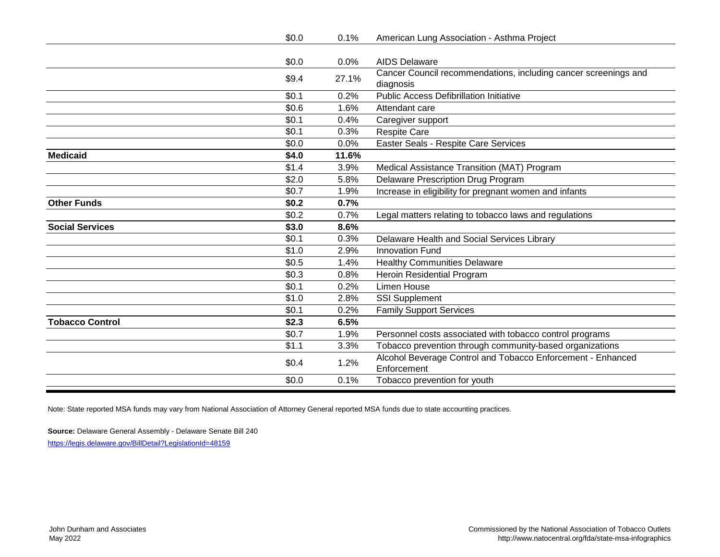| \$0.0<br><b>AIDS Delaware</b><br>0.0%<br>Cancer Council recommendations, including cancer screenings and<br>\$9.4<br>27.1%<br>diagnosis<br><b>Public Access Defibrillation Initiative</b><br>\$0.1<br>0.2% |  |
|------------------------------------------------------------------------------------------------------------------------------------------------------------------------------------------------------------|--|
|                                                                                                                                                                                                            |  |
|                                                                                                                                                                                                            |  |
|                                                                                                                                                                                                            |  |
|                                                                                                                                                                                                            |  |
|                                                                                                                                                                                                            |  |
| \$0.6<br>1.6%<br>Attendant care                                                                                                                                                                            |  |
| \$0.1<br>0.4%<br>Caregiver support                                                                                                                                                                         |  |
| \$0.1<br><b>Respite Care</b><br>0.3%                                                                                                                                                                       |  |
| \$0.0<br>0.0%<br>Easter Seals - Respite Care Services                                                                                                                                                      |  |
| \$4.0<br><b>Medicaid</b><br>11.6%                                                                                                                                                                          |  |
| \$1.4<br>3.9%<br>Medical Assistance Transition (MAT) Program                                                                                                                                               |  |
| \$2.0<br>5.8%<br><b>Delaware Prescription Drug Program</b>                                                                                                                                                 |  |
| \$0.7<br>1.9%<br>Increase in eligibility for pregnant women and infants                                                                                                                                    |  |
| <b>Other Funds</b><br>\$0.2<br>0.7%                                                                                                                                                                        |  |
| \$0.2<br>0.7%<br>Legal matters relating to tobacco laws and regulations                                                                                                                                    |  |
| \$3.0<br><b>Social Services</b><br>8.6%                                                                                                                                                                    |  |
| \$0.1<br>0.3%<br>Delaware Health and Social Services Library                                                                                                                                               |  |
| \$1.0<br>2.9%<br><b>Innovation Fund</b>                                                                                                                                                                    |  |
| \$0.5<br>1.4%<br><b>Healthy Communities Delaware</b>                                                                                                                                                       |  |
| \$0.3<br>Heroin Residential Program<br>0.8%                                                                                                                                                                |  |
| \$0.1<br><b>Limen House</b><br>0.2%                                                                                                                                                                        |  |
| \$1.0<br>2.8%<br><b>SSI Supplement</b>                                                                                                                                                                     |  |
| \$0.1<br>0.2%<br><b>Family Support Services</b>                                                                                                                                                            |  |
| <b>Tobacco Control</b><br>\$2.3<br>6.5%                                                                                                                                                                    |  |
| \$0.7<br>1.9%<br>Personnel costs associated with tobacco control programs                                                                                                                                  |  |
| \$1.1<br>Tobacco prevention through community-based organizations<br>3.3%                                                                                                                                  |  |
| Alcohol Beverage Control and Tobacco Enforcement - Enhanced<br>\$0.4<br>1.2%                                                                                                                               |  |
| Enforcement                                                                                                                                                                                                |  |
| \$0.0<br>Tobacco prevention for youth<br>0.1%                                                                                                                                                              |  |

Note: State reported MSA funds may vary from National Association of Attorney General reported MSA funds due to state accounting practices.

**Source:** Delaware General Assembly - Delaware Senate Bill 240 <https://legis.delaware.gov/BillDetail?LegislationId=48159>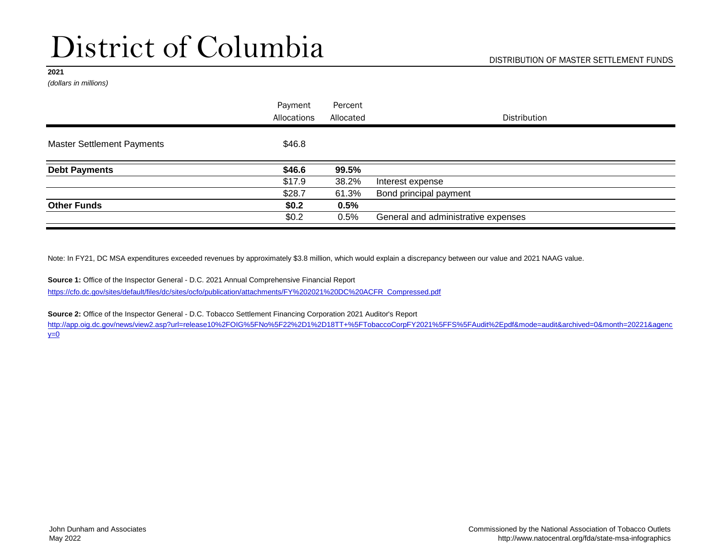# District of Columbia

#### **2021**

*(dollars in millions)*

|                                   | Payment     | Percent   |                                     |  |
|-----------------------------------|-------------|-----------|-------------------------------------|--|
|                                   | Allocations | Allocated | <b>Distribution</b>                 |  |
| <b>Master Settlement Payments</b> | \$46.8      |           |                                     |  |
| <b>Debt Payments</b>              | \$46.6      | 99.5%     |                                     |  |
|                                   | \$17.9      | 38.2%     | Interest expense                    |  |
|                                   | \$28.7      | 61.3%     | Bond principal payment              |  |
| <b>Other Funds</b>                | \$0.2\$     | 0.5%      |                                     |  |
|                                   | \$0.2\$     | 0.5%      | General and administrative expenses |  |

Note: In FY21, DC MSA expenditures exceeded revenues by approximately \$3.8 million, which would explain a discrepancy between our value and 2021 NAAG value.

**Source 1:** Office of the Inspector General - D.C. 2021 Annual Comprehensive Financial Report [https://cfo.dc.gov/sites/default/files/dc/sites/ocfo/publication/attachments/FY%202021%20DC%20ACFR\\_Compressed.pdf](https://cfo.dc.gov/sites/default/files/dc/sites/ocfo/publication/attachments/FY 2021 DC ACFR_Compressed.pdf)

**Source 2:** Office of the Inspector General - D.C. Tobacco Settlement Financing Corporation 2021 Auditor's Report

[http://app.oig.dc.gov/news/view2.asp?url=release10%2FOIG%5FNo](http://app.oig.dc.gov/news/view2.asp?url=release10%2FOIG%5FNo%5F22%2D1%2D18TT+%5FTobaccoCorpFY2021%5FFS%5FAudit%2Epdf&mode=audit&archived=0&month=20221&agency=0)%5F22%2D1%2D18TT+%5FTobaccoCorpFY2021%5FFS%5FAudit%2Epdf&mode=audit&archived=0&month=20221&agenc  $y=0$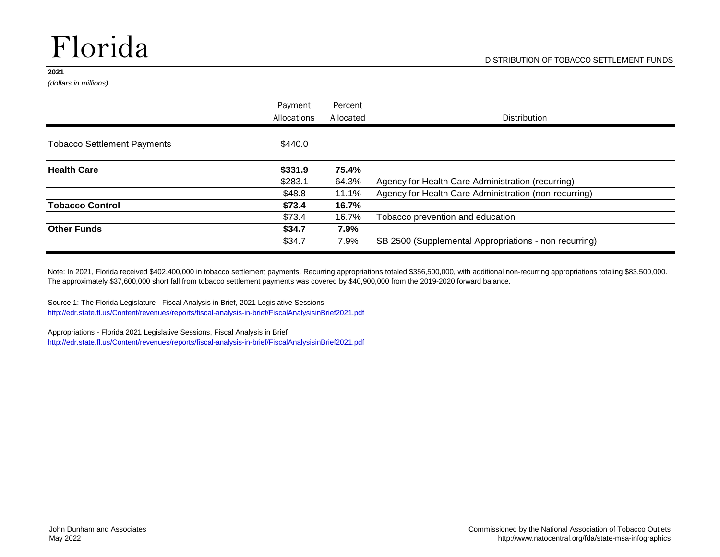# Florida

#### **2021**

*(dollars in millions)*

|                                    | Payment     | Percent   |                                                       |
|------------------------------------|-------------|-----------|-------------------------------------------------------|
|                                    | Allocations | Allocated | <b>Distribution</b>                                   |
| <b>Tobacco Settlement Payments</b> | \$440.0     |           |                                                       |
| <b>Health Care</b>                 | \$331.9     | 75.4%     |                                                       |
|                                    | \$283.1     | 64.3%     | Agency for Health Care Administration (recurring)     |
|                                    | \$48.8      | 11.1%     | Agency for Health Care Administration (non-recurring) |
| <b>Tobacco Control</b>             | \$73.4      | 16.7%     |                                                       |
|                                    | \$73.4      | 16.7%     | Tobacco prevention and education                      |
| <b>Other Funds</b>                 | \$34.7      | 7.9%      |                                                       |
|                                    | \$34.7      | 7.9%      | SB 2500 (Supplemental Appropriations - non recurring) |

Note: In 2021, Florida received \$402,400,000 in tobacco settlement payments. Recurring appropriations totaled \$356,500,000, with additional non-recurring appropriations totaling \$83,500,000. The approximately \$37,600,000 short fall from tobacco settlement payments was covered by \$40,900,000 from the 2019-2020 forward balance.

Source 1: The Florida Legislature - Fiscal Analysis in Brief, 2021 Legislative Sessions <http://edr.state.fl.us/Content/revenues/reports/fiscal-analysis-in-brief/FiscalAnalysisinBrief2021.pdf>

Appropriations - Florida 2021 Legislative Sessions, Fiscal Analysis in Brief <http://edr.state.fl.us/Content/revenues/reports/fiscal-analysis-in-brief/FiscalAnalysisinBrief2021.pdf>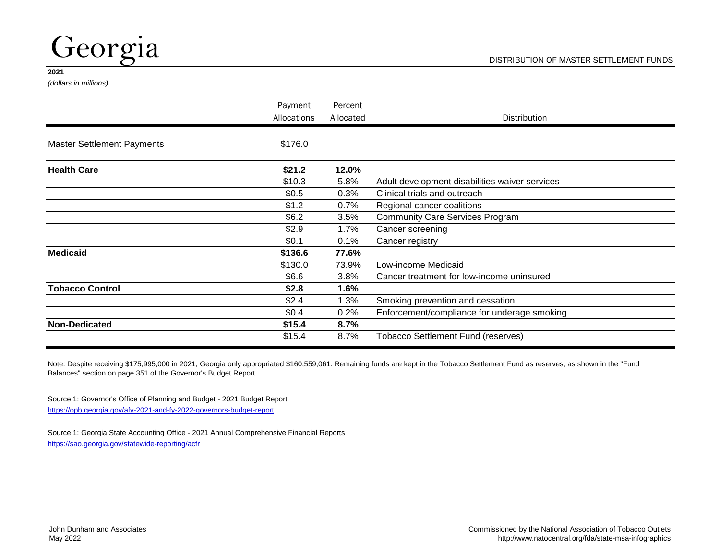## Georgia

#### **2021**

*(dollars in millions)*

|                                   | Payment                                                                                                                                                                          | Percent                                        |                                             |
|-----------------------------------|----------------------------------------------------------------------------------------------------------------------------------------------------------------------------------|------------------------------------------------|---------------------------------------------|
|                                   | Allocations                                                                                                                                                                      | Allocated                                      | <b>Distribution</b>                         |
| <b>Master Settlement Payments</b> | \$176.0                                                                                                                                                                          |                                                |                                             |
| <b>Health Care</b>                | \$21.2                                                                                                                                                                           | 12.0%                                          |                                             |
|                                   | \$10.3<br>5.8%<br>\$0.5<br>0.3%<br>\$1.2<br>$0.7\%$<br>\$6.2<br>3.5%<br>\$2.9<br>1.7%<br>\$0.1<br>0.1%<br>\$136.6<br>77.6%<br>\$130.0<br>73.9%<br>\$6.6<br>3.8%<br>\$2.8<br>1.6% | Adult development disabilities waiver services |                                             |
|                                   |                                                                                                                                                                                  |                                                | Clinical trials and outreach                |
|                                   |                                                                                                                                                                                  |                                                | Regional cancer coalitions                  |
|                                   |                                                                                                                                                                                  |                                                | <b>Community Care Services Program</b>      |
|                                   |                                                                                                                                                                                  |                                                | Cancer screening                            |
|                                   |                                                                                                                                                                                  |                                                | Cancer registry                             |
| <b>Medicaid</b>                   |                                                                                                                                                                                  |                                                |                                             |
|                                   | \$2.4<br>1.3%<br>\$0.4<br>0.2%<br>\$15.4<br>8.7%<br>\$15.4<br>8.7%                                                                                                               | Low-income Medicaid                            |                                             |
|                                   |                                                                                                                                                                                  |                                                | Cancer treatment for low-income uninsured   |
| <b>Tobacco Control</b>            |                                                                                                                                                                                  |                                                |                                             |
|                                   |                                                                                                                                                                                  |                                                | Smoking prevention and cessation            |
|                                   |                                                                                                                                                                                  |                                                | Enforcement/compliance for underage smoking |
| <b>Non-Dedicated</b>              |                                                                                                                                                                                  |                                                |                                             |
|                                   |                                                                                                                                                                                  |                                                | Tobacco Settlement Fund (reserves)          |

Note: Despite receiving \$175,995,000 in 2021, Georgia only appropriated \$160,559,061. Remaining funds are kept in the Tobacco Settlement Fund as reserves, as shown in the "Fund Balances" section on page 351 of the Governor's Budget Report.

Source 1: Governor's Office of Planning and Budget - 2021 Budget Report <https://opb.georgia.gov/afy-2021-and-fy-2022-governors-budget-report>

Source 1: Georgia State Accounting Office - 2021 Annual Comprehensive Financial Reports <https://sao.georgia.gov/statewide-reporting/acfr>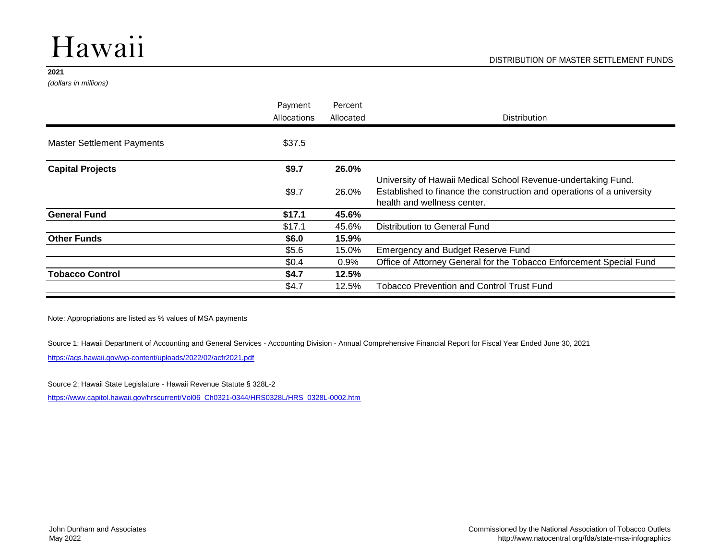# Hawaii

#### **2021**

*(dollars in millions)*

|                                                                                                                                                                                                              | Payment<br>Allocations | Percent<br>Allocated         | <b>Distribution</b>                                                    |
|--------------------------------------------------------------------------------------------------------------------------------------------------------------------------------------------------------------|------------------------|------------------------------|------------------------------------------------------------------------|
|                                                                                                                                                                                                              |                        |                              |                                                                        |
| <b>Master Settlement Payments</b>                                                                                                                                                                            |                        |                              |                                                                        |
| <b>Capital Projects</b>                                                                                                                                                                                      | \$9.7                  | 26.0%                        |                                                                        |
|                                                                                                                                                                                                              |                        |                              | University of Hawaii Medical School Revenue-undertaking Fund.          |
|                                                                                                                                                                                                              | \$9.7                  | 26.0%                        | Established to finance the construction and operations of a university |
|                                                                                                                                                                                                              |                        |                              | health and wellness center.                                            |
| \$37.5<br>\$17.1<br><b>General Fund</b><br>45.6%<br>\$17.1<br>45.6%<br><b>Other Funds</b><br>\$6.0<br>15.9%<br>\$5.6<br>15.0%<br>\$0.4<br>0.9%<br><b>Tobacco Control</b><br>\$4.7<br>12.5%<br>\$4.7<br>12.5% |                        |                              |                                                                        |
|                                                                                                                                                                                                              |                        | Distribution to General Fund |                                                                        |
|                                                                                                                                                                                                              |                        |                              |                                                                        |
|                                                                                                                                                                                                              |                        |                              | <b>Emergency and Budget Reserve Fund</b>                               |
|                                                                                                                                                                                                              |                        |                              | Office of Attorney General for the Tobacco Enforcement Special Fund    |
|                                                                                                                                                                                                              |                        |                              |                                                                        |
|                                                                                                                                                                                                              |                        |                              | <b>Tobacco Prevention and Control Trust Fund</b>                       |
|                                                                                                                                                                                                              |                        |                              |                                                                        |

Note: Appropriations are listed as % values of MSA payments

Source 1: Hawaii Department of Accounting and General Services - Accounting Division - Annual Comprehensive Financial Report for Fiscal Year Ended June 30, 2021

<https://ags.hawaii.gov/wp-content/uploads/2022/02/acfr2021.pdf>

Source 2: Hawaii State Legislature - Hawaii Revenue Statute § 328L-2

[https://www.capitol.hawaii.gov/hrscurrent/Vol06\\_Ch0321-0344/HRS0328L/HRS\\_0328L-0002.htm](https://www.capitol.hawaii.gov/hrscurrent/Vol06_Ch0321-0344/HRS0328L/HRS_0328L-0002.htm)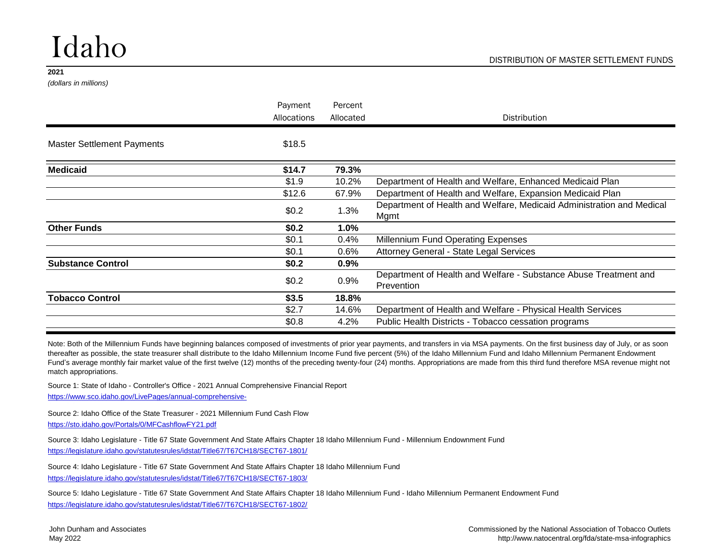# Idaho

*(dollars in millions)*

|                                                                                                                                                                                                                            | Payment     | Percent   |                                                                                |
|----------------------------------------------------------------------------------------------------------------------------------------------------------------------------------------------------------------------------|-------------|-----------|--------------------------------------------------------------------------------|
|                                                                                                                                                                                                                            | Allocations | Allocated | <b>Distribution</b>                                                            |
| <b>Master Settlement Payments</b>                                                                                                                                                                                          | \$18.5      |           |                                                                                |
| \$14.7<br>79.3%<br>\$1.9<br>10.2%<br>\$12.6<br>67.9%<br>\$0.2\$<br>1.3%<br>\$0.2\$<br>1.0%<br>\$0.1<br>0.4%<br>\$0.1<br>$0.6\%$<br>\$0.2\$<br>0.9%<br>\$0.2\$<br>0.9%<br>\$3.5<br>18.8%<br>\$2.7<br>14.6%<br>\$0.8<br>4.2% |             |           |                                                                                |
|                                                                                                                                                                                                                            |             |           | Department of Health and Welfare, Enhanced Medicaid Plan                       |
|                                                                                                                                                                                                                            |             |           | Department of Health and Welfare, Expansion Medicaid Plan                      |
|                                                                                                                                                                                                                            |             |           | Department of Health and Welfare, Medicaid Administration and Medical<br>Mgmt  |
| <b>Medicaid</b><br><b>Other Funds</b><br><b>Substance Control</b><br><b>Tobacco Control</b>                                                                                                                                |             |           |                                                                                |
|                                                                                                                                                                                                                            |             |           | <b>Millennium Fund Operating Expenses</b>                                      |
|                                                                                                                                                                                                                            |             |           | <b>Attorney General - State Legal Services</b>                                 |
|                                                                                                                                                                                                                            |             |           |                                                                                |
|                                                                                                                                                                                                                            |             |           | Department of Health and Welfare - Substance Abuse Treatment and<br>Prevention |
|                                                                                                                                                                                                                            |             |           |                                                                                |
|                                                                                                                                                                                                                            |             |           | Department of Health and Welfare - Physical Health Services                    |
|                                                                                                                                                                                                                            |             |           | Public Health Districts - Tobacco cessation programs                           |
|                                                                                                                                                                                                                            |             |           |                                                                                |

Note: Both of the Millennium Funds have beginning balances composed of investments of prior year payments, and transfers in via MSA payments. On the first business day of July, or as soon thereafter as possible, the state treasurer shall distribute to the Idaho Millennium Income Fund five percent (5%) of the Idaho Millennium Fund and Idaho Millennium Permanent Endowment Fund's average monthly fair market value of the first twelve (12) months of the preceding twenty-four (24) months. Appropriations are made from this third fund therefore MSA revenue might not match appropriations.

Source 1: State of Idaho - Controller's Office - 2021 Annual Comprehensive Financial Report

[https://www.sco.idaho.gov/LivePages/annual-comprehensive-](https://www.sco.idaho.gov/LivePages/annual-comprehensive-financial-reports.aspx)

Source 2: Idaho Office of the State Treasurer - 2021 Millennium Fund Cash Flow <https://sto.idaho.gov/Portals/0/MFCashflowFY21.pdf>

Source 3: Idaho Legislature - Title 67 State Government And State Affairs Chapter 18 Idaho Millennium Fund - Millennium Endownment Fund <https://legislature.idaho.gov/statutesrules/idstat/Title67/T67CH18/SECT67-1801/>

Source 4: Idaho Legislature - Title 67 State Government And State Affairs Chapter 18 Idaho Millennium Fund

<https://legislature.idaho.gov/statutesrules/idstat/Title67/T67CH18/SECT67-1803/>

<https://legislature.idaho.gov/statutesrules/idstat/Title67/T67CH18/SECT67-1802/> Source 5: Idaho Legislature - Title 67 State Government And State Affairs Chapter 18 Idaho Millennium Fund - Idaho Millennium Permanent Endowment Fund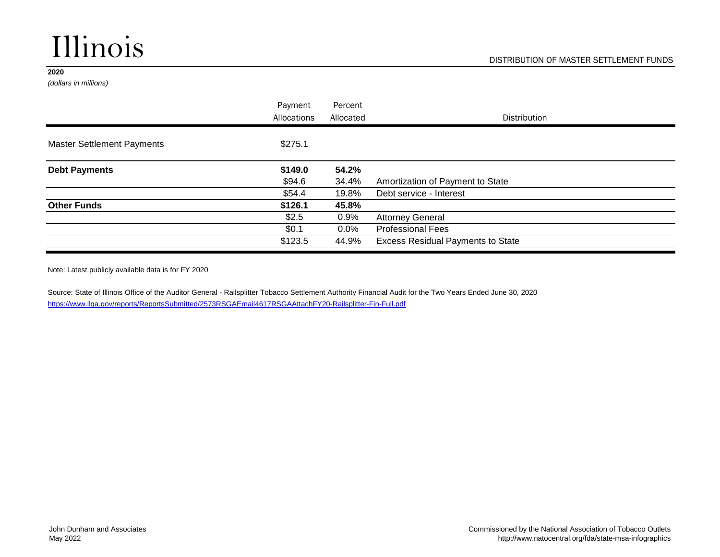# Illinois

#### **2020**

*(dollars in millions)*

| Payment<br>Allocations | Percent<br>Allocated | <b>Distribution</b>                      |
|------------------------|----------------------|------------------------------------------|
| \$275.1                |                      |                                          |
| \$149.0                | 54.2%                |                                          |
| \$94.6                 | 34.4%                | Amortization of Payment to State         |
| \$54.4                 | 19.8%                | Debt service - Interest                  |
| \$126.1                | 45.8%                |                                          |
| \$2.5                  | 0.9%                 | <b>Attorney General</b>                  |
| \$0.1                  | $0.0\%$              | <b>Professional Fees</b>                 |
| \$123.5                | 44.9%                | <b>Excess Residual Payments to State</b> |
|                        |                      |                                          |

Note: Latest publicly available data is for FY 2020

Source: State of Illinois Office of the Auditor General - Railsplitter Tobacco Settlement Authority Financial Audit for the Two Years Ended June 30, 2020 <https://www.ilga.gov/reports/ReportsSubmitted/2573RSGAEmail4617RSGAAttachFY20-Railsplitter-Fin-Full.pdf>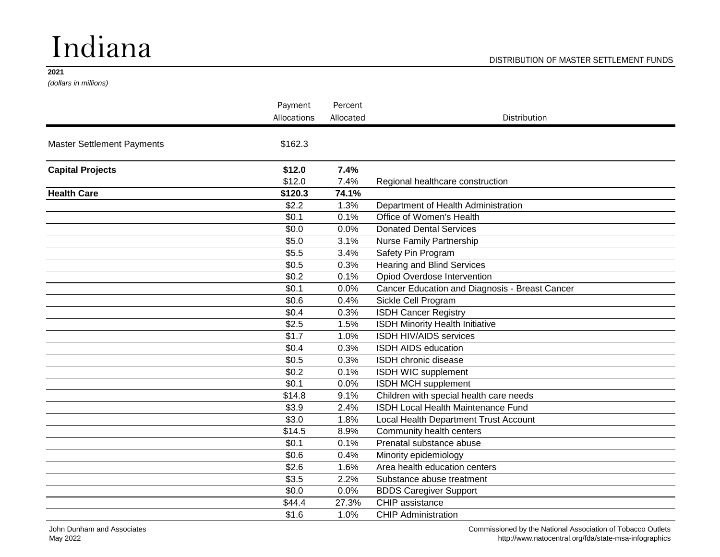# Indiana

*(dollars in millions)*

|                                                                                                                                                                                                                                                                                                                                                                                                                                                                                              |             | Percent   |                                                |
|----------------------------------------------------------------------------------------------------------------------------------------------------------------------------------------------------------------------------------------------------------------------------------------------------------------------------------------------------------------------------------------------------------------------------------------------------------------------------------------------|-------------|-----------|------------------------------------------------|
|                                                                                                                                                                                                                                                                                                                                                                                                                                                                                              | Allocations | Allocated | Distribution                                   |
| <b>Master Settlement Payments</b>                                                                                                                                                                                                                                                                                                                                                                                                                                                            | \$162.3     |           |                                                |
| <b>Capital Projects</b>                                                                                                                                                                                                                                                                                                                                                                                                                                                                      | \$12.0      | 7.4%      |                                                |
|                                                                                                                                                                                                                                                                                                                                                                                                                                                                                              | \$12.0      | 7.4%      | Regional healthcare construction               |
| Payment<br><b>Health Care</b><br>\$120.3<br>74.1%<br>\$2.2<br>1.3%<br>\$0.1<br>0.1%<br>\$0.0<br>0.0%<br>\$5.0<br>3.1%<br>\$5.5<br>3.4%<br>\$0.5<br>0.3%<br>\$0.2<br>0.1%<br>\$0.1<br>0.0%<br>\$0.6<br>0.4%<br>\$0.4<br>0.3%<br>\$2.5<br>1.5%<br>\$1.7<br>1.0%<br>\$0.4<br>0.3%<br>\$0.5<br>0.3%<br>\$0.2<br>0.1%<br>\$0.1<br>0.0%<br>\$14.8<br>9.1%<br>\$3.9<br>2.4%<br>\$3.0<br>1.8%<br>\$14.5<br>8.9%<br>\$0.1<br>0.1%<br>\$0.6<br>0.4%<br>\$2.6<br>1.6%<br>\$3.5<br>2.2%<br>\$0.0<br>0.0% |             |           |                                                |
|                                                                                                                                                                                                                                                                                                                                                                                                                                                                                              |             |           | Department of Health Administration            |
|                                                                                                                                                                                                                                                                                                                                                                                                                                                                                              |             |           | Office of Women's Health                       |
|                                                                                                                                                                                                                                                                                                                                                                                                                                                                                              |             |           | <b>Donated Dental Services</b>                 |
|                                                                                                                                                                                                                                                                                                                                                                                                                                                                                              |             |           | Nurse Family Partnership                       |
|                                                                                                                                                                                                                                                                                                                                                                                                                                                                                              |             |           | Safety Pin Program                             |
|                                                                                                                                                                                                                                                                                                                                                                                                                                                                                              |             |           | <b>Hearing and Blind Services</b>              |
|                                                                                                                                                                                                                                                                                                                                                                                                                                                                                              |             |           | Opiod Overdose Intervention                    |
|                                                                                                                                                                                                                                                                                                                                                                                                                                                                                              |             |           | Cancer Education and Diagnosis - Breast Cancer |
|                                                                                                                                                                                                                                                                                                                                                                                                                                                                                              |             |           | Sickle Cell Program                            |
|                                                                                                                                                                                                                                                                                                                                                                                                                                                                                              |             |           | <b>ISDH Cancer Registry</b>                    |
|                                                                                                                                                                                                                                                                                                                                                                                                                                                                                              |             |           | <b>ISDH Minority Health Initiative</b>         |
|                                                                                                                                                                                                                                                                                                                                                                                                                                                                                              |             |           | <b>ISDH HIV/AIDS services</b>                  |
|                                                                                                                                                                                                                                                                                                                                                                                                                                                                                              |             |           | <b>ISDH AIDS education</b>                     |
|                                                                                                                                                                                                                                                                                                                                                                                                                                                                                              |             |           | ISDH chronic disease                           |
|                                                                                                                                                                                                                                                                                                                                                                                                                                                                                              |             |           | ISDH WIC supplement                            |
|                                                                                                                                                                                                                                                                                                                                                                                                                                                                                              |             |           | ISDH MCH supplement                            |
|                                                                                                                                                                                                                                                                                                                                                                                                                                                                                              |             |           | Children with special health care needs        |
|                                                                                                                                                                                                                                                                                                                                                                                                                                                                                              |             |           | ISDH Local Health Maintenance Fund             |
|                                                                                                                                                                                                                                                                                                                                                                                                                                                                                              |             |           | Local Health Department Trust Account          |
|                                                                                                                                                                                                                                                                                                                                                                                                                                                                                              |             |           | Community health centers                       |
|                                                                                                                                                                                                                                                                                                                                                                                                                                                                                              |             |           | Prenatal substance abuse                       |
|                                                                                                                                                                                                                                                                                                                                                                                                                                                                                              |             |           | Minority epidemiology                          |
|                                                                                                                                                                                                                                                                                                                                                                                                                                                                                              |             |           | Area health education centers                  |
|                                                                                                                                                                                                                                                                                                                                                                                                                                                                                              |             |           | Substance abuse treatment                      |
|                                                                                                                                                                                                                                                                                                                                                                                                                                                                                              |             |           | <b>BDDS Caregiver Support</b>                  |
|                                                                                                                                                                                                                                                                                                                                                                                                                                                                                              | \$44.4      | 27.3%     | CHIP assistance                                |
|                                                                                                                                                                                                                                                                                                                                                                                                                                                                                              | \$1.6       | 1.0%      | <b>CHIP Administration</b>                     |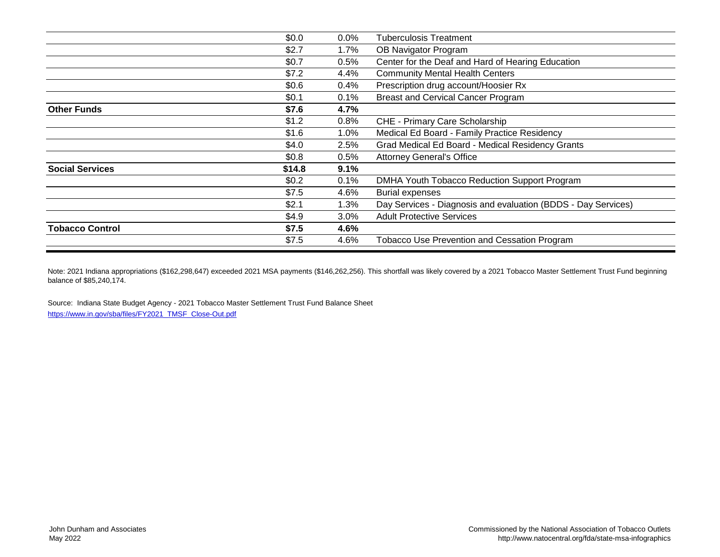|                        | \$0.0   | $0.0\%$ | <b>Tuberculosis Treatment</b>                                 |
|------------------------|---------|---------|---------------------------------------------------------------|
|                        | \$2.7   | 1.7%    | OB Navigator Program                                          |
|                        | \$0.7   | 0.5%    | Center for the Deaf and Hard of Hearing Education             |
|                        | \$7.2   | 4.4%    | <b>Community Mental Health Centers</b>                        |
|                        | \$0.6\$ | 0.4%    | Prescription drug account/Hoosier Rx                          |
|                        | \$0.1   | 0.1%    | <b>Breast and Cervical Cancer Program</b>                     |
| <b>Other Funds</b>     | \$7.6   | 4.7%    |                                                               |
|                        | \$1.2   | 0.8%    | CHE - Primary Care Scholarship                                |
|                        | \$1.6   | 1.0%    | Medical Ed Board - Family Practice Residency                  |
|                        | \$4.0   | 2.5%    | Grad Medical Ed Board - Medical Residency Grants              |
|                        | \$0.8   | $0.5\%$ | <b>Attorney General's Office</b>                              |
| <b>Social Services</b> | \$14.8  | 9.1%    |                                                               |
|                        | \$0.2\$ | 0.1%    | DMHA Youth Tobacco Reduction Support Program                  |
|                        | \$7.5   | 4.6%    | <b>Burial expenses</b>                                        |
|                        | \$2.1   | 1.3%    | Day Services - Diagnosis and evaluation (BDDS - Day Services) |
|                        | \$4.9   | 3.0%    | <b>Adult Protective Services</b>                              |
| <b>Tobacco Control</b> | \$7.5   | 4.6%    |                                                               |
|                        | \$7.5   | 4.6%    | <b>Tobacco Use Prevention and Cessation Program</b>           |
|                        |         |         |                                                               |

Note: 2021 Indiana appropriations (\$162,298,647) exceeded 2021 MSA payments (\$146,262,256). This shortfall was likely covered by a 2021 Tobacco Master Settlement Trust Fund beginning balance of \$85,240,174.

Source: Indiana State Budget Agency - 2021 Tobacco Master Settlement Trust Fund Balance Sheet [https://www.in.gov/sba/files/FY2021\\_TMSF\\_Close-Out.pdf](https://www.in.gov/sba/files/FY2021_TMSF_Close-Out.pdf)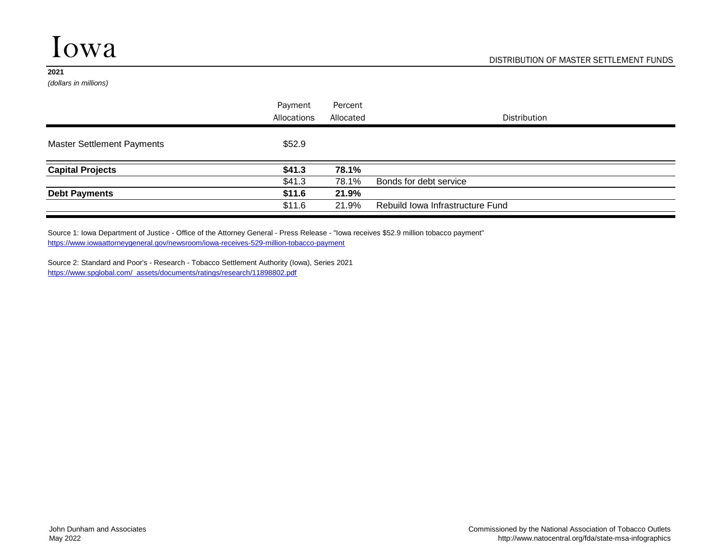*(dollars in millions)*

|                                   | Payment     | Percent   |                                  |
|-----------------------------------|-------------|-----------|----------------------------------|
|                                   | Allocations | Allocated | <b>Distribution</b>              |
| <b>Master Settlement Payments</b> | \$52.9      |           |                                  |
| <b>Capital Projects</b>           | \$41.3\$    | 78.1%     |                                  |
|                                   | \$41.3      | 78.1%     | Bonds for debt service           |
| <b>Debt Payments</b>              | \$11.6      | 21.9%     |                                  |
|                                   | \$11.6      | 21.9%     | Rebuild Iowa Infrastructure Fund |

<https://www.iowaattorneygeneral.gov/newsroom/iowa-receives-529-million-tobacco-payment> Source 1: Iowa Department of Justice - Office of the Attorney General - Press Release - "Iowa receives \$52.9 million tobacco payment"

Source 2: Standard and Poor's - Research - Tobacco Settlement Authority (Iowa), Series 2021 [https://www.spglobal.com/\\_assets/documents/ratings/research/11898802.pdf](https://www.spglobal.com/_assets/documents/ratings/research/11898802.pdf)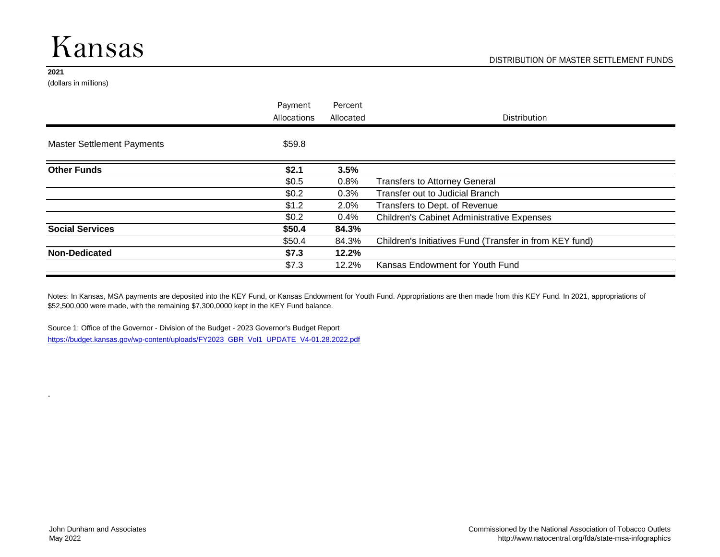### Kansas

#### **2021**

-

(dollars in millions)

|                                   | Payment<br>Allocations | Percent<br>Allocated | Distribution                                            |
|-----------------------------------|------------------------|----------------------|---------------------------------------------------------|
| <b>Master Settlement Payments</b> | \$59.8                 |                      |                                                         |
| <b>Other Funds</b>                | \$2.1                  | 3.5%                 |                                                         |
|                                   | \$0.5                  | 0.8%                 | <b>Transfers to Attorney General</b>                    |
|                                   | \$0.2\$                | 0.3%                 | Transfer out to Judicial Branch                         |
|                                   | \$1.2                  | 2.0%                 | Transfers to Dept. of Revenue                           |
|                                   | \$0.2\$                | $0.4\%$              | <b>Children's Cabinet Administrative Expenses</b>       |
| <b>Social Services</b>            | \$50.4                 | 84.3%                |                                                         |
|                                   | \$50.4                 | 84.3%                | Children's Initiatives Fund (Transfer in from KEY fund) |
| <b>Non-Dedicated</b>              | \$7.3                  | 12.2%                |                                                         |
|                                   | \$7.3                  | 12.2%                | Kansas Endowment for Youth Fund                         |

Notes: In Kansas, MSA payments are deposited into the KEY Fund, or Kansas Endowment for Youth Fund. Appropriations are then made from this KEY Fund. In 2021, appropriations of \$52,500,000 were made, with the remaining \$7,300,0000 kept in the KEY Fund balance.

Source 1: Office of the Governor - Division of the Budget - 2023 Governor's Budget Report [https://budget.kansas.gov/wp-content/uploads/FY2023\\_GBR\\_Vol1\\_UPDATE\\_V4-01.28.2022.pdf](https://budget.kansas.gov/wp-content/uploads/FY2023_GBR_Vol1_UPDATE_V4-01.28.2022.pdf)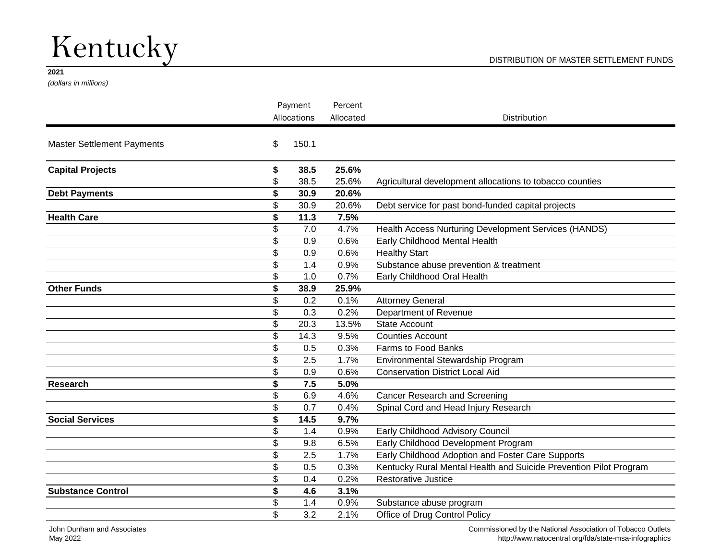# Kentucky

#### **2021**

*(dollars in millions)*

|                                   |    | Payment     |           |                                                                   |
|-----------------------------------|----|-------------|-----------|-------------------------------------------------------------------|
|                                   |    | Allocations | Allocated | Distribution                                                      |
| <b>Master Settlement Payments</b> | \$ | 150.1       |           |                                                                   |
| <b>Capital Projects</b>           | S  | 38.5        | 25.6%     |                                                                   |
|                                   | \$ | 38.5        | 25.6%     | Agricultural development allocations to tobacco counties          |
| <b>Debt Payments</b>              | \$ | 30.9        | 20.6%     |                                                                   |
|                                   | \$ | 30.9        | 20.6%     | Debt service for past bond-funded capital projects                |
| <b>Health Care</b>                | \$ | 11.3        | 7.5%      |                                                                   |
|                                   | \$ | 7.0         | 4.7%      | Health Access Nurturing Development Services (HANDS)              |
|                                   | \$ | 0.9         | 0.6%      | Early Childhood Mental Health                                     |
|                                   | \$ | 0.9         | 0.6%      | <b>Healthy Start</b>                                              |
|                                   | \$ | 1.4         | 0.9%      | Substance abuse prevention & treatment                            |
|                                   | \$ | 1.0         | 0.7%      | Early Childhood Oral Health                                       |
| <b>Other Funds</b>                | \$ | 38.9        | 25.9%     |                                                                   |
|                                   | \$ | 0.2         | 0.1%      | <b>Attorney General</b>                                           |
|                                   | \$ | 0.3         | 0.2%      | Department of Revenue                                             |
|                                   | \$ | 20.3        | 13.5%     | <b>State Account</b>                                              |
|                                   | \$ | 14.3        | 9.5%      | <b>Counties Account</b>                                           |
|                                   | \$ | 0.5         | 0.3%      | Farms to Food Banks                                               |
|                                   | \$ | 2.5         | 1.7%      | Environmental Stewardship Program                                 |
|                                   | \$ | 0.9         | 0.6%      | <b>Conservation District Local Aid</b>                            |
| <b>Research</b>                   | \$ | 7.5         | 5.0%      |                                                                   |
|                                   | \$ | 6.9         | 4.6%      | <b>Cancer Research and Screening</b>                              |
|                                   | \$ | 0.7         | 0.4%      | Spinal Cord and Head Injury Research                              |
| <b>Social Services</b>            | \$ | 14.5        | 9.7%      |                                                                   |
|                                   | \$ | 1.4         | 0.9%      | Early Childhood Advisory Council                                  |
|                                   | \$ | 9.8         | 6.5%      | Early Childhood Development Program                               |
|                                   | \$ | 2.5         | 1.7%      | Early Childhood Adoption and Foster Care Supports                 |
|                                   | \$ | 0.5         | 0.3%      | Kentucky Rural Mental Health and Suicide Prevention Pilot Program |
|                                   | \$ | 0.4         | 0.2%      | <b>Restorative Justice</b>                                        |
| <b>Substance Control</b>          | \$ | 4.6         | 3.1%      |                                                                   |
|                                   | \$ | 1.4         | 0.9%      | Substance abuse program                                           |
|                                   | \$ | 3.2         | 2.1%      | Office of Drug Control Policy                                     |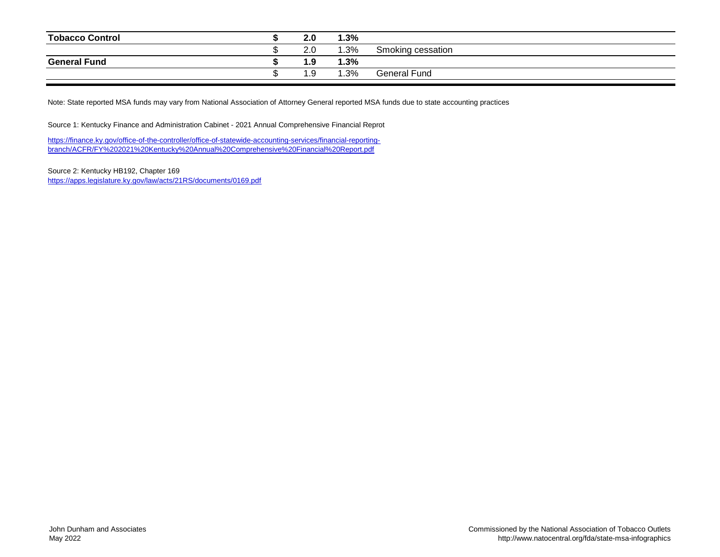| <b>Tobacco Control</b> | 2.0  | 1.3% |                   |
|------------------------|------|------|-------------------|
|                        | 2.0  | 1.3% | Smoking cessation |
| <b>General Fund</b>    | 1.9  | 1.3% |                   |
|                        | 9. ، | 1.3% | General Fund      |

Note: State reported MSA funds may vary from National Association of Attorney General reported MSA funds due to state accounting practices

Source 1: Kentucky Finance and Administration Cabinet - 2021 Annual Comprehensive Financial Reprot

[https://finance.ky.gov/office-of-the-controller/office-of-statewide-acco](https://finance.ky.gov/office-of-the-controller/office-of-statewide-accounting-services/financial-reporting-branch/ACFR/FY 2021 Kentucky Annual Comprehensive Financial Report.pdf)unting-services/financial-reporting[branch/ACFR/FY%202021%20Kentucky%20Annual%20Comprehen](https://finance.ky.gov/office-of-the-controller/office-of-statewide-accounting-services/financial-reporting-branch/ACFR/FY 2021 Kentucky Annual Comprehensive Financial Report.pdf)sive%20Financial%20Report.pdf

Source 2: Kentucky HB192, Chapter 169 <https://apps.legislature.ky.gov/law/acts/21RS/documents/0169.pdf>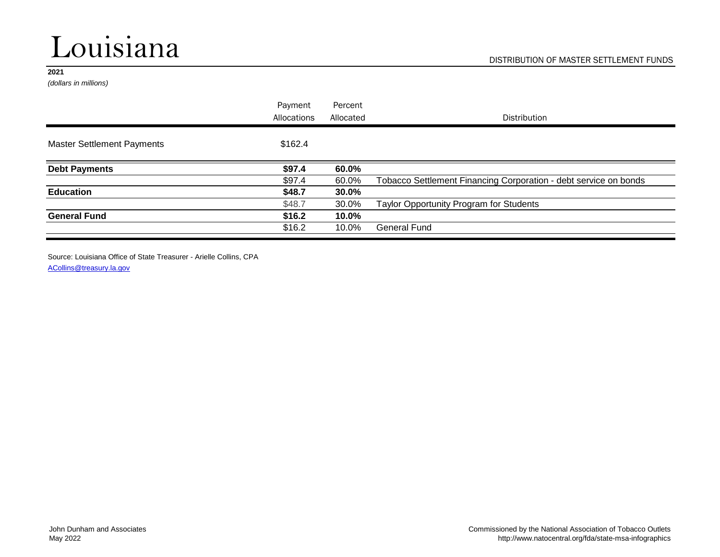# Louisiana

#### **2021**

*(dollars in millions)*

| Payment     | Percent   |                                                                  |
|-------------|-----------|------------------------------------------------------------------|
| Allocations | Allocated | <b>Distribution</b>                                              |
| \$162.4     |           |                                                                  |
| \$97.4      | 60.0%     |                                                                  |
| \$97.4      | 60.0%     | Tobacco Settlement Financing Corporation - debt service on bonds |
| \$48.7      | 30.0%     |                                                                  |
| \$48.7      | 30.0%     | Taylor Opportunity Program for Students                          |
| \$16.2      | 10.0%     |                                                                  |
| \$16.2      | 10.0%     | <b>General Fund</b>                                              |
|             |           |                                                                  |

Source: Louisiana Office of State Treasurer - Arielle Collins, CPA

[ACollins@treasury.la.gov](mailto:ACollins@treasury.la.gov)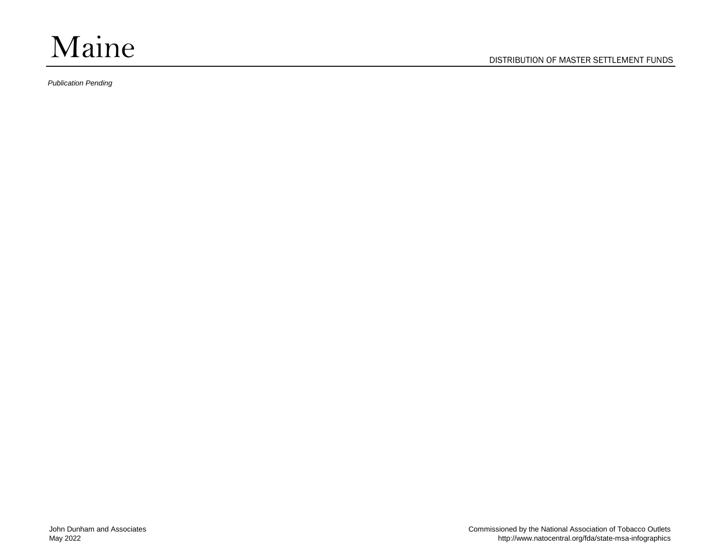

DISTRIBUTION OF MASTER SETTLEMENT FUNDS

*Publication Pending*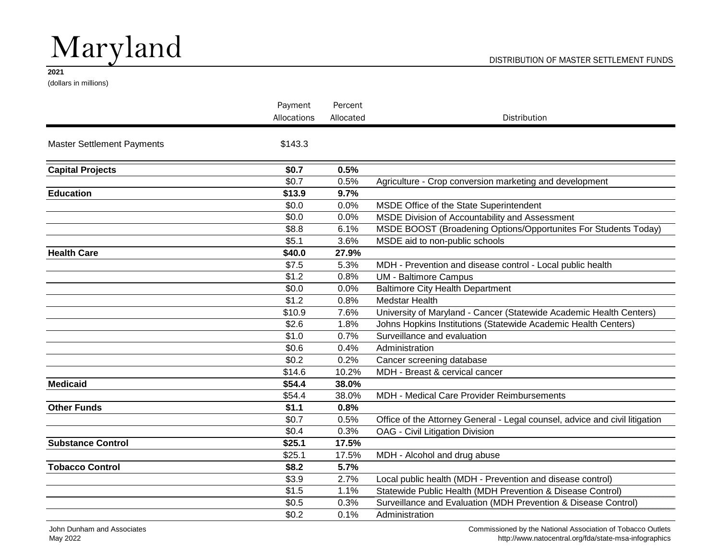# Maryland

#### DISTRIBUTION OF MASTER SETTLEMENT FUNDS

#### **2021**

(dollars in millions)

|                                   | Payment     | Percent   |                                                                             |
|-----------------------------------|-------------|-----------|-----------------------------------------------------------------------------|
|                                   | Allocations | Allocated | Distribution                                                                |
| <b>Master Settlement Payments</b> | \$143.3     |           |                                                                             |
| <b>Capital Projects</b>           | \$0.7       | 0.5%      |                                                                             |
|                                   | \$0.7       | 0.5%      | Agriculture - Crop conversion marketing and development                     |
| <b>Education</b>                  | \$13.9      | 9.7%      |                                                                             |
|                                   | \$0.0       | 0.0%      | MSDE Office of the State Superintendent                                     |
|                                   | \$0.0       | 0.0%      | MSDE Division of Accountability and Assessment                              |
|                                   | \$8.8       | 6.1%      | MSDE BOOST (Broadening Options/Opportunites For Students Today)             |
|                                   | \$5.1       | 3.6%      | MSDE aid to non-public schools                                              |
| <b>Health Care</b>                | \$40.0      | 27.9%     |                                                                             |
|                                   | \$7.5       | 5.3%      | MDH - Prevention and disease control - Local public health                  |
|                                   | \$1.2       | 0.8%      | <b>UM - Baltimore Campus</b>                                                |
|                                   | \$0.0       | 0.0%      | Baltimore City Health Department                                            |
|                                   | \$1.2       | 0.8%      | Medstar Health                                                              |
|                                   | \$10.9      | 7.6%      | University of Maryland - Cancer (Statewide Academic Health Centers)         |
|                                   | \$2.6       | 1.8%      | Johns Hopkins Institutions (Statewide Academic Health Centers)              |
|                                   | \$1.0       | 0.7%      | Surveillance and evaluation                                                 |
|                                   | \$0.6       | 0.4%      | Administration                                                              |
|                                   | \$0.2       | 0.2%      | Cancer screening database                                                   |
|                                   | \$14.6      | 10.2%     | MDH - Breast & cervical cancer                                              |
| <b>Medicaid</b>                   | \$54.4      | 38.0%     |                                                                             |
|                                   | \$54.4      | 38.0%     | MDH - Medical Care Provider Reimbursements                                  |
| <b>Other Funds</b>                | \$1.1       | 0.8%      |                                                                             |
|                                   | \$0.7       | 0.5%      | Office of the Attorney General - Legal counsel, advice and civil litigation |
|                                   | \$0.4       | 0.3%      | <b>OAG</b> - Civil Litigation Division                                      |
| <b>Substance Control</b>          | \$25.1      | 17.5%     |                                                                             |
|                                   | \$25.1      | 17.5%     | MDH - Alcohol and drug abuse                                                |
| <b>Tobacco Control</b>            | \$8.2       | 5.7%      |                                                                             |
|                                   | \$3.9       | 2.7%      | Local public health (MDH - Prevention and disease control)                  |
|                                   | \$1.5       | 1.1%      | Statewide Public Health (MDH Prevention & Disease Control)                  |
|                                   | \$0.5       | 0.3%      | Surveillance and Evaluation (MDH Prevention & Disease Control)              |
|                                   | \$0.2       | 0.1%      | Administration                                                              |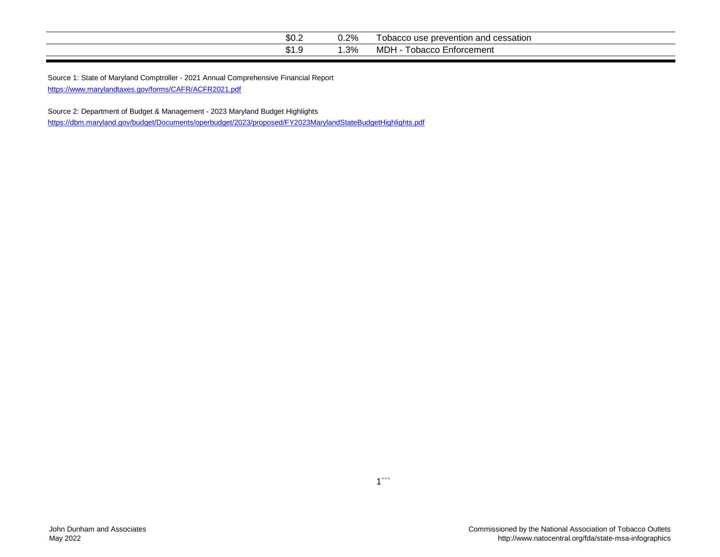| ጦጣ<br>J∪.∠ | $\cdot$ 2%.<br>◡.∠ ៸∪ | า and cessation<br>e prevention<br>obacco use |
|------------|-----------------------|-----------------------------------------------|
| ت. ا ⊎     | .3%                   | ℩⊫<br>-nforcement<br>, obaccc<br><b>VIDT</b>  |

<https://www.marylandtaxes.gov/forms/CAFR/ACFR2021.pdf> Source 1: State of Maryland Comptroller - 2021 Annual Comprehensive Financial Report

Source 2: Department of Budget & Management - 2023 Maryland Budget Highlights <https://dbm.maryland.gov/budget/Documents/operbudget/2023/proposed/FY2023MarylandStateBudgetHighlights.pdf>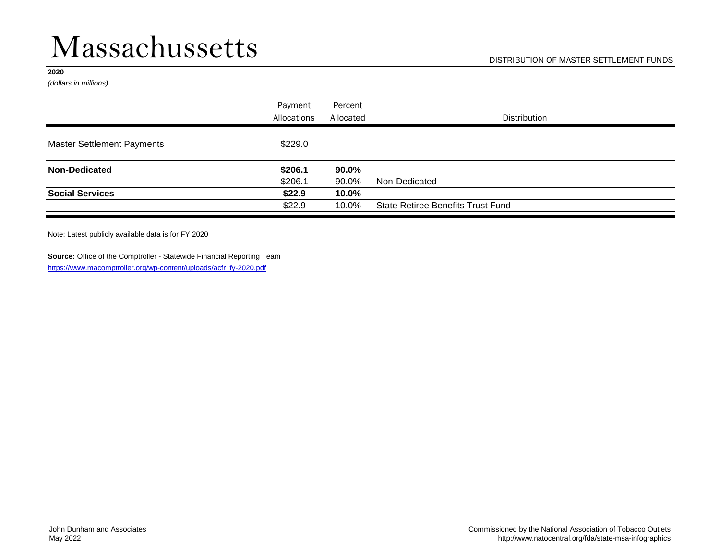### Massachussetts

#### **2020**

*(dollars in millions)*

|                                   | Payment     | Percent   |                                          |
|-----------------------------------|-------------|-----------|------------------------------------------|
|                                   | Allocations | Allocated | <b>Distribution</b>                      |
| <b>Master Settlement Payments</b> | \$229.0     |           |                                          |
| <b>Non-Dedicated</b>              | \$206.1     | 90.0%     |                                          |
|                                   | \$206.1     | 90.0%     | Non-Dedicated                            |
| <b>Social Services</b>            | \$22.9      | 10.0%     |                                          |
|                                   | \$22.9      | 10.0%     | <b>State Retiree Benefits Trust Fund</b> |

Note: Latest publicly available data is for FY 2020

**Source:** Office of the Comptroller - Statewide Financial Reporting Team [https://www.macomptroller.org/wp-content/uploads/acfr\\_fy-2020.pdf](https://www.macomptroller.org/wp-content/uploads/acfr_fy-2020.pdf)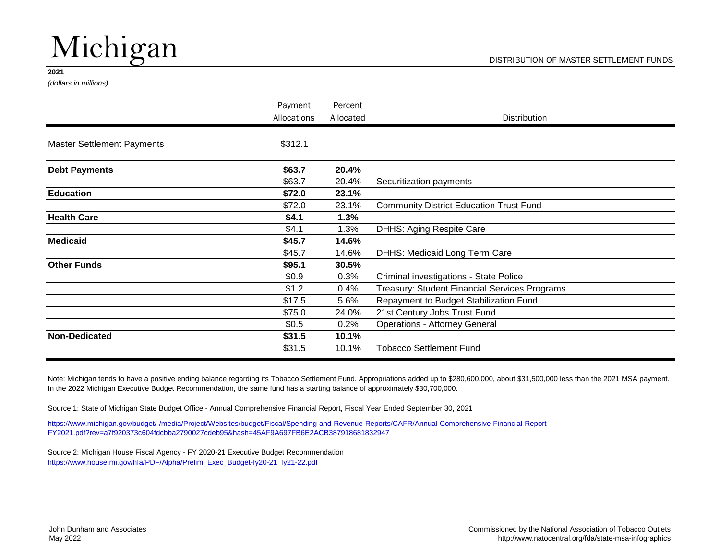# Michigan

#### **2021**

*(dollars in millions)*

|                                   | Payment     | Percent   |                                                |
|-----------------------------------|-------------|-----------|------------------------------------------------|
|                                   | Allocations | Allocated | <b>Distribution</b>                            |
| <b>Master Settlement Payments</b> | \$312.1     |           |                                                |
| <b>Debt Payments</b>              | \$63.7      | 20.4%     |                                                |
|                                   | \$63.7      | 20.4%     | Securitization payments                        |
| <b>Education</b>                  | \$72.0      | 23.1%     |                                                |
|                                   | \$72.0      | 23.1%     | <b>Community District Education Trust Fund</b> |
| <b>Health Care</b>                | \$4.1       | 1.3%      |                                                |
|                                   | \$4.1       | 1.3%      | DHHS: Aging Respite Care                       |
| <b>Medicaid</b>                   | \$45.7      | 14.6%     |                                                |
|                                   | \$45.7      | 14.6%     | DHHS: Medicaid Long Term Care                  |
| <b>Other Funds</b>                | \$95.1      | 30.5%     |                                                |
|                                   | \$0.9       | 0.3%      | Criminal investigations - State Police         |
|                                   | \$1.2       | 0.4%      | Treasury: Student Financial Services Programs  |
|                                   | \$17.5      | 5.6%      | Repayment to Budget Stabilization Fund         |
|                                   | \$75.0      | 24.0%     | 21st Century Jobs Trust Fund                   |
|                                   | \$0.5       | 0.2%      | <b>Operations - Attorney General</b>           |
| <b>Non-Dedicated</b>              | \$31.5      | 10.1%     |                                                |
|                                   | \$31.5      | 10.1%     | <b>Tobacco Settlement Fund</b>                 |

Note: Michigan tends to have a positive ending balance regarding its Tobacco Settlement Fund. Appropriations added up to \$280,600,000, about \$31,500,000 less than the 2021 MSA payment. In the 2022 Michigan Executive Budget Recommendation, the same fund has a starting balance of approximately \$30,700,000.

Source 1: State of Michigan State Budget Office - Annual Comprehensive Financial Report, Fiscal Year Ended September 30, 2021

[https://www.michigan.gov/budget/-/media/Project/Websites/budget/F](https://www.michigan.gov/budget/-/media/Project/Websites/budget/Fiscal/Spending-and-Revenue-Reports/CAFR/Annual-Comprehensive-Financial-Report-FY2021.pdf?rev=a7f920373c604fdcbba2790027cdeb95&hash=45AF9A697FB6E2ACB387918681832947)iscal/Spending-and-Revenue-Reports/CAFR/Annual-Comprehensive-Financial-Report-[FY2021.pdf?rev=a7f920373c604fdcbba2790027cdeb95&hash=45AF](https://www.michigan.gov/budget/-/media/Project/Websites/budget/Fiscal/Spending-and-Revenue-Reports/CAFR/Annual-Comprehensive-Financial-Report-FY2021.pdf?rev=a7f920373c604fdcbba2790027cdeb95&hash=45AF9A697FB6E2ACB387918681832947)9A697FB6E2ACB387918681832947

Source 2: Michigan House Fiscal Agency - FY 2020-21 Executive Budget Recommendation [https://www.house.mi.gov/hfa/PDF/Alpha/Prelim\\_Exec\\_Budget-fy20-21\\_fy21-22.pdf](https://www.house.mi.gov/hfa/PDF/Alpha/Prelim_Exec_Budget-fy20-21_fy21-22.pdf)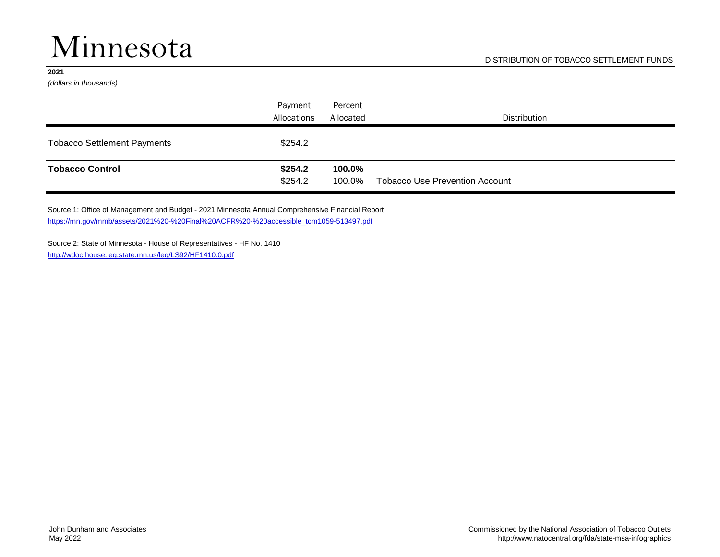# Minnesota

#### **2021**

*(dollars in thousands)*

|                                    | Payment     | Percent   |                                       |
|------------------------------------|-------------|-----------|---------------------------------------|
|                                    | Allocations | Allocated | <b>Distribution</b>                   |
| <b>Tobacco Settlement Payments</b> | \$254.2     |           |                                       |
| <b>Tobacco Control</b>             | \$254.2     | 100.0%    |                                       |
|                                    | \$254.2     | 100.0%    | <b>Tobacco Use Prevention Account</b> |

Source 1: Office of Management and Budget - 2021 Minnesota Annual Comprehensive Financial Report [https://mn.gov/mmb/assets/2021%20-%20Final%20ACFR%20-%20accessible\\_tcm1059-513497.pdf](https://mn.gov/mmb/assets/2021 - Final ACFR - accessible_tcm1059-513497.pdf)

Source 2: State of Minnesota - House of Representatives - HF No. 1410 <http://wdoc.house.leg.state.mn.us/leg/LS92/HF1410.0.pdf>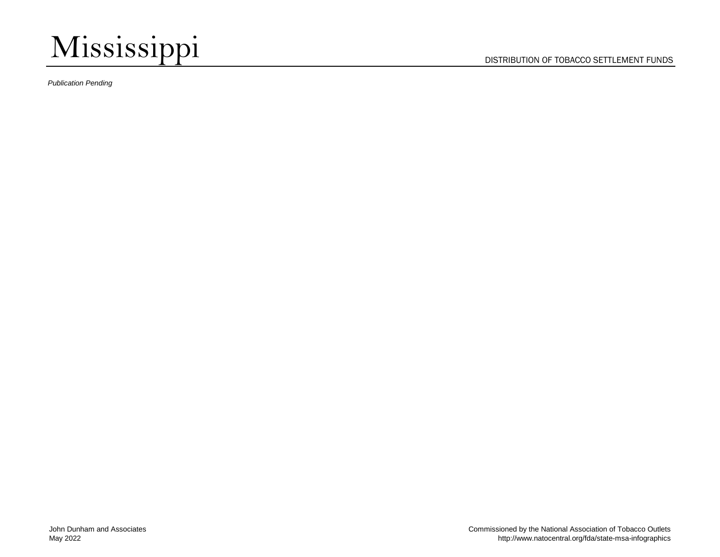

*Publication Pending*

DISTRIBUTION OF TOBACCO SETTLEMENT FUNDS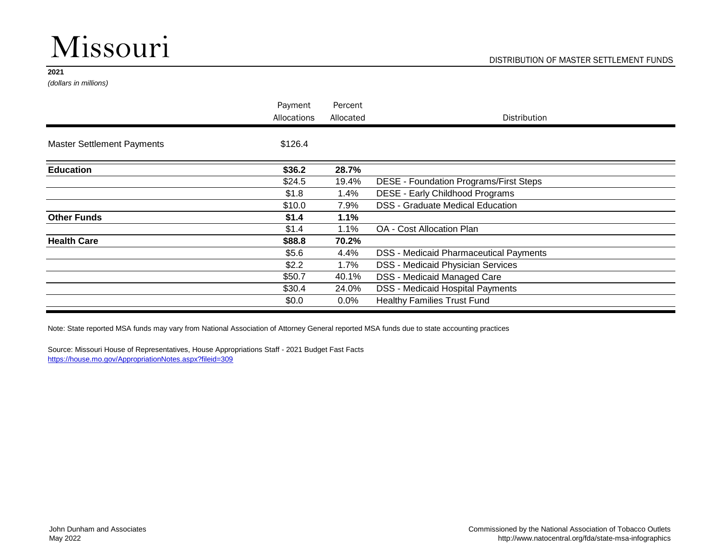# Missouri

#### **2021**

*(dollars in millions)*

|                                   | Payment     | Percent   |                                               |
|-----------------------------------|-------------|-----------|-----------------------------------------------|
|                                   | Allocations | Allocated | Distribution                                  |
| <b>Master Settlement Payments</b> | \$126.4     |           |                                               |
| <b>Education</b>                  | \$36.2      | 28.7%     |                                               |
|                                   | \$24.5      | 19.4%     | DESE - Foundation Programs/First Steps        |
|                                   | \$1.8       | 1.4%      | DESE - Early Childhood Programs               |
|                                   | \$10.0      | 7.9%      | <b>DSS - Graduate Medical Education</b>       |
| <b>Other Funds</b>                | \$1.4       | 1.1%      |                                               |
|                                   | \$1.4       | 1.1%      | OA - Cost Allocation Plan                     |
| <b>Health Care</b>                | \$88.8      | 70.2%     |                                               |
|                                   | \$5.6       | 4.4%      | <b>DSS - Medicaid Pharmaceutical Payments</b> |
|                                   | \$2.2       | $1.7\%$   | <b>DSS - Medicaid Physician Services</b>      |
|                                   | \$50.7      | 40.1%     | DSS - Medicaid Managed Care                   |
|                                   | \$30.4      | 24.0%     | <b>DSS - Medicaid Hospital Payments</b>       |
|                                   | \$0.0       | $0.0\%$   | <b>Healthy Families Trust Fund</b>            |

Note: State reported MSA funds may vary from National Association of Attorney General reported MSA funds due to state accounting practices

Source: Missouri House of Representatives, House Appropriations Staff - 2021 Budget Fast Facts <https://house.mo.gov/AppropriationNotes.aspx?fileid=309>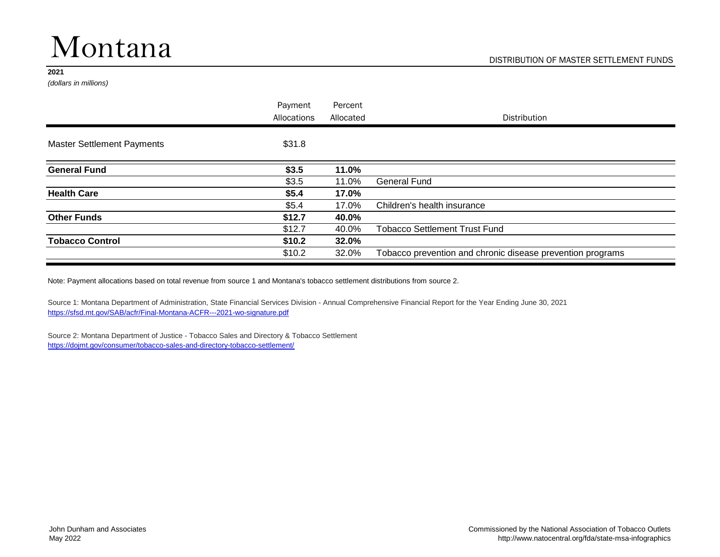# Montana

#### **2021**

*(dollars in millions)*

|                                   | Payment<br>Allocations | Percent<br>Allocated | <b>Distribution</b>                                        |
|-----------------------------------|------------------------|----------------------|------------------------------------------------------------|
| <b>Master Settlement Payments</b> | \$31.8                 |                      |                                                            |
| <b>General Fund</b>               | \$3.5                  | 11.0%                |                                                            |
|                                   | \$3.5                  | 11.0%                | <b>General Fund</b>                                        |
| <b>Health Care</b>                | \$5.4                  | 17.0%                |                                                            |
|                                   | \$5.4                  | 17.0%                | Children's health insurance                                |
| <b>Other Funds</b>                | \$12.7                 | 40.0%                |                                                            |
|                                   | \$12.7                 | 40.0%                | <b>Tobacco Settlement Trust Fund</b>                       |
| <b>Tobacco Control</b>            | \$10.2\$               | 32.0%                |                                                            |
|                                   | \$10.2                 | 32.0%                | Tobacco prevention and chronic disease prevention programs |
|                                   |                        |                      |                                                            |

Note: Payment allocations based on total revenue from source 1 and Montana's tobacco settlement distributions from source 2.

Source 1: Montana Department of Administration, State Financial Services Division - Annual Comprehensive Financial Report for the Year Ending June 30, 2021 <https://sfsd.mt.gov/SAB/acfr/Final-Montana-ACFR---2021-wo-signature.pdf>

Source 2: Montana Department of Justice - Tobacco Sales and Directory & Tobacco Settlement <https://dojmt.gov/consumer/tobacco-sales-and-directory-tobacco-settlement/>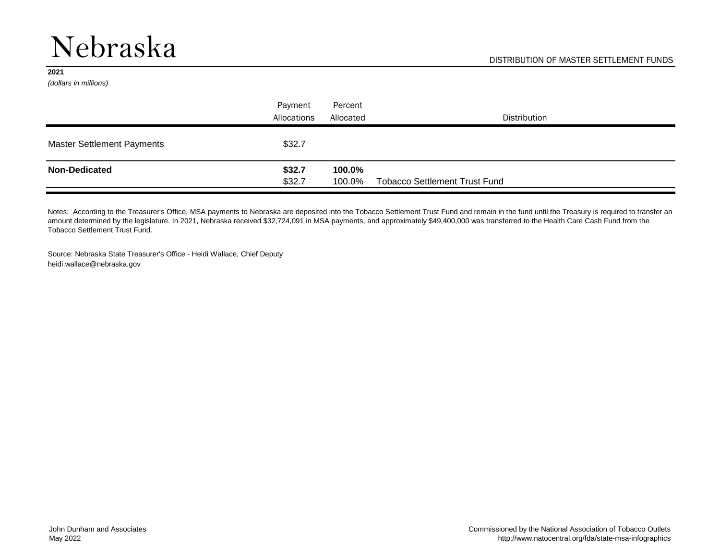### Nebraska

#### **2021**

*(dollars in millions)*

|                                   | Payment     | Percent   |                                      |
|-----------------------------------|-------------|-----------|--------------------------------------|
|                                   | Allocations | Allocated | Distribution                         |
| <b>Master Settlement Payments</b> | \$32.7      |           |                                      |
| <b>Non-Dedicated</b>              | \$32.7      | 100.0%    |                                      |
|                                   | \$32.7      | 100.0%    | <b>Tobacco Settlement Trust Fund</b> |

Notes: According to the Treasurer's Office, MSA payments to Nebraska are deposited into the Tobacco Settlement Trust Fund and remain in the fund until the Treasury is required to transfer an amount determined by the legislature. In 2021, Nebraska received \$32,724,091 in MSA payments, and approximately \$49,400,000 was transferred to the Health Care Cash Fund from the Tobacco Settlement Trust Fund.

Source: Nebraska State Treasurer's Office - Heidi Wallace, Chief Deputy heidi.wallace@nebraska.gov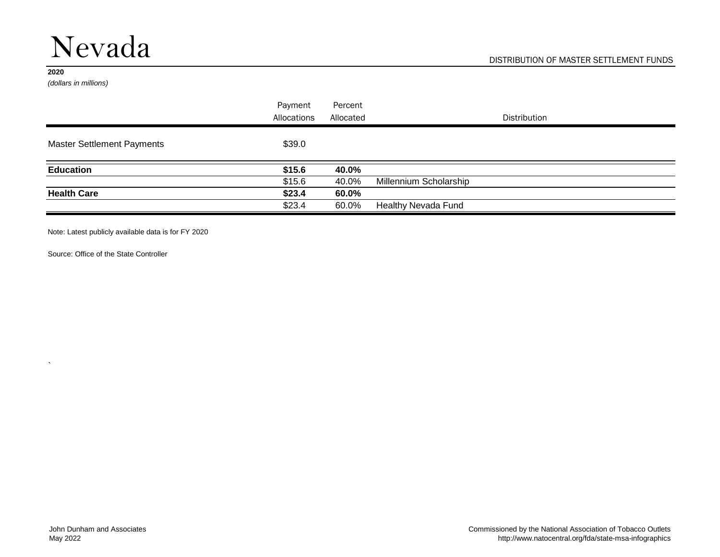### Nevada

#### **2020**

 $\ddot{\phantom{1}}$ 

*(dollars in millions)*

|                                   | Payment     | Percent   |                            |
|-----------------------------------|-------------|-----------|----------------------------|
|                                   | Allocations | Allocated | <b>Distribution</b>        |
| <b>Master Settlement Payments</b> | \$39.0      |           |                            |
| <b>Education</b>                  | \$15.6      | 40.0%     |                            |
|                                   | \$15.6      | 40.0%     | Millennium Scholarship     |
| <b>Health Care</b>                | \$23.4      | 60.0%     |                            |
|                                   | \$23.4      | 60.0%     | <b>Healthy Nevada Fund</b> |

Note: Latest publicly available data is for FY 2020

Source: Office of the State Controller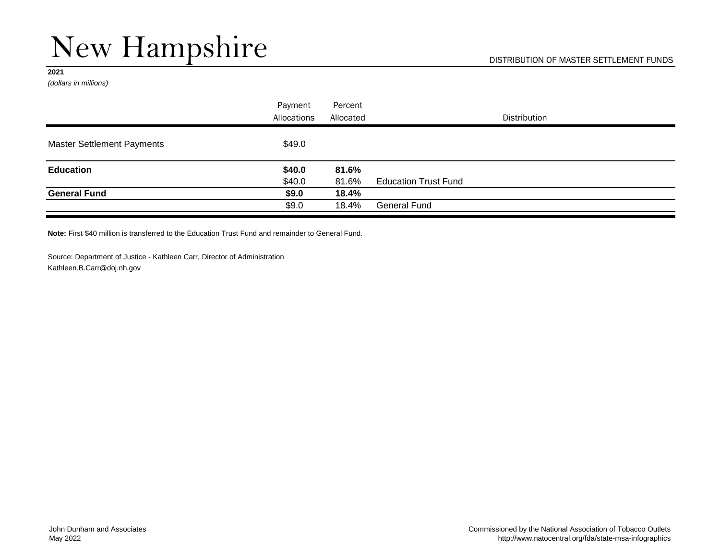# New Hampshire

#### **2021**

*(dollars in millions)*

|                                   | Payment     | Percent   |                             |
|-----------------------------------|-------------|-----------|-----------------------------|
|                                   | Allocations | Allocated | <b>Distribution</b>         |
| <b>Master Settlement Payments</b> | \$49.0      |           |                             |
| <b>Education</b>                  | \$40.0      | 81.6%     |                             |
|                                   | \$40.0      | 81.6%     | <b>Education Trust Fund</b> |
| <b>General Fund</b>               | \$9.0       | 18.4%     |                             |
|                                   | \$9.0       | 18.4%     | <b>General Fund</b>         |

**Note:** First \$40 million is transferred to the Education Trust Fund and remainder to General Fund.

Source: Department of Justice - Kathleen Carr, Director of Administration [Kathleen.B.Carr@doj.nh.gov](mailto:Kathleen.B.Carr@doj.nh.gov)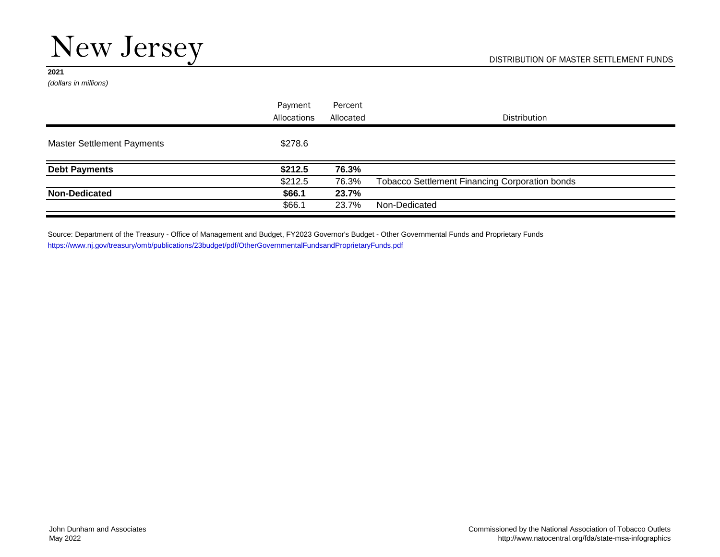# New Jersey

#### **2021**

*(dollars in millions)*

|                                   | Payment     | Percent   |                                                       |
|-----------------------------------|-------------|-----------|-------------------------------------------------------|
|                                   | Allocations | Allocated | <b>Distribution</b>                                   |
| <b>Master Settlement Payments</b> | \$278.6     |           |                                                       |
| <b>Debt Payments</b>              | \$212.5     | 76.3%     |                                                       |
|                                   | \$212.5     | 76.3%     | <b>Tobacco Settlement Financing Corporation bonds</b> |
| <b>Non-Dedicated</b>              | \$66.1      | 23.7%     |                                                       |
|                                   | \$66.1      | 23.7%     | Non-Dedicated                                         |

Source: Department of the Treasury - Office of Management and Budget, FY2023 Governor's Budget - Other Governmental Funds and Proprietary Funds <https://www.nj.gov/treasury/omb/publications/23budget/pdf/OtherGovernmentalFundsandProprietaryFunds.pdf>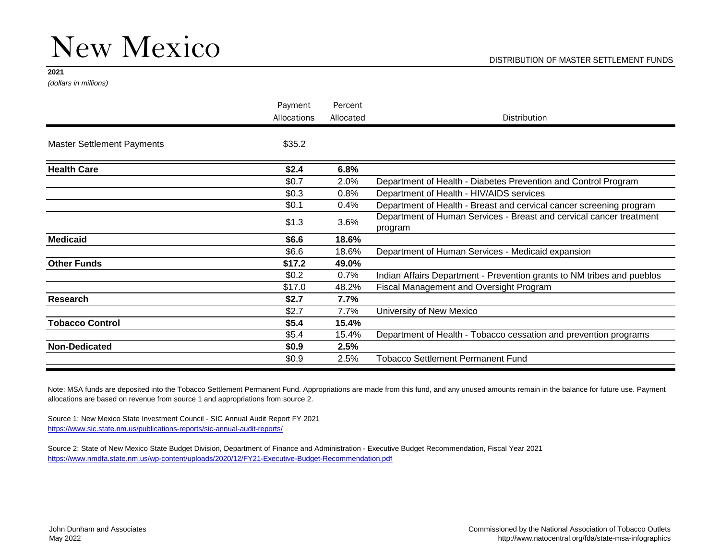*(dollars in millions)*

|                                   | Payment<br>Allocations | Percent<br>Allocated | Distribution                                                                   |
|-----------------------------------|------------------------|----------------------|--------------------------------------------------------------------------------|
| <b>Master Settlement Payments</b> | \$35.2                 |                      |                                                                                |
| <b>Health Care</b>                | \$2.4                  | 6.8%                 |                                                                                |
|                                   | \$0.7                  | 2.0%                 | Department of Health - Diabetes Prevention and Control Program                 |
|                                   | \$0.3                  | 0.8%                 | Department of Health - HIV/AIDS services                                       |
|                                   | \$0.1                  | 0.4%                 | Department of Health - Breast and cervical cancer screening program            |
|                                   | \$1.3                  | 3.6%                 | Department of Human Services - Breast and cervical cancer treatment<br>program |
| <b>Medicaid</b>                   | \$6.6                  | 18.6%                |                                                                                |
|                                   | \$6.6                  | 18.6%                | Department of Human Services - Medicaid expansion                              |
| <b>Other Funds</b>                | \$17.2                 | 49.0%                |                                                                                |
|                                   | \$0.2                  | 0.7%                 | Indian Affairs Department - Prevention grants to NM tribes and pueblos         |
|                                   | \$17.0                 | 48.2%                | Fiscal Management and Oversight Program                                        |
| Research                          | \$2.7                  | 7.7%                 |                                                                                |
|                                   | \$2.7                  | 7.7%                 | University of New Mexico                                                       |
| <b>Tobacco Control</b>            | \$5.4                  | 15.4%                |                                                                                |
|                                   | \$5.4                  | 15.4%                | Department of Health - Tobacco cessation and prevention programs               |
| <b>Non-Dedicated</b>              | \$0.9                  | 2.5%                 |                                                                                |
|                                   | \$0.9                  | 2.5%                 | <b>Tobacco Settlement Permanent Fund</b>                                       |
|                                   |                        |                      |                                                                                |

Note: MSA funds are deposited into the Tobacco Settlement Permanent Fund. Appropriations are made from this fund, and any unused amounts remain in the balance for future use. Payment allocations are based on revenue from source 1 and appropriations from source 2.

Source 1: New Mexico State Investment Council - SIC Annual Audit Report FY 2021 https://www.sic.state.nm.us/publications-reports/sic-annual-audit-reports/

Source 2: State of New Mexico State Budget Division, Department of Finance and Administration - Executive Budget Recommendation, Fiscal Year 2021 <https://www.nmdfa.state.nm.us/wp-content/uploads/2020/12/FY21-Executive-Budget-Recommendation.pdf>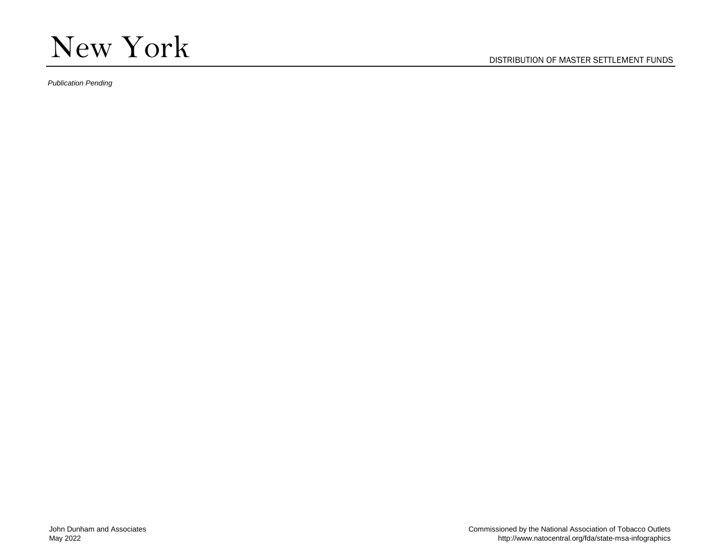

*Publication Pending*

DISTRIBUTION OF MASTER SETTLEMENT FUNDS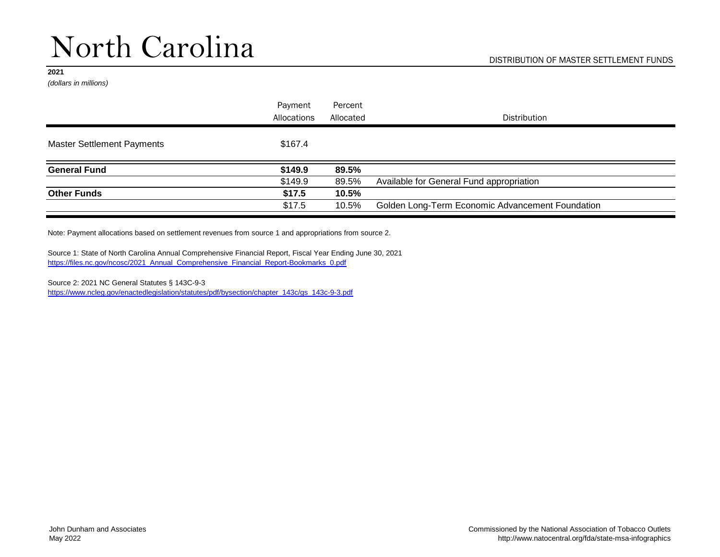*(dollars in millions)*

|                                   | Payment     | Percent   |                                                  |
|-----------------------------------|-------------|-----------|--------------------------------------------------|
|                                   | Allocations | Allocated | <b>Distribution</b>                              |
| <b>Master Settlement Payments</b> | \$167.4     |           |                                                  |
| <b>General Fund</b>               | \$149.9     | 89.5%     |                                                  |
|                                   | \$149.9     | 89.5%     | Available for General Fund appropriation         |
| <b>Other Funds</b>                | \$17.5      | 10.5%     |                                                  |
|                                   | \$17.5      | 10.5%     | Golden Long-Term Economic Advancement Foundation |

Note: Payment allocations based on settlement revenues from source 1 and appropriations from source 2.

Source 1: State of North Carolina Annual Comprehensive Financial Report, Fiscal Year Ending June 30, 2021 [https://files.nc.gov/ncosc/2021\\_Annual\\_Comprehensive\\_Financial\\_Report-Bookmarks\\_0.pdf](https://files.nc.gov/ncosc/2021_Annual_Comprehensive_Financial_Report-Bookmarks_0.pdf)

Source 2: 2021 NC General Statutes § 143C-9-3 [https://www.ncleg.gov/enactedlegislation/statutes/pdf/bysection/chapter\\_143c/gs\\_143c-9-3.pdf](https://www.ncleg.gov/enactedlegislation/statutes/pdf/bysection/chapter_143c/gs_143c-9-3.pdf)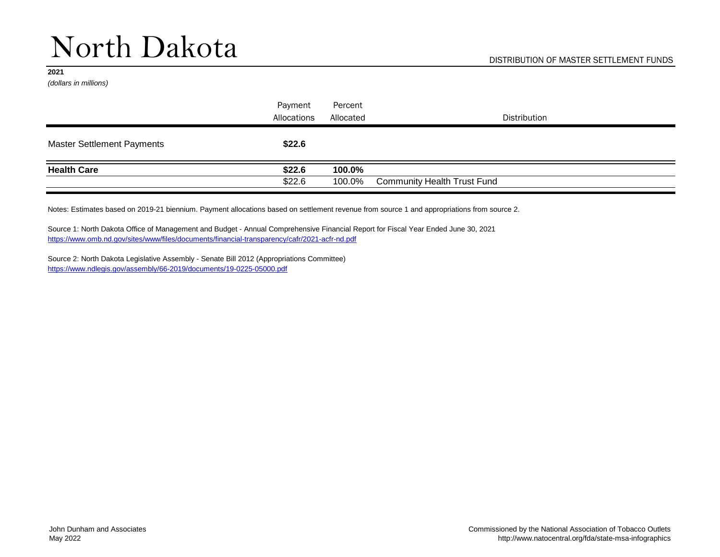*(dollars in millions)*

|                                   | Payment     | Percent   |                                    |
|-----------------------------------|-------------|-----------|------------------------------------|
|                                   | Allocations | Allocated | Distribution                       |
| <b>Master Settlement Payments</b> | \$22.6      |           |                                    |
| <b>Health Care</b>                | \$22.6      | 100.0%    |                                    |
|                                   | \$22.6      | 100.0%    | <b>Community Health Trust Fund</b> |

Notes: Estimates based on 2019-21 biennium. Payment allocations based on settlement revenue from source 1 and appropriations from source 2.

Source 1: North Dakota Office of Management and Budget - Annual Comprehensive Financial Report for Fiscal Year Ended June 30, 2021 <https://www.omb.nd.gov/sites/www/files/documents/financial-transparency/cafr/2021-acfr-nd.pdf>

Source 2: North Dakota Legislative Assembly - Senate Bill 2012 (Appropriations Committee) <https://www.ndlegis.gov/assembly/66-2019/documents/19-0225-05000.pdf>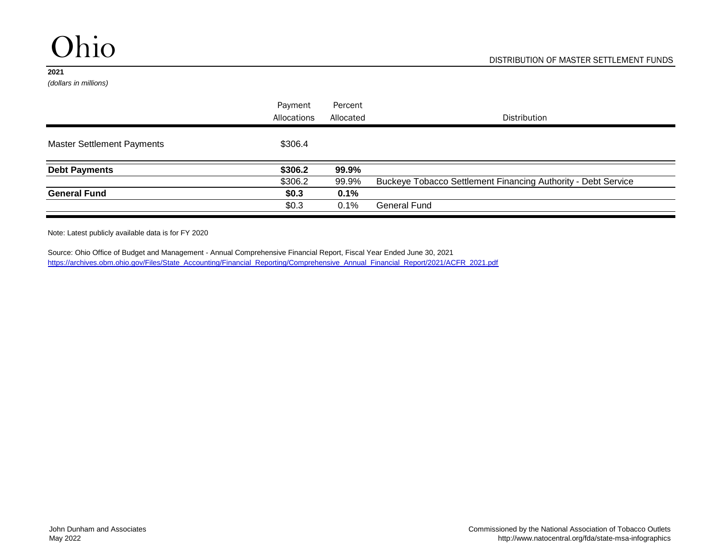*(dollars in millions)*

|                                   | Payment     | Percent   |                                                               |
|-----------------------------------|-------------|-----------|---------------------------------------------------------------|
|                                   | Allocations | Allocated | Distribution                                                  |
| <b>Master Settlement Payments</b> | \$306.4     |           |                                                               |
| <b>Debt Payments</b>              | \$306.2     | 99.9%     |                                                               |
|                                   | \$306.2     | 99.9%     | Buckeye Tobacco Settlement Financing Authority - Debt Service |
| <b>General Fund</b>               | \$0.3\$     | 0.1%      |                                                               |
|                                   | \$0.3\$     | 0.1%      | <b>General Fund</b>                                           |

Note: Latest publicly available data is for FY 2020

[https://archives.obm.ohio.gov/Files/State\\_Accounting/Financial\\_Reporting/Comprehensive\\_Annual\\_Financial\\_Report/2021/ACFR\\_2021.pdf](https://archives.obm.ohio.gov/Files/State_Accounting/Financial_Reporting/Comprehensive_Annual_Financial_Report/2021/ACFR_2021.pdf) Source: Ohio Office of Budget and Management - Annual Comprehensive Financial Report, Fiscal Year Ended June 30, 2021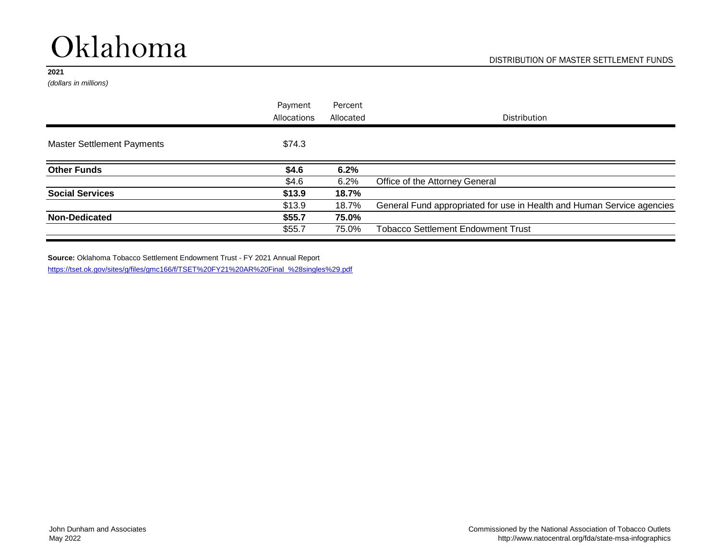# Oklahoma

#### **2021**

*(dollars in millions)*

|                                   | Payment     | Percent   |                                                                        |
|-----------------------------------|-------------|-----------|------------------------------------------------------------------------|
|                                   | Allocations | Allocated | Distribution                                                           |
| <b>Master Settlement Payments</b> | \$74.3      |           |                                                                        |
| <b>Other Funds</b>                | \$4.6       | 6.2%      |                                                                        |
|                                   | \$4.6       | 6.2%      | Office of the Attorney General                                         |
| <b>Social Services</b>            | \$13.9      | 18.7%     |                                                                        |
|                                   | \$13.9      | 18.7%     | General Fund appropriated for use in Health and Human Service agencies |
| <b>Non-Dedicated</b>              | \$55.7      | 75.0%     |                                                                        |
|                                   | \$55.7      | 75.0%     | <b>Tobacco Settlement Endowment Trust</b>                              |

**Source:** Oklahoma Tobacco Settlement Endowment Trust - FY 2021 Annual Report [https://tset.ok.gov/sites/g/files/gmc166/f/TSET%20FY21%20AR%20Final\\_%28singles%29.pdf](https://tset.ok.gov/sites/g/files/gmc166/f/TSET FY21 AR Final_%28singles%29.pdf)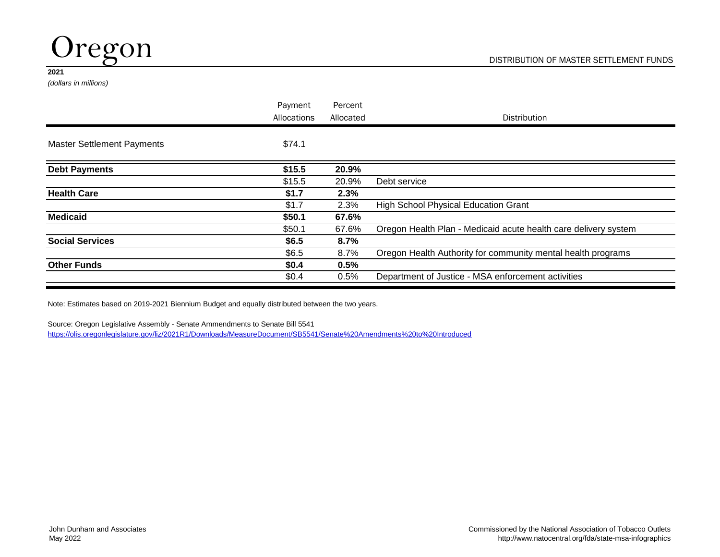

*(dollars in millions)*

|                                   | Payment<br>Allocations | Percent<br>Allocated | <b>Distribution</b>                                             |
|-----------------------------------|------------------------|----------------------|-----------------------------------------------------------------|
|                                   |                        |                      |                                                                 |
| <b>Master Settlement Payments</b> | \$74.1                 |                      |                                                                 |
| <b>Debt Payments</b>              | \$15.5                 | 20.9%                |                                                                 |
|                                   | \$15.5                 | 20.9%                | Debt service                                                    |
| <b>Health Care</b>                | \$1.7                  | 2.3%                 |                                                                 |
|                                   | \$1.7                  | 2.3%                 | <b>High School Physical Education Grant</b>                     |
| <b>Medicaid</b>                   | \$50.1                 | 67.6%                |                                                                 |
|                                   | \$50.1                 | 67.6%                | Oregon Health Plan - Medicaid acute health care delivery system |
| <b>Social Services</b>            | \$6.5                  | 8.7%                 |                                                                 |
|                                   | \$6.5                  | 8.7%                 | Oregon Health Authority for community mental health programs    |
| <b>Other Funds</b>                | \$0.4                  | 0.5%                 |                                                                 |
|                                   | \$0.4                  | 0.5%                 | Department of Justice - MSA enforcement activities              |

Note: Estimates based on 2019-2021 Biennium Budget and equally distributed between the two years.

Source: Oregon Legislative Assembly - Senate Ammendments to Senate Bill 5541 [https://olis.oregonlegislature.gov/liz/2021R1/Downloads/MeasureDocument/SB5541/Senate%20Amendments%20to%20Introduced](https://olis.oregonlegislature.gov/liz/2021R1/Downloads/MeasureDocument/SB5541/Senate Amendments to Introduced)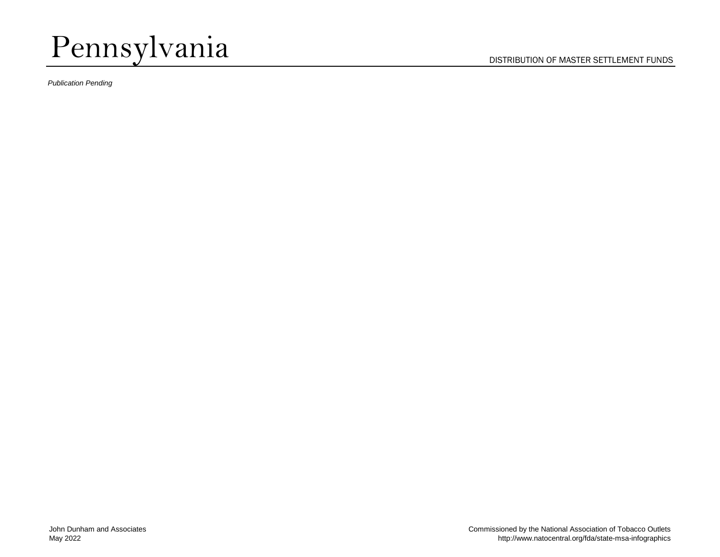# Pennsylvania

*Publication Pending*

DISTRIBUTION OF MASTER SETTLEMENT FUNDS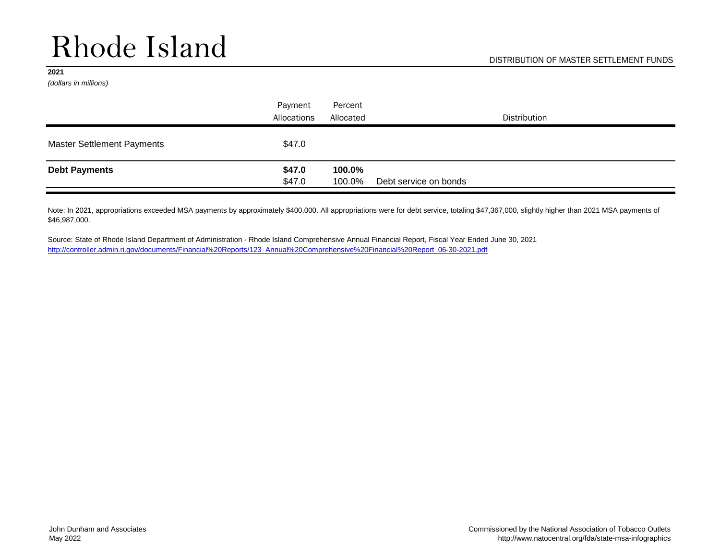# Rhode Island

#### **2021**

*(dollars in millions)*

|                                   | Payment     | Percent   |                       |  |
|-----------------------------------|-------------|-----------|-----------------------|--|
|                                   | Allocations | Allocated | Distribution          |  |
| <b>Master Settlement Payments</b> | \$47.0      |           |                       |  |
| <b>Debt Payments</b>              | \$47.0      | 100.0%    |                       |  |
|                                   | \$47.0      | 100.0%    | Debt service on bonds |  |

Note: In 2021, appropriations exceeded MSA payments by approximately \$400,000. All appropriations were for debt service, totaling \$47,367,000, slightly higher than 2021 MSA payments of \$46,987,000.

Source: State of Rhode Island Department of Administration - Rhode Island Comprehensive Annual Financial Report, Fiscal Year Ended June 30, 2021 [http://controller.admin.ri.gov/documents/Financial%20Reports/123\\_Annual%20Comprehensive%20Financial%20Report\\_06-30-2021.pdf](http://controller.admin.ri.gov/documents/Financial Reports/123_Annual Comprehensive Financial Report_06-30-2021.pdf)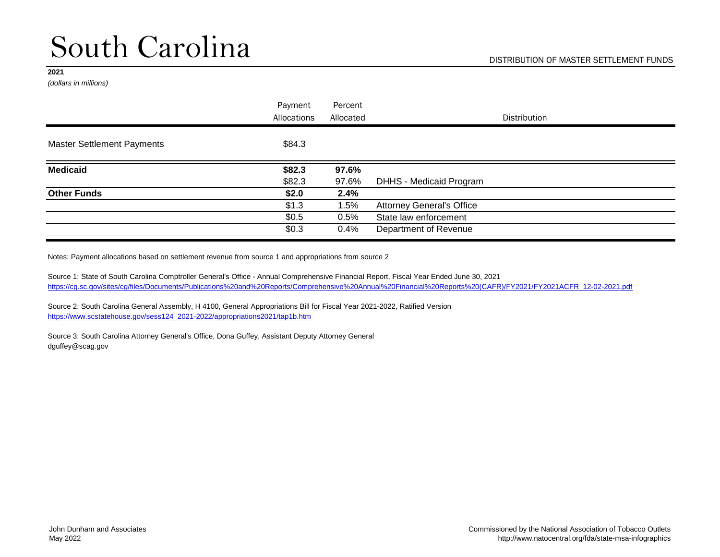*(dollars in millions)*

|                                   | Payment     | Percent   |                                  |
|-----------------------------------|-------------|-----------|----------------------------------|
|                                   | Allocations | Allocated | <b>Distribution</b>              |
| <b>Master Settlement Payments</b> | \$84.3      |           |                                  |
| <b>Medicaid</b>                   | \$82.3      | 97.6%     |                                  |
|                                   | \$82.3      | 97.6%     | <b>DHHS - Medicaid Program</b>   |
| <b>Other Funds</b>                | \$2.0       | 2.4%      |                                  |
|                                   | \$1.3       | 1.5%      | <b>Attorney General's Office</b> |
|                                   | \$0.5       | 0.5%      | State law enforcement            |
|                                   | \$0.3       | 0.4%      | Department of Revenue            |
|                                   |             |           |                                  |

Notes: Payment allocations based on settlement revenue from source 1 and appropriations from source 2

Source 1: State of South Carolina Comptroller General's Office - Annual Comprehensive Financial Report, Fiscal Year Ended June 30, 2021 [https://cg.sc.gov/sites/cg/files/Documents/Publications%20and%20Reports/Comprehensive%20Annual%20Financial%20Reports%20\(CAFR\)/FY2021/FY2021ACFR\\_12-02-2021.pdf](https://cg.sc.gov/sites/cg/files/Documents/Publications and Reports/Comprehensive Annual Financial Reports (CAFR)/FY2021/FY2021ACFR_12-02-2021.pdf)

Source 2: South Carolina General Assembly, H 4100, General Appropriations Bill for Fiscal Year 2021-2022, Ratified Version [https://www.scstatehouse.gov/sess124\\_2021-2022/appropriations2021/tap1b.htm](https://www.scstatehouse.gov/sess124_2021-2022/appropriations2021/tap1b.htm)

Source 3: South Carolina Attorney General's Office, Dona Guffey, Assistant Deputy Attorney General dguffey@scag.gov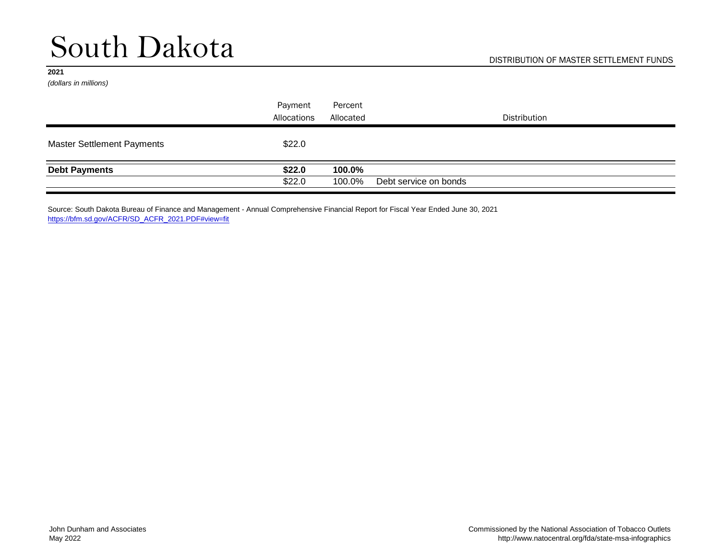# South Dakota

#### **2021**

*(dollars in millions)*

|                                   | Payment<br>Allocations | Percent<br>Allocated | <b>Distribution</b>   |
|-----------------------------------|------------------------|----------------------|-----------------------|
| <b>Master Settlement Payments</b> | \$22.0                 |                      |                       |
| <b>Debt Payments</b>              | \$22.0<br>\$22.0       | 100.0%<br>100.0%     | Debt service on bonds |

Source: South Dakota Bureau of Finance and Management - Annual Comprehensive Financial Report for Fiscal Year Ended June 30, 2021 [https://bfm.sd.gov/ACFR/SD\\_ACFR\\_2021.PDF#view=fit](https://bfm.sd.gov/ACFR/SD_ACFR_2021.PDF#view=fit)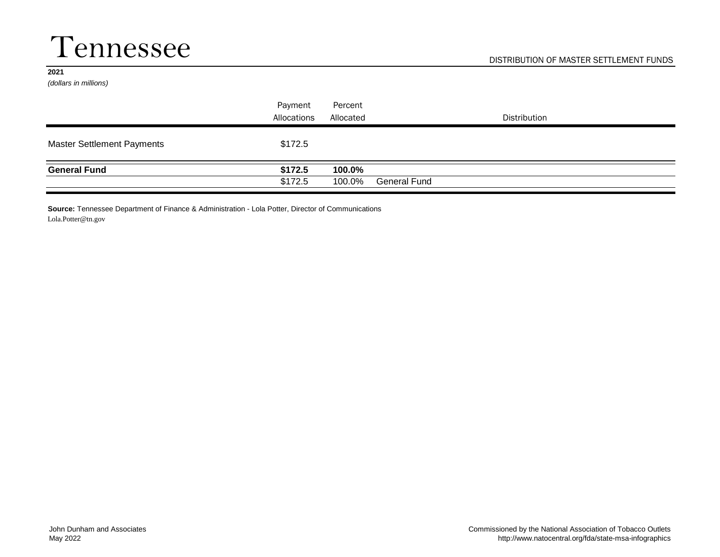### Tennessee

#### **2021**

*(dollars in millions)*

|                                   | Payment<br>Allocations | Percent<br>Allocated | <b>Distribution</b> |
|-----------------------------------|------------------------|----------------------|---------------------|
| <b>Master Settlement Payments</b> | \$172.5                |                      |                     |
| <b>General Fund</b>               | \$172.5<br>\$172.5     | 100.0%<br>100.0%     | General Fund        |

**Source:** Tennessee Department of Finance & Administration - Lola Potter, Director of Communications Lola.Potter@tn.gov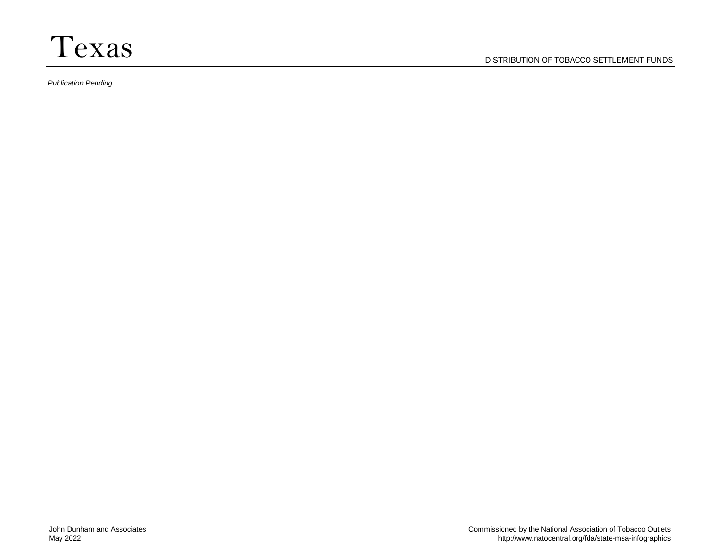*Publication Pending*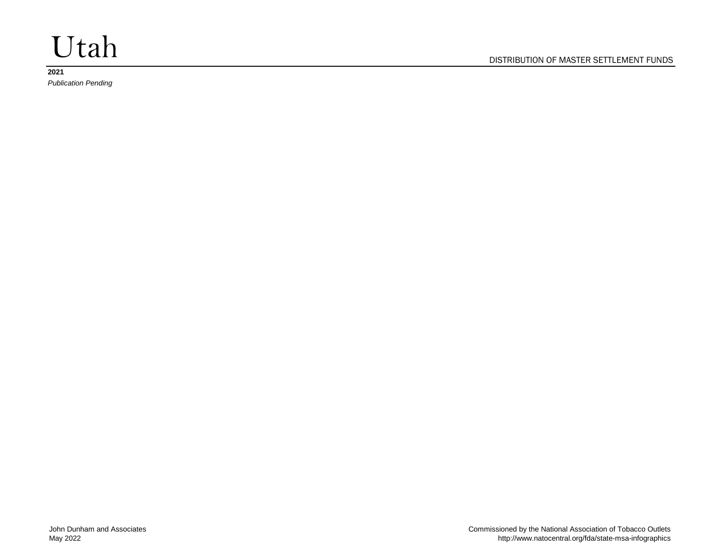# Utah

### **2021**

*Publication Pending*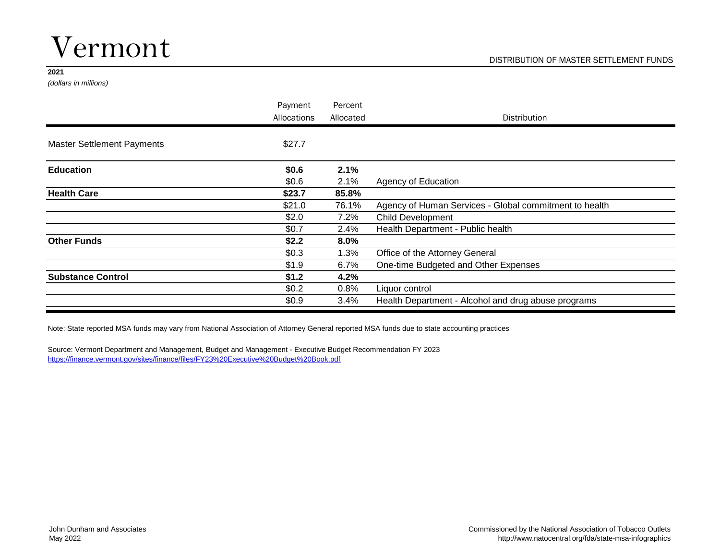## Vermont

#### **2021**

*(dollars in millions)*

|                                   | Payment     | Percent   |                                                        |
|-----------------------------------|-------------|-----------|--------------------------------------------------------|
|                                   | Allocations | Allocated | <b>Distribution</b>                                    |
| <b>Master Settlement Payments</b> | \$27.7      |           |                                                        |
| <b>Education</b>                  | \$0.6       | 2.1%      |                                                        |
|                                   | \$0.6       | 2.1%      | Agency of Education                                    |
| <b>Health Care</b>                | \$23.7      | 85.8%     |                                                        |
|                                   | \$21.0      | 76.1%     | Agency of Human Services - Global commitment to health |
|                                   | \$2.0       | 7.2%      | <b>Child Development</b>                               |
|                                   | \$0.7       | 2.4%      | Health Department - Public health                      |
| <b>Other Funds</b>                | \$2.2       | $8.0\%$   |                                                        |
|                                   | \$0.3       | 1.3%      | Office of the Attorney General                         |
|                                   | \$1.9       | 6.7%      | One-time Budgeted and Other Expenses                   |
| <b>Substance Control</b>          | \$1.2       | 4.2%      |                                                        |
|                                   | \$0.2\$     | 0.8%      | Liquor control                                         |
|                                   | \$0.9       | 3.4%      | Health Department - Alcohol and drug abuse programs    |

Note: State reported MSA funds may vary from National Association of Attorney General reported MSA funds due to state accounting practices

Source: Vermont Department and Management, Budget and Management - Executive Budget Recommendation FY 2023 [https://finance.vermont.gov/sites/finance/files/FY23%20Executive%20Budget%20Book.pdf](https://finance.vermont.gov/sites/finance/files/FY23 Executive Budget Book.pdf)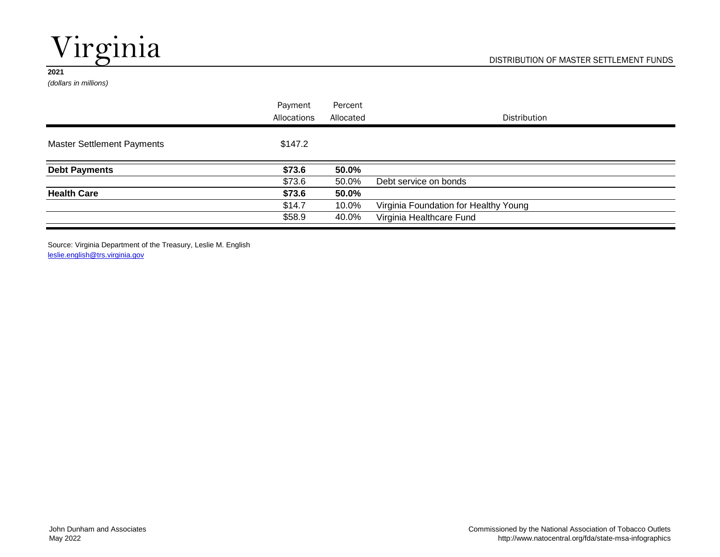# Virginia

#### **2021**

*(dollars in millions)*

|                                   | Payment     | Percent   |                                       |
|-----------------------------------|-------------|-----------|---------------------------------------|
|                                   | Allocations | Allocated | <b>Distribution</b>                   |
| <b>Master Settlement Payments</b> | \$147.2     |           |                                       |
| <b>Debt Payments</b>              | \$73.6      | 50.0%     |                                       |
|                                   | \$73.6      | 50.0%     | Debt service on bonds                 |
| <b>Health Care</b>                | \$73.6      | 50.0%     |                                       |
|                                   | \$14.7      | 10.0%     | Virginia Foundation for Healthy Young |
|                                   | \$58.9      | 40.0%     | Virginia Healthcare Fund              |

Source: Virginia Department of the Treasury, Leslie M. English [leslie.english@trs.virginia.gov](mailto:leslie.english@trs.virginia.gov)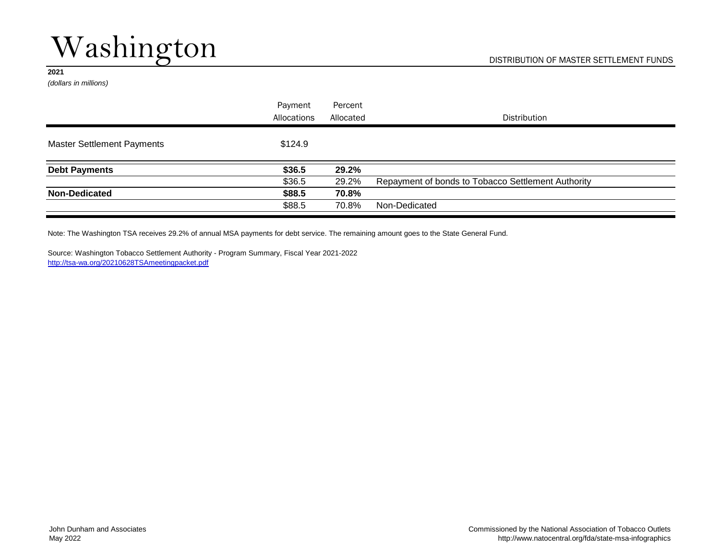# Washington

#### **2021**

*(dollars in millions)*

|                                   | Payment     | Percent   |                                                    |
|-----------------------------------|-------------|-----------|----------------------------------------------------|
|                                   | Allocations | Allocated | <b>Distribution</b>                                |
| <b>Master Settlement Payments</b> | \$124.9     |           |                                                    |
| <b>Debt Payments</b>              | \$36.5      | 29.2%     |                                                    |
|                                   | \$36.5      | 29.2%     | Repayment of bonds to Tobacco Settlement Authority |
| <b>Non-Dedicated</b>              | \$88.5      | 70.8%     |                                                    |
|                                   | \$88.5      | 70.8%     | Non-Dedicated                                      |

Note: The Washington TSA receives 29.2% of annual MSA payments for debt service. The remaining amount goes to the State General Fund.

Source: Washington Tobacco Settlement Authority - Program Summary, Fiscal Year 2021-2022 <http://tsa-wa.org/20210628TSAmeetingpacket.pdf>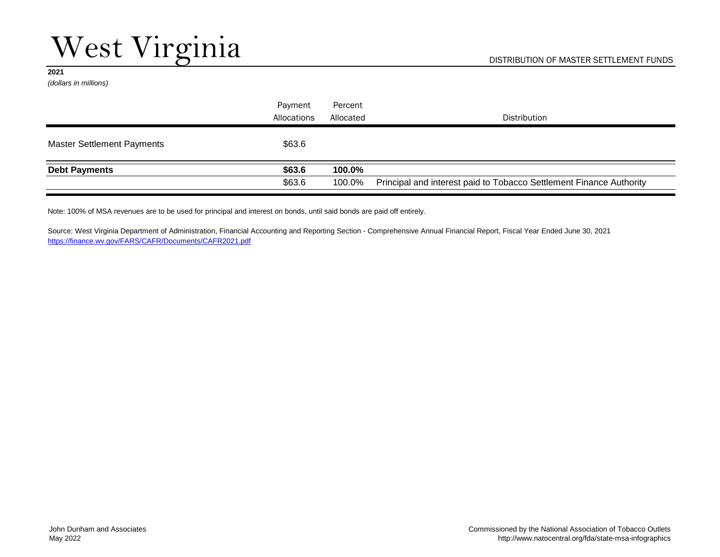*(dollars in millions)*

|                                   | Payment     | Percent   |                                                                     |
|-----------------------------------|-------------|-----------|---------------------------------------------------------------------|
|                                   | Allocations | Allocated | <b>Distribution</b>                                                 |
| <b>Master Settlement Payments</b> | \$63.6      |           |                                                                     |
| <b>Debt Payments</b>              | \$63.6      | 100.0%    |                                                                     |
|                                   | \$63.6      | 100.0%    | Principal and interest paid to Tobacco Settlement Finance Authority |

Note: 100% of MSA revenues are to be used for principal and interest on bonds, until said bonds are paid off entirely.

Source: West Virginia Department of Administration, Financial Accounting and Reporting Section - Comprehensive Annual Financial Report, Fiscal Year Ended June 30, 2021 <https://finance.wv.gov/FARS/CAFR/Documents/CAFR2021.pdf>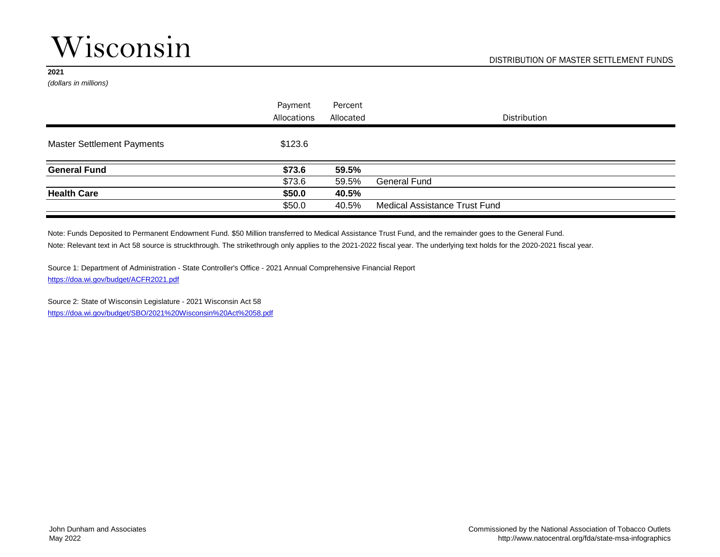### Wisconsin

#### **2021**

*(dollars in millions)*

|                                   | Payment<br>Allocations | Percent<br>Allocated | <b>Distribution</b>                  |
|-----------------------------------|------------------------|----------------------|--------------------------------------|
| <b>Master Settlement Payments</b> | \$123.6                |                      |                                      |
| <b>General Fund</b>               | \$73.6                 | 59.5%                |                                      |
|                                   | \$73.6                 | 59.5%                | <b>General Fund</b>                  |
| <b>Health Care</b>                | \$50.0                 | 40.5%                |                                      |
|                                   | \$50.0                 | 40.5%                | <b>Medical Assistance Trust Fund</b> |

Note: Relevant text in Act 58 source is struckthrough. The strikethrough only applies to the 2021-2022 fiscal year. The underlying text holds for the 2020-2021 fiscal year. Note: Funds Deposited to Permanent Endowment Fund. \$50 Million transferred to Medical Assistance Trust Fund, and the remainder goes to the General Fund.

Source 1: Department of Administration - State Controller's Office - 2021 Annual Comprehensive Financial Report <https://doa.wi.gov/budget/ACFR2021.pdf>

Source 2: State of Wisconsin Legislature - 2021 Wisconsin Act 58 [https://doa.wi.gov/budget/SBO/2021%20Wisconsin%20Act%2058.pdf](https://doa.wi.gov/budget/SBO/2021 Wisconsin Act 58.pdf)